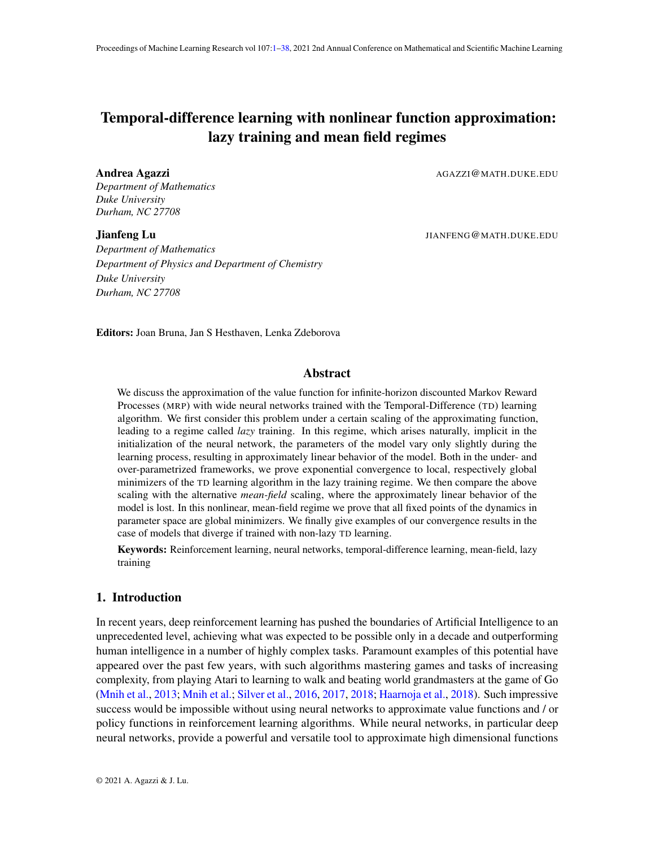# <span id="page-0-0"></span>Temporal-difference learning with nonlinear function approximation: lazy training and mean field regimes

*Department of Mathematics Duke University Durham, NC 27708*

*Department of Mathematics Department of Physics and Department of Chemistry Duke University Durham, NC 27708*

Andrea Agazzi and a Gazzi and a Gazzi and a Gazzi and a Gazzi and a Gazzi and a Gazzi and a Gazzi and a Gazzi and a Gazzi and a Gazzi and a Gazzi and a Gazzi and a Gazzi and a Gazzi and a Gazzi and a Gazzi and a Gazzi and

**Jianfeng Lu** JIANFENG@MATH.DUKE.EDU

Editors: Joan Bruna, Jan S Hesthaven, Lenka Zdeborova

# Abstract

We discuss the approximation of the value function for infinite-horizon discounted Markov Reward Processes (MRP) with wide neural networks trained with the Temporal-Difference (TD) learning algorithm. We first consider this problem under a certain scaling of the approximating function, leading to a regime called *lazy* training. In this regime, which arises naturally, implicit in the initialization of the neural network, the parameters of the model vary only slightly during the learning process, resulting in approximately linear behavior of the model. Both in the under- and over-parametrized frameworks, we prove exponential convergence to local, respectively global minimizers of the TD learning algorithm in the lazy training regime. We then compare the above scaling with the alternative *mean-field* scaling, where the approximately linear behavior of the model is lost. In this nonlinear, mean-field regime we prove that all fixed points of the dynamics in parameter space are global minimizers. We finally give examples of our convergence results in the case of models that diverge if trained with non-lazy TD learning.

Keywords: Reinforcement learning, neural networks, temporal-difference learning, mean-field, lazy training

# 1. Introduction

In recent years, deep reinforcement learning has pushed the boundaries of Artificial Intelligence to an unprecedented level, achieving what was expected to be possible only in a decade and outperforming human intelligence in a number of highly complex tasks. Paramount examples of this potential have appeared over the past few years, with such algorithms mastering games and tasks of increasing complexity, from playing Atari to learning to walk and beating world grandmasters at the game of Go [\(Mnih et al.,](#page-17-0) [2013;](#page-17-0) [Mnih et al.;](#page-17-1) [Silver et al.,](#page-18-0) [2016,](#page-18-0) [2017,](#page-18-1) [2018;](#page-18-2) [Haarnoja et al.,](#page-16-0) [2018\)](#page-16-0). Such impressive success would be impossible without using neural networks to approximate value functions and / or policy functions in reinforcement learning algorithms. While neural networks, in particular deep neural networks, provide a powerful and versatile tool to approximate high dimensional functions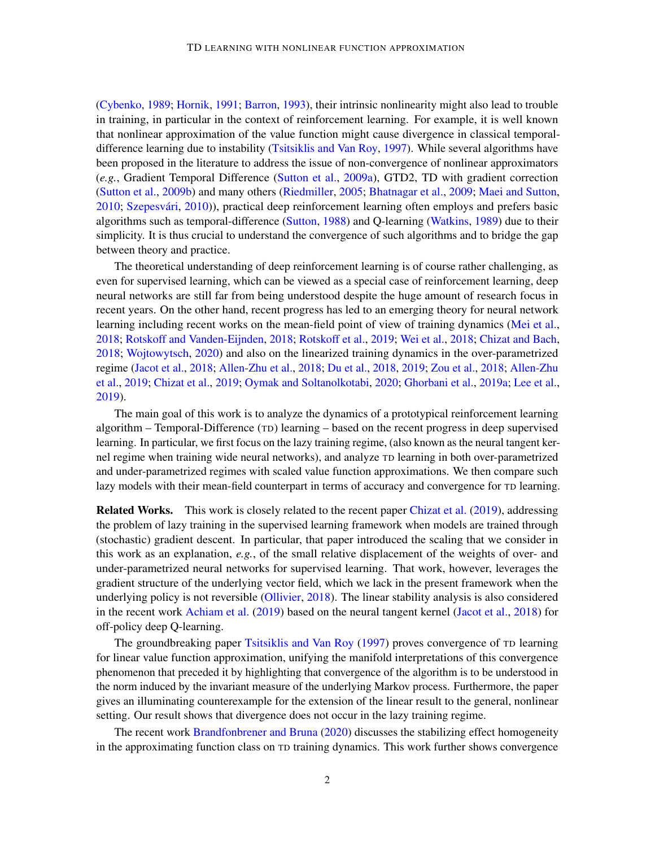[\(Cybenko,](#page-16-1) [1989;](#page-16-1) [Hornik,](#page-16-2) [1991;](#page-16-2) [Barron,](#page-15-0) [1993\)](#page-15-0), their intrinsic nonlinearity might also lead to trouble in training, in particular in the context of reinforcement learning. For example, it is well known that nonlinear approximation of the value function might cause divergence in classical temporaldifference learning due to instability [\(Tsitsiklis and Van Roy,](#page-19-0) [1997\)](#page-19-0). While several algorithms have been proposed in the literature to address the issue of non-convergence of nonlinear approximators (*e.g.*, Gradient Temporal Difference [\(Sutton et al.,](#page-18-3) [2009a\)](#page-18-3), GTD2, TD with gradient correction [\(Sutton et al.,](#page-19-1) [2009b\)](#page-19-1) and many others [\(Riedmiller,](#page-18-4) [2005;](#page-18-4) [Bhatnagar et al.,](#page-15-1) [2009;](#page-15-1) [Maei and Sutton,](#page-17-2) [2010;](#page-17-2) Szepesvári, [2010\)](#page-19-2)), practical deep reinforcement learning often employs and prefers basic algorithms such as temporal-difference [\(Sutton,](#page-18-5) [1988\)](#page-18-5) and Q-learning [\(Watkins,](#page-19-3) [1989\)](#page-19-3) due to their simplicity. It is thus crucial to understand the convergence of such algorithms and to bridge the gap between theory and practice.

The theoretical understanding of deep reinforcement learning is of course rather challenging, as even for supervised learning, which can be viewed as a special case of reinforcement learning, deep neural networks are still far from being understood despite the huge amount of research focus in recent years. On the other hand, recent progress has led to an emerging theory for neural network learning including recent works on the mean-field point of view of training dynamics [\(Mei et al.,](#page-17-3) [2018;](#page-17-3) [Rotskoff and Vanden-Eijnden,](#page-18-6) [2018;](#page-18-6) [Rotskoff et al.,](#page-18-7) [2019;](#page-18-7) [Wei et al.,](#page-19-4) [2018;](#page-19-4) [Chizat and Bach,](#page-16-3) [2018;](#page-16-3) [Wojtowytsch,](#page-19-5) [2020\)](#page-19-5) and also on the linearized training dynamics in the over-parametrized regime [\(Jacot et al.,](#page-16-4) [2018;](#page-16-4) [Allen-Zhu et al.,](#page-15-2) [2018;](#page-15-2) [Du et al.,](#page-16-5) [2018,](#page-16-5) [2019;](#page-16-6) [Zou et al.,](#page-19-6) [2018;](#page-19-6) [Allen-Zhu](#page-15-3) [et al.,](#page-15-3) [2019;](#page-15-3) [Chizat et al.,](#page-16-7) [2019;](#page-16-7) [Oymak and Soltanolkotabi,](#page-17-4) [2020;](#page-17-4) [Ghorbani et al.,](#page-16-8) [2019a;](#page-16-8) [Lee et al.,](#page-17-5) [2019\)](#page-17-5).

The main goal of this work is to analyze the dynamics of a prototypical reinforcement learning algorithm – Temporal-Difference (TD) learning – based on the recent progress in deep supervised learning. In particular, we first focus on the lazy training regime, (also known as the neural tangent kernel regime when training wide neural networks), and analyze TD learning in both over-parametrized and under-parametrized regimes with scaled value function approximations. We then compare such lazy models with their mean-field counterpart in terms of accuracy and convergence for TD learning.

Related Works. This work is closely related to the recent paper [Chizat et al.](#page-16-7) [\(2019\)](#page-16-7), addressing the problem of lazy training in the supervised learning framework when models are trained through (stochastic) gradient descent. In particular, that paper introduced the scaling that we consider in this work as an explanation, *e.g.*, of the small relative displacement of the weights of over- and under-parametrized neural networks for supervised learning. That work, however, leverages the gradient structure of the underlying vector field, which we lack in the present framework when the underlying policy is not reversible [\(Ollivier,](#page-17-6) [2018\)](#page-17-6). The linear stability analysis is also considered in the recent work [Achiam et al.](#page-15-4) [\(2019\)](#page-15-4) based on the neural tangent kernel [\(Jacot et al.,](#page-16-4) [2018\)](#page-16-4) for off-policy deep Q-learning.

The groundbreaking paper [Tsitsiklis and Van Roy](#page-19-0) [\(1997\)](#page-19-0) proves convergence of TD learning for linear value function approximation, unifying the manifold interpretations of this convergence phenomenon that preceded it by highlighting that convergence of the algorithm is to be understood in the norm induced by the invariant measure of the underlying Markov process. Furthermore, the paper gives an illuminating counterexample for the extension of the linear result to the general, nonlinear setting. Our result shows that divergence does not occur in the lazy training regime.

The recent work [Brandfonbrener and Bruna](#page-16-9) [\(2020\)](#page-16-9) discusses the stabilizing effect homogeneity in the approximating function class on TD training dynamics. This work further shows convergence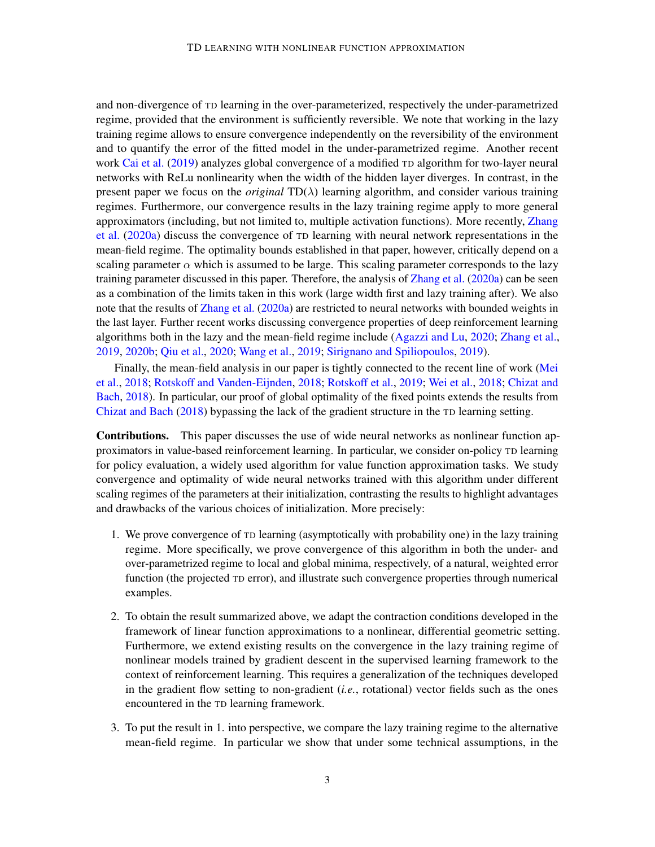and non-divergence of TD learning in the over-parameterized, respectively the under-parametrized regime, provided that the environment is sufficiently reversible. We note that working in the lazy training regime allows to ensure convergence independently on the reversibility of the environment and to quantify the error of the fitted model in the under-parametrized regime. Another recent work [Cai et al.](#page-16-10) [\(2019\)](#page-16-10) analyzes global convergence of a modified TD algorithm for two-layer neural networks with ReLu nonlinearity when the width of the hidden layer diverges. In contrast, in the present paper we focus on the *original*  $TD(\lambda)$  learning algorithm, and consider various training regimes. Furthermore, our convergence results in the lazy training regime apply to more general approximators (including, but not limited to, multiple activation functions). More recently, [Zhang](#page-19-7) [et al.](#page-19-7) [\(2020a\)](#page-19-7) discuss the convergence of TD learning with neural network representations in the mean-field regime. The optimality bounds established in that paper, however, critically depend on a scaling parameter  $\alpha$  which is assumed to be large. This scaling parameter corresponds to the lazy training parameter discussed in this paper. Therefore, the analysis of [Zhang et al.](#page-19-7) [\(2020a\)](#page-19-7) can be seen as a combination of the limits taken in this work (large width first and lazy training after). We also note that the results of [Zhang et al.](#page-19-7) [\(2020a\)](#page-19-7) are restricted to neural networks with bounded weights in the last layer. Further recent works discussing convergence properties of deep reinforcement learning algorithms both in the lazy and the mean-field regime include [\(Agazzi and Lu,](#page-15-5) [2020;](#page-15-5) [Zhang et al.,](#page-19-8) [2019,](#page-19-8) [2020b;](#page-19-9) [Qiu et al.,](#page-17-7) [2020;](#page-17-7) [Wang et al.,](#page-19-10) [2019;](#page-19-10) [Sirignano and Spiliopoulos,](#page-18-8) [2019\)](#page-18-8).

Finally, the mean-field analysis in our paper is tightly connected to the recent line of work [\(Mei](#page-17-3) [et al.,](#page-17-3) [2018;](#page-17-3) [Rotskoff and Vanden-Eijnden,](#page-18-6) [2018;](#page-18-6) [Rotskoff et al.,](#page-18-7) [2019;](#page-18-7) [Wei et al.,](#page-19-4) [2018;](#page-19-4) [Chizat and](#page-16-3) [Bach,](#page-16-3) [2018\)](#page-16-3). In particular, our proof of global optimality of the fixed points extends the results from [Chizat and Bach](#page-16-3) [\(2018\)](#page-16-3) bypassing the lack of the gradient structure in the TD learning setting.

Contributions. This paper discusses the use of wide neural networks as nonlinear function approximators in value-based reinforcement learning. In particular, we consider on-policy TD learning for policy evaluation, a widely used algorithm for value function approximation tasks. We study convergence and optimality of wide neural networks trained with this algorithm under different scaling regimes of the parameters at their initialization, contrasting the results to highlight advantages and drawbacks of the various choices of initialization. More precisely:

- 1. We prove convergence of TD learning (asymptotically with probability one) in the lazy training regime. More specifically, we prove convergence of this algorithm in both the under- and over-parametrized regime to local and global minima, respectively, of a natural, weighted error function (the projected TD error), and illustrate such convergence properties through numerical examples.
- 2. To obtain the result summarized above, we adapt the contraction conditions developed in the framework of linear function approximations to a nonlinear, differential geometric setting. Furthermore, we extend existing results on the convergence in the lazy training regime of nonlinear models trained by gradient descent in the supervised learning framework to the context of reinforcement learning. This requires a generalization of the techniques developed in the gradient flow setting to non-gradient (*i.e.*, rotational) vector fields such as the ones encountered in the TD learning framework.
- 3. To put the result in 1. into perspective, we compare the lazy training regime to the alternative mean-field regime. In particular we show that under some technical assumptions, in the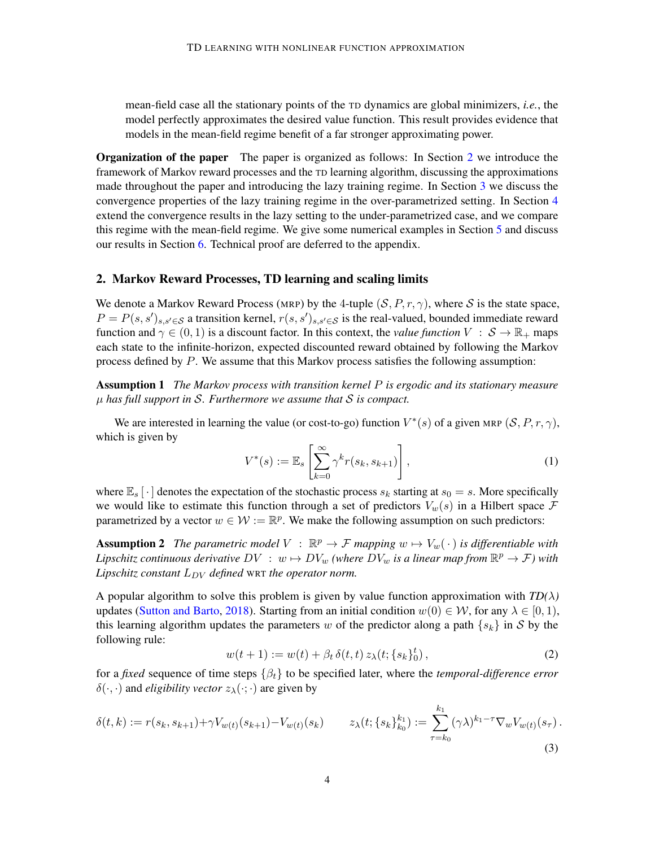mean-field case all the stationary points of the TD dynamics are global minimizers, *i.e.*, the model perfectly approximates the desired value function. This result provides evidence that models in the mean-field regime benefit of a far stronger approximating power.

Organization of the paper The paper is organized as follows: In Section [2](#page-3-0) we introduce the framework of Markov reward processes and the TD learning algorithm, discussing the approximations made throughout the paper and introducing the lazy training regime. In Section [3](#page-6-0) we discuss the convergence properties of the lazy training regime in the over-parametrized setting. In Section [4](#page-7-0) extend the convergence results in the lazy setting to the under-parametrized case, and we compare this regime with the mean-field regime. We give some numerical examples in Section [5](#page-12-0) and discuss our results in Section [6.](#page-13-0) Technical proof are deferred to the appendix.

# <span id="page-3-0"></span>2. Markov Reward Processes, TD learning and scaling limits

We denote a Markov Reward Process (MRP) by the 4-tuple  $(S, P, r, \gamma)$ , where S is the state space,  $P = P(s, s')_{s, s' \in S}$  a transition kernel,  $r(s, s')_{s, s' \in S}$  is the real-valued, bounded immediate reward function and  $\gamma \in (0, 1)$  is a discount factor. In this context, the *value function*  $V : \mathcal{S} \to \mathbb{R}_+$  maps each state to the infinite-horizon, expected discounted reward obtained by following the Markov process defined by  $P$ . We assume that this Markov process satisfies the following assumption:

Assumption 1 *The Markov process with transition kernel* P *is ergodic and its stationary measure* µ *has full support in* S*. Furthermore we assume that* S *is compact.*

We are interested in learning the value (or cost-to-go) function  $V^*(s)$  of a given MRP  $(S, P, r, \gamma)$ , which is given by

<span id="page-3-4"></span><span id="page-3-3"></span><span id="page-3-2"></span>
$$
V^*(s) := \mathbb{E}_s \left[ \sum_{k=0}^{\infty} \gamma^k r(s_k, s_{k+1}) \right],
$$
 (1)

where  $\mathbb{E}_s[\cdot]$  denotes the expectation of the stochastic process  $s_k$  starting at  $s_0 = s$ . More specifically we would like to estimate this function through a set of predictors  $V_w(s)$  in a Hilbert space  $\mathcal F$ parametrized by a vector  $w \in \mathcal{W} := \mathbb{R}^p$ . We make the following assumption on such predictors:

**Assumption 2** The parametric model  $V : \mathbb{R}^p \to \mathcal{F}$  mapping  $w \mapsto V_w(\cdot)$  is differentiable with Lipschitz continuous derivative  $DV\ :\ w\mapsto DV_w$  *(where*  $DV_w$  *is a linear map from*  $\mathbb{R}^p\to\mathcal{F}$ ) with *Lipschitz constant*  $L_{DV}$  *defined* WRT *the operator norm.* 

A popular algorithm to solve this problem is given by value function approximation with  $TD(\lambda)$ updates [\(Sutton and Barto,](#page-18-9) [2018\)](#page-18-9). Starting from an initial condition  $w(0) \in \mathcal{W}$ , for any  $\lambda \in [0, 1)$ , this learning algorithm updates the parameters w of the predictor along a path  $\{s_k\}$  in S by the following rule:

<span id="page-3-1"></span>
$$
w(t+1) := w(t) + \beta_t \, \delta(t,t) \, z_\lambda(t; \{s_k\}_0^t) \,, \tag{2}
$$

for a *fixed* sequence of time steps  $\{\beta_t\}$  to be specified later, where the *temporal-difference error*  $\delta(\cdot, \cdot)$  and *eligibility vector*  $z_{\lambda}(\cdot; \cdot)$  are given by

$$
\delta(t,k) := r(s_k, s_{k+1}) + \gamma V_{w(t)}(s_{k+1}) - V_{w(t)}(s_k) \qquad z_{\lambda}(t; \{s_k\}_{k_0}^{k_1}) := \sum_{\tau = k_0}^{k_1} (\gamma \lambda)^{k_1 - \tau} \nabla_w V_{w(t)}(s_{\tau}).
$$
\n(3)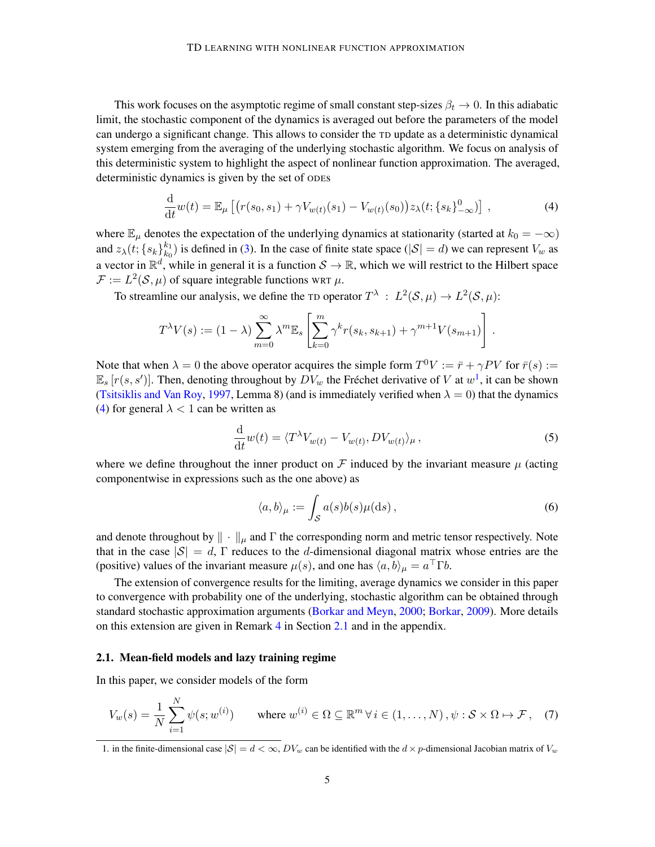This work focuses on the asymptotic regime of small constant step-sizes  $\beta_t \to 0$ . In this adiabatic limit, the stochastic component of the dynamics is averaged out before the parameters of the model can undergo a significant change. This allows to consider the TD update as a deterministic dynamical system emerging from the averaging of the underlying stochastic algorithm. We focus on analysis of this deterministic system to highlight the aspect of nonlinear function approximation. The averaged, deterministic dynamics is given by the set of ODEs

<span id="page-4-1"></span>
$$
\frac{\mathrm{d}}{\mathrm{d}t}w(t) = \mathbb{E}_{\mu}\left[\left(r(s_0, s_1) + \gamma V_{w(t)}(s_1) - V_{w(t)}(s_0)\right)z_{\lambda}(t; \{s_k\}_{-\infty}^0)\right],\tag{4}
$$

where  $\mathbb{E}_{\mu}$  denotes the expectation of the underlying dynamics at stationarity (started at  $k_0 = -\infty$ ) and  $z_{\lambda}(t; \{s_k\}_{k_0}^{k_1})$  $\binom{k_1}{k_0}$  is defined in [\(3\)](#page-3-1). In the case of finite state space ( $|S| = d$ ) we can represent  $V_w$  as a vector in  $\mathbb{R}^d$ , while in general it is a function  $S \to \mathbb{R}$ , which we will restrict to the Hilbert space  $\mathcal{F} := L^2(\mathcal{S}, \mu)$  of square integrable functions WRT  $\mu$ .

To streamline our analysis, we define the TD operator  $T^{\lambda}: L^2(\mathcal{S}, \mu) \to L^2(\mathcal{S}, \mu)$ :

$$
T^{\lambda}V(s) := (1 - \lambda) \sum_{m=0}^{\infty} \lambda^m \mathbb{E}_s \left[ \sum_{k=0}^m \gamma^k r(s_k, s_{k+1}) + \gamma^{m+1} V(s_{m+1}) \right].
$$

Note that when  $\lambda = 0$  the above operator acquires the simple form  $T^0 V := \bar{r} + \gamma PV$  for  $\bar{r}(s) :=$  $\mathbb{E}_s[r(s, s')]$ . Then, denoting throughout by  $DV_w$  the Fréchet derivative of V at  $w^1$  $w^1$ , it can be shown [\(Tsitsiklis and Van Roy,](#page-19-0) [1997,](#page-19-0) Lemma 8) (and is immediately verified when  $\lambda = 0$ ) that the dynamics [\(4\)](#page-4-1) for general  $\lambda$  < 1 can be written as

$$
\frac{\mathrm{d}}{\mathrm{d}t}w(t) = \langle T^{\lambda}V_{w(t)} - V_{w(t)}, DV_{w(t)} \rangle_{\mu},\tag{5}
$$

where we define throughout the inner product on F induced by the invariant measure  $\mu$  (acting componentwise in expressions such as the one above) as

<span id="page-4-4"></span><span id="page-4-3"></span><span id="page-4-2"></span>
$$
\langle a, b \rangle_{\mu} := \int_{\mathcal{S}} a(s)b(s)\mu(ds), \tag{6}
$$

and denote throughout by  $\|\cdot\|_{\mu}$  and  $\Gamma$  the corresponding norm and metric tensor respectively. Note that in the case  $|S| = d$ ,  $\Gamma$  reduces to the d-dimensional diagonal matrix whose entries are the (positive) values of the invariant measure  $\mu(s)$ , and one has  $\langle a, b \rangle_{\mu} = a^{\top} \Gamma b$ .

The extension of convergence results for the limiting, average dynamics we consider in this paper to convergence with probability one of the underlying, stochastic algorithm can be obtained through standard stochastic approximation arguments [\(Borkar and Meyn,](#page-16-11) [2000;](#page-16-11) [Borkar,](#page-16-12) [2009\)](#page-16-12). More details on this extension are given in Remark [4](#page-7-1) in Section [2.1](#page-6-1) and in the appendix.

#### 2.1. Mean-field models and lazy training regime

In this paper, we consider models of the form

$$
V_w(s) = \frac{1}{N} \sum_{i=1}^{N} \psi(s; w^{(i)}) \quad \text{where } w^{(i)} \in \Omega \subseteq \mathbb{R}^m \,\forall \, i \in (1, \dots, N), \psi : \mathcal{S} \times \Omega \mapsto \mathcal{F}, \quad (7)
$$

<span id="page-4-0"></span><sup>1.</sup> in the finite-dimensional case  $|S| = d < \infty$ ,  $DV_w$  can be identified with the  $d \times p$ -dimensional Jacobian matrix of  $V_w$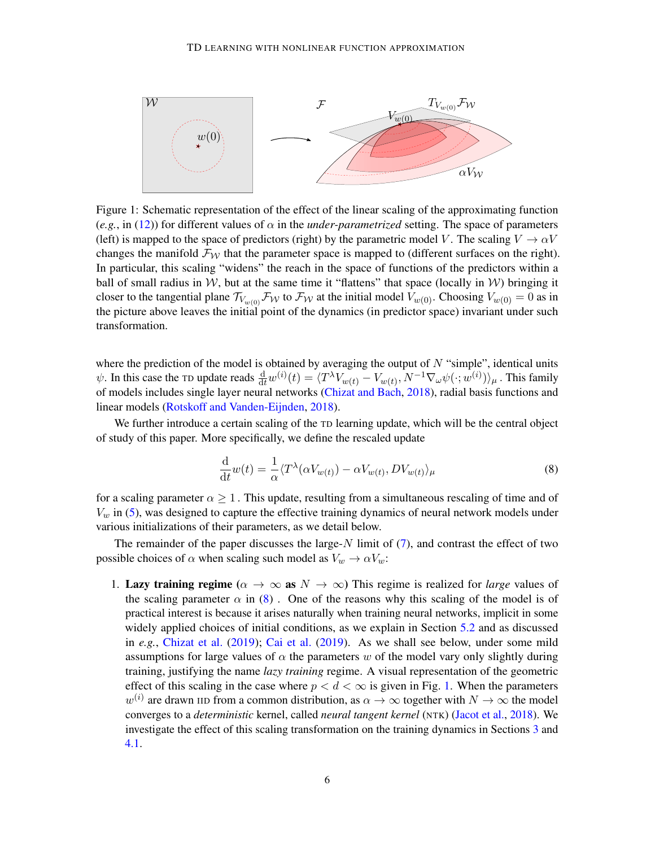<span id="page-5-1"></span>

Figure 1: Schematic representation of the effect of the linear scaling of the approximating function  $(e.g., in (12))$  $(e.g., in (12))$  $(e.g., in (12))$  for different values of  $\alpha$  in the *under-parametrized* setting. The space of parameters (left) is mapped to the space of predictors (right) by the parametric model V. The scaling  $V \rightarrow \alpha V$ changes the manifold  $\mathcal{F}_{W}$  that the parameter space is mapped to (different surfaces on the right). In particular, this scaling "widens" the reach in the space of functions of the predictors within a ball of small radius in W, but at the same time it "flattens" that space (locally in W) bringing it closer to the tangential plane  $\mathcal{T}_{V_{w(0)}}\mathcal{F}_{\mathcal{W}}$  to  $\mathcal{F}_{\mathcal{W}}$  at the initial model  $V_{w(0)}$ . Choosing  $V_{w(0)} = 0$  as in the picture above leaves the initial point of the dynamics (in predictor space) invariant under such transformation.

where the prediction of the model is obtained by averaging the output of  $N$  "simple", identical units  $\psi$ . In this case the TD update reads  $\frac{d}{dt}w^{(i)}(t) = \langle T^{\lambda}V_{w(t)} - V_{w(t)}, N^{-1}\nabla_{\omega}\psi(\cdot; w^{(i)})\rangle_{\mu}$ . This family of models includes single layer neural networks [\(Chizat and Bach,](#page-16-3) [2018\)](#page-16-3), radial basis functions and linear models [\(Rotskoff and Vanden-Eijnden,](#page-18-6) [2018\)](#page-18-6).

We further introduce a certain scaling of the TD learning update, which will be the central object of study of this paper. More specifically, we define the rescaled update

<span id="page-5-0"></span>
$$
\frac{\mathrm{d}}{\mathrm{d}t}w(t) = \frac{1}{\alpha} \langle T^{\lambda}(\alpha V_{w(t)}) - \alpha V_{w(t)}, DV_{w(t)} \rangle_{\mu}
$$
\n(8)

for a scaling parameter  $\alpha \geq 1$ . This update, resulting from a simultaneous rescaling of time and of  $V_w$  in [\(5\)](#page-4-2), was designed to capture the effective training dynamics of neural network models under various initializations of their parameters, as we detail below.

The remainder of the paper discusses the large- $N$  limit of  $(7)$ , and contrast the effect of two possible choices of  $\alpha$  when scaling such model as  $V_w \to \alpha V_w$ :

1. Lazy training regime ( $\alpha \to \infty$  as  $N \to \infty$ ) This regime is realized for *large* values of the scaling parameter  $\alpha$  in [\(8\)](#page-5-0). One of the reasons why this scaling of the model is of practical interest is because it arises naturally when training neural networks, implicit in some widely applied choices of initial conditions, as we explain in Section [5.2](#page-12-1) and as discussed in *e.g.*, [Chizat et al.](#page-16-7) [\(2019\)](#page-16-7); [Cai et al.](#page-16-10) [\(2019\)](#page-16-10). As we shall see below, under some mild assumptions for large values of  $\alpha$  the parameters w of the model vary only slightly during training, justifying the name *lazy training* regime. A visual representation of the geometric effect of this scaling in the case where  $p < d < \infty$  is given in Fig. [1.](#page-5-1) When the parameters  $w^{(i)}$  are drawn IID from a common distribution, as  $\alpha \to \infty$  together with  $N \to \infty$  the model converges to a *deterministic* kernel, called *neural tangent kernel* (NTK) [\(Jacot et al.,](#page-16-4) [2018\)](#page-16-4). We investigate the effect of this scaling transformation on the training dynamics in Sections [3](#page-6-0) and [4.1.](#page-7-2)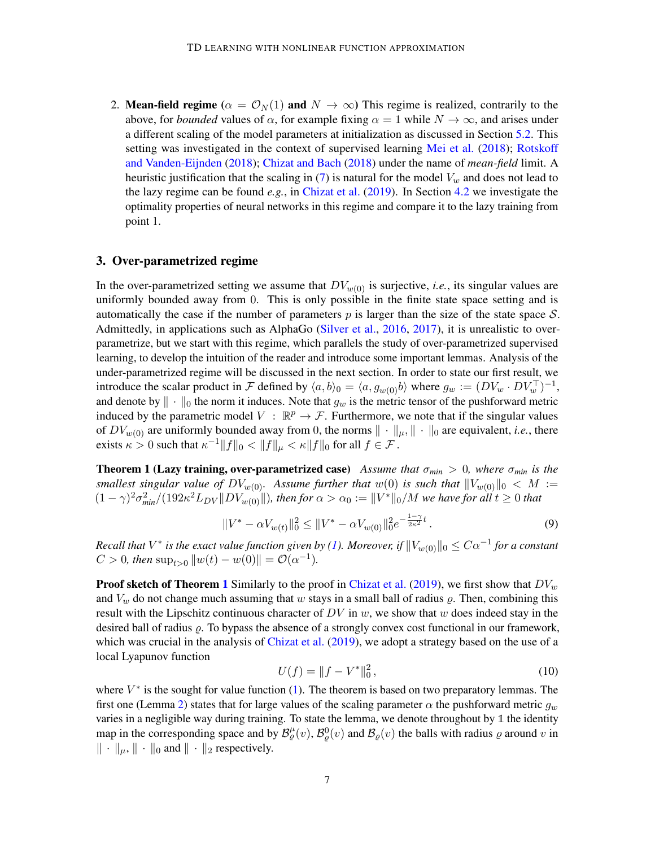<span id="page-6-1"></span>2. Mean-field regime ( $\alpha = \mathcal{O}_N(1)$  and  $N \to \infty$ ) This regime is realized, contrarily to the above, for *bounded* values of  $\alpha$ , for example fixing  $\alpha = 1$  while  $N \to \infty$ , and arises under a different scaling of the model parameters at initialization as discussed in Section [5.2.](#page-12-1) This setting was investigated in the context of supervised learning [Mei et al.](#page-17-3) [\(2018\)](#page-17-3); [Rotskoff](#page-18-6) [and Vanden-Eijnden](#page-18-6) [\(2018\)](#page-18-6); [Chizat and Bach](#page-16-3) [\(2018\)](#page-16-3) under the name of *mean-field* limit. A heuristic justification that the scaling in [\(7\)](#page-4-3) is natural for the model  $V_w$  and does not lead to the lazy regime can be found *e.g.*, in [Chizat et al.](#page-16-7) [\(2019\)](#page-16-7). In Section [4.2](#page-9-1) we investigate the optimality properties of neural networks in this regime and compare it to the lazy training from point 1.

# <span id="page-6-0"></span>3. Over-parametrized regime

In the over-parametrized setting we assume that  $DV_{w(0)}$  is surjective, *i.e.*, its singular values are uniformly bounded away from 0. This is only possible in the finite state space setting and is automatically the case if the number of parameters  $p$  is larger than the size of the state space  $S$ . Admittedly, in applications such as AlphaGo [\(Silver et al.,](#page-18-0) [2016,](#page-18-0) [2017\)](#page-18-1), it is unrealistic to overparametrize, but we start with this regime, which parallels the study of over-parametrized supervised learning, to develop the intuition of the reader and introduce some important lemmas. Analysis of the under-parametrized regime will be discussed in the next section. In order to state our first result, we introduce the scalar product in F defined by  $\langle a, b \rangle_0 = \langle a, g_{w(0)}b \rangle$  where  $g_w := (DV_w \cdot DV_w^{\top})^{-1}$ , and denote by  $\|\cdot\|_0$  the norm it induces. Note that  $g_w$  is the metric tensor of the pushforward metric induced by the parametric model  $V : \mathbb{R}^p \to \mathcal{F}$ . Furthermore, we note that if the singular values of  $DV_{w(0)}$  are uniformly bounded away from 0, the norms  $\|\cdot\|_{\mu}$ ,  $\|\cdot\|_0$  are equivalent, *i.e.*, there exists  $\kappa > 0$  such that  $\kappa^{-1} ||f||_0 < ||f||_{\mu} < \kappa ||f||_0$  for all  $f \in \mathcal{F}$ .

<span id="page-6-2"></span>**Theorem 1 (Lazy training, over-parametrized case)** *Assume that*  $\sigma_{min} > 0$ *, where*  $\sigma_{min}$  *is the smallest singular value of*  $DV_{w(0)}$ . Assume further that  $w(0)$  is such that  $||V_{w(0)}||_0 < M :=$  $(1 - \gamma)^2 \sigma_{min}^2/(192 \kappa^2 L_{DV} || DV_{w(0)} ||)$ , then for  $\alpha > \alpha_0 := ||V^*||_0/M$  we have for all  $t \ge 0$  that

$$
||V^* - \alpha V_{w(t)}||_0^2 \le ||V^* - \alpha V_{w(0)}||_0^2 e^{-\frac{1-\gamma}{2\kappa^2}t}.
$$
\n(9)

 $Recall$  that  $V^*$  is the exact value function given by [\(1\)](#page-3-2). Moreover, if  $\|V_{w(0)}\|_0 \leq C\alpha^{-1}$  for a constant  $C > 0$ , then  $\sup_{t>0} ||w(t) - w(0)|| = \mathcal{O}(\alpha^{-1}).$ 

**Proof sketch of Theorem [1](#page-6-2)** Similarly to the proof in [Chizat et al.](#page-16-7) [\(2019\)](#page-16-7), we first show that  $DV_w$ and  $V_w$  do not change much assuming that w stays in a small ball of radius  $\varrho$ . Then, combining this result with the Lipschitz continuous character of  $DV$  in w, we show that w does indeed stay in the desired ball of radius  $\rho$ . To bypass the absence of a strongly convex cost functional in our framework, which was crucial in the analysis of [Chizat et al.](#page-16-7) [\(2019\)](#page-16-7), we adopt a strategy based on the use of a local Lyapunov function

<span id="page-6-3"></span>
$$
U(f) = ||f - V^*||_0^2, \tag{10}
$$

where  $V^*$  is the sought for value function [\(1\)](#page-3-2). The theorem is based on two preparatory lemmas. The first one (Lemma [2\)](#page-6-3) states that for large values of the scaling parameter  $\alpha$  the pushforward metric  $g_w$ varies in a negligible way during training. To state the lemma, we denote throughout by **1** the identity map in the corresponding space and by  $\mathcal{B}_{\varrho}^{\mu}(v)$ ,  $\mathcal{B}_{\varrho}^{0}(v)$  and  $\mathcal{B}_{\varrho}(v)$  the balls with radius  $\varrho$  around  $v$  in  $\|\cdot\|_{\mu}$ ,  $\|\cdot\|_{0}$  and  $\|\cdot\|_{2}$  respectively.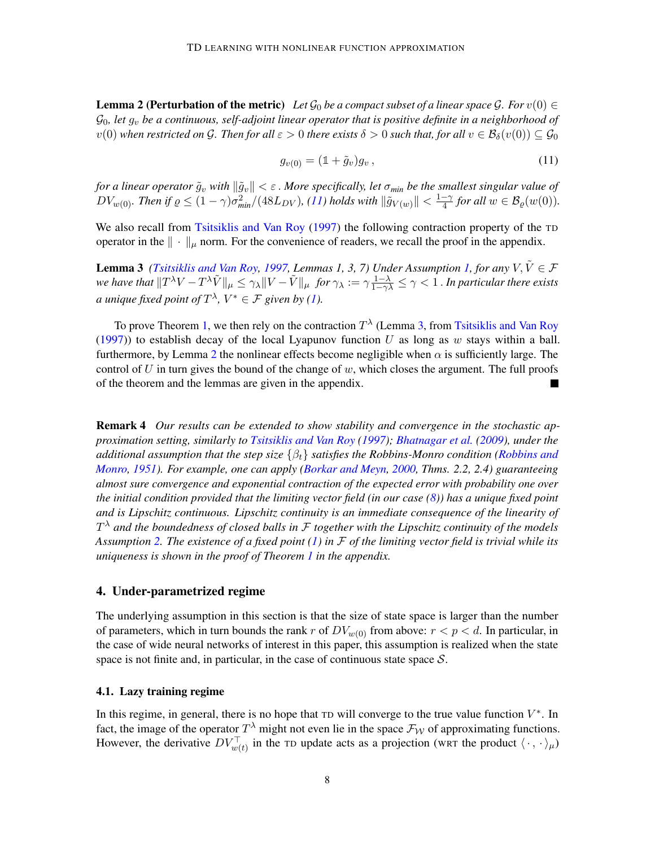**Lemma 2 (Perturbation of the metric)** Let  $\mathcal{G}_0$  be a compact subset of a linear space  $\mathcal{G}$ . For  $v(0) \in$  $\mathcal{G}_0$ , let  $g_v$  be a continuous, self-adjoint linear operator that is positive definite in a neighborhood of  $v(0)$  when restricted on G. Then for all  $\varepsilon > 0$  there exists  $\delta > 0$  such that, for all  $v \in \mathcal{B}_{\delta}(v(0)) \subseteq \mathcal{G}_{0}$ 

<span id="page-7-4"></span><span id="page-7-3"></span>
$$
g_{v(0)} = (\mathbb{1} + \tilde{g}_v)g_v, \tag{11}
$$

*for a linear operator*  $\tilde{g}_v$  *with*  $\|\tilde{g}_v\| < \varepsilon$ . *More specifically, let*  $\sigma_{min}$  *be the smallest singular value of*  $DV_{w(0)}$ . Then if  $\varrho \leq (1-\gamma)\sigma_{min}^2/(48L_{DV})$ , [\(11\)](#page-7-3) holds with  $\|\tilde{g}_{V(w)}\| < \frac{1-\gamma}{4}$  $\frac{-\gamma}{4}$  for all  $w \in \mathcal{B}_{\varrho}(w(0))$ .

We also recall from [Tsitsiklis and Van Roy](#page-19-0) [\(1997\)](#page-19-0) the following contraction property of the TD operator in the  $\|\cdot\|_{\mu}$  norm. For the convenience of readers, we recall the proof in the appendix.

**Lemma 3** *[\(Tsitsiklis and Van Roy,](#page-19-0) [1997,](#page-19-0) Lemmas [1,](#page-3-3) 3, 7) Under Assumption 1, for any*  $V, \tilde{V} \in \mathcal{F}$ we have that  $\|T^\lambda V-T^\lambda \tilde{V}\|_\mu\leq \gamma_\lambda \|V-\tilde{V}\|_\mu$  *for*  $\gamma_\lambda:=\gamma\frac{1-\lambda}{1-\gamma\lambda}\leq \gamma < 1$  . In particular there exists *a* unique fixed point of  $T^{\lambda}$ ,  $V^* \in \mathcal{F}$  given by [\(1\)](#page-3-2).

To prove Theorem [1,](#page-6-2) we then rely on the contraction  $T^{\lambda}$  (Lemma [3,](#page-7-4) from [Tsitsiklis and Van Roy](#page-19-0) [\(1997\)](#page-19-0)) to establish decay of the local Lyapunov function U as long as w stays within a ball. furthermore, by Lemma [2](#page-6-3) the nonlinear effects become negligible when  $\alpha$  is sufficiently large. The control of  $U$  in turn gives the bound of the change of  $w$ , which closes the argument. The full proofs of the theorem and the lemmas are given in the appendix.  $\blacksquare$ 

<span id="page-7-1"></span>Remark 4 *Our results can be extended to show stability and convergence in the stochastic approximation setting, similarly to [Tsitsiklis and Van Roy](#page-19-0) [\(1997\)](#page-19-0); [Bhatnagar et al.](#page-15-1) [\(2009\)](#page-15-1), under the additional assumption that the step size* {βt} *satisfies the Robbins-Monro condition [\(Robbins and](#page-18-10) [Monro,](#page-18-10) [1951\)](#page-18-10). For example, one can apply [\(Borkar and Meyn,](#page-16-11) [2000,](#page-16-11) Thms. 2.2, 2.4) guaranteeing almost sure convergence and exponential contraction of the expected error with probability one over the initial condition provided that the limiting vector field (in our case [\(8\)](#page-5-0)) has a unique fixed point and is Lipschitz continuous. Lipschitz continuity is an immediate consequence of the linearity of* T <sup>λ</sup> *and the boundedness of closed balls in* F *together with the Lipschitz continuity of the models Assumption [2.](#page-3-4) The existence of a fixed point [\(1\)](#page-3-2) in* F *of the limiting vector field is trivial while its uniqueness is shown in the proof of Theorem [1](#page-6-2) in the appendix.*

# <span id="page-7-0"></span>4. Under-parametrized regime

The underlying assumption in this section is that the size of state space is larger than the number of parameters, which in turn bounds the rank r of  $DV_{w(0)}$  from above:  $r < p < d$ . In particular, in the case of wide neural networks of interest in this paper, this assumption is realized when the state space is not finite and, in particular, in the case of continuous state space  $S$ .

#### <span id="page-7-2"></span>4.1. Lazy training regime

In this regime, in general, there is no hope that  $T_D$  will converge to the true value function  $V^*$ . In fact, the image of the operator  $T^{\lambda}$  might not even lie in the space  $\mathcal{F}_{\mathcal{W}}$  of approximating functions. However, the derivative  $DV_{w(t)}^{\top}$  in the TD update acts as a projection (WRT the product  $\langle \cdot, \cdot \rangle_{\mu}$ )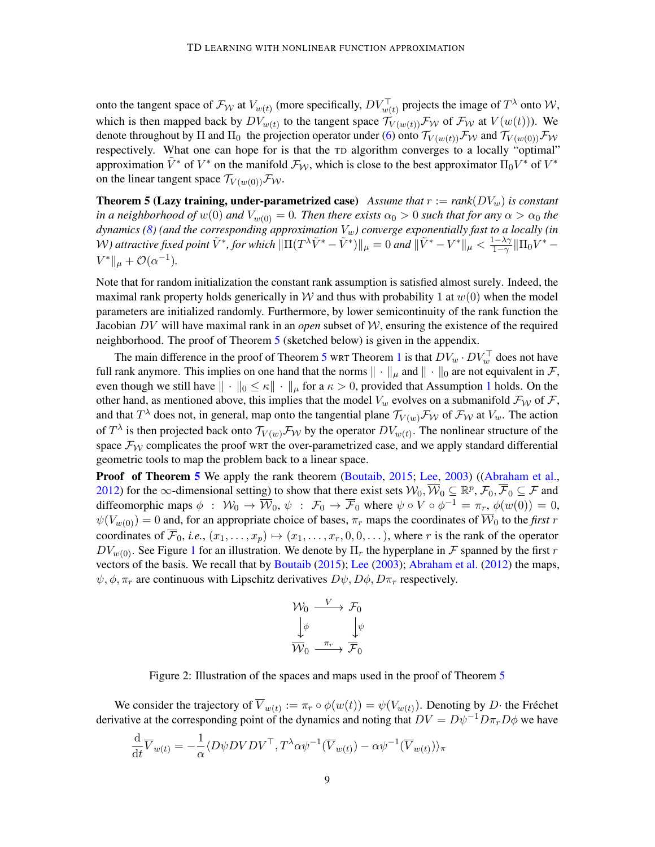onto the tangent space of  $\mathcal{F}_{\mathcal{W}}$  at  $V_{w(t)}$  (more specifically,  $DV_{w(t)}^{\top}$  projects the image of  $T^{\lambda}$  onto  $\mathcal{W}$ , which is then mapped back by  $DV_{w(t)}$  to the tangent space  $\mathcal{T}_{V(w(t))} \mathcal{F}_{\mathcal{W}}$  of  $\mathcal{F}_{\mathcal{W}}$  at  $V(w(t))$ ). We denote throughout by  $\Pi$  and  $\Pi_0$  the projection operator under [\(6\)](#page-4-4) onto  $\mathcal{T}_{V(w(t))} \mathcal{F}_{\mathcal{W}}$  and  $\mathcal{T}_{V(w(0))} \mathcal{F}_{\mathcal{W}}$ respectively. What one can hope for is that the TD algorithm converges to a locally "optimal" approximation  $\tilde{V}^*$  of  $V^*$  on the manifold  $\mathcal{F}_{W}$ , which is close to the best approximator  $\Pi_0V^*$  of  $V^*$ on the linear tangent space  $\mathcal{T}_{V(w(0))} \mathcal{F}_{W}$ .

<span id="page-8-0"></span>**Theorem 5 (Lazy training, under-parametrized case)** *Assume that*  $r := rank(DV_w)$  *is constant in a neighborhood of*  $w(0)$  *and*  $V_{w(0)} = 0$ *. Then there exists*  $\alpha_0 > 0$  *such that for any*  $\alpha > \alpha_0$  *the*  $d$ ynamics [\(8\)](#page-5-0) (and the corresponding approximation  $V_w$ ) converge exponentially fast to a locally (in W) attractive fixed point  $\tilde{V}^*$ , for which  $\|\Pi(T^{\lambda}\tilde{V}^* - \tilde{V}^*)\|_{\mu} = 0$  and  $\|\tilde{V}^* - V^*\|_{\mu} < \frac{1-\lambda\gamma}{1-\gamma}$  $\frac{1-\lambda\gamma}{1-\gamma} \| \Pi_0 V^* V^* \|_{\mu} + \mathcal{O}(\alpha^{-1}).$ 

Note that for random initialization the constant rank assumption is satisfied almost surely. Indeed, the maximal rank property holds generically in W and thus with probability 1 at  $w(0)$  when the model parameters are initialized randomly. Furthermore, by lower semicontinuity of the rank function the Jacobian DV will have maximal rank in an *open* subset of W, ensuring the existence of the required neighborhood. The proof of Theorem [5](#page-8-0) (sketched below) is given in the appendix.

The main difference in the proof of Theorem [5](#page-8-0) wr Theorem [1](#page-6-2) is that  $DV_w \cdot DV_w^{\top}$  does not have full rank anymore. This implies on one hand that the norms  $\|\cdot\|_{\mu}$  and  $\|\cdot\|_0$  are not equivalent in F, even though we still have  $\|\cdot\|_0 \leq \kappa \|\cdot\|_{\mu}$  for a  $\kappa > 0$ , provided that Assumption [1](#page-3-3) holds. On the other hand, as mentioned above, this implies that the model  $V_w$  evolves on a submanifold  $\mathcal{F}_W$  of  $\mathcal{F}$ , and that  $T^{\lambda}$  does not, in general, map onto the tangential plane  $\mathcal{T}_{V(w)}\mathcal{F}_{\mathcal{W}}$  of  $\mathcal{F}_{\mathcal{W}}$  at  $V_w$ . The action of  $T^{\lambda}$  is then projected back onto  $\mathcal{T}_{V(w)}\mathcal{F}_{\mathcal{W}}$  by the operator  $DV_{w(t)}$ . The nonlinear structure of the space  $\mathcal{F}_{W}$  complicates the proof WRT the over-parametrized case, and we apply standard differential geometric tools to map the problem back to a linear space.

**Proof of Theorem [5](#page-8-0)** We apply the rank theorem [\(Boutaib,](#page-16-13) [2015;](#page-16-13) [Lee,](#page-17-8) [2003\)](#page-17-8) ([\(Abraham et al.,](#page-15-6) [2012\)](#page-15-6) for the  $\infty$ -dimensional setting) to show that there exist sets  $\mathcal{W}_0$ ,  $\overline{\mathcal{W}}_0 \subseteq \mathbb{R}^p$ ,  $\mathcal{F}_0$ ,  $\overline{\mathcal{F}}_0 \subseteq \mathcal{F}$  and diffeomorphic maps  $\phi$  :  $\mathcal{W}_0 \to \overline{\mathcal{W}}_0$ ,  $\psi$  :  $\mathcal{F}_0 \to \overline{\mathcal{F}}_0$  where  $\psi \circ V \circ \phi^{-1} = \pi_r$ ,  $\phi(w(0)) = 0$ ,  $\psi(V_{w(0)}) = 0$  and, for an appropriate choice of bases,  $\pi_r$  maps the coordinates of  $\overline{W}_0$  to the *first* r coordinates of  $\overline{\mathcal{F}}_0$ , *i.e.*,  $(x_1, \ldots, x_p) \mapsto (x_1, \ldots, x_r, 0, 0, \ldots)$ , where r is the rank of the operator  $DV_{w(0)}$ . See Figure [1](#page-5-1) for an illustration. We denote by  $\Pi_r$  the hyperplane in F spanned by the first r vectors of the basis. We recall that by [Boutaib](#page-16-13) [\(2015\)](#page-16-13); [Lee](#page-17-8) [\(2003\)](#page-17-8); [Abraham et al.](#page-15-6) [\(2012\)](#page-15-6) the maps,  $\psi$ ,  $\phi$ ,  $\pi_r$  are continuous with Lipschitz derivatives  $D\psi$ ,  $D\phi$ ,  $D\pi_r$  respectively.

$$
\begin{array}{ccc}\n\mathcal{W}_0 & \xrightarrow{V} & \mathcal{F}_0 \\
\downarrow \phi & & \downarrow \psi \\
\hline\n\mathcal{W}_0 & \xrightarrow{\pi_r} & \mathcal{F}_0\n\end{array}
$$

Figure 2: Illustration of the spaces and maps used in the proof of Theorem [5](#page-8-0)

We consider the trajectory of  $V_{w(t)} := \pi_r \circ \phi(w(t)) = \psi(V_{w(t)})$ . Denoting by D· the Fréchet derivative at the corresponding point of the dynamics and noting that  $DV = D\psi^{-1}D\pi_rD\phi$  we have

$$
\frac{\mathrm{d}}{\mathrm{d}t}\overline{V}_{w(t)} = -\frac{1}{\alpha} \langle D\psi DVDV^{\top}, T^{\lambda} \alpha \psi^{-1} (\overline{V}_{w(t)}) - \alpha \psi^{-1} (\overline{V}_{w(t)}) \rangle_{\pi}
$$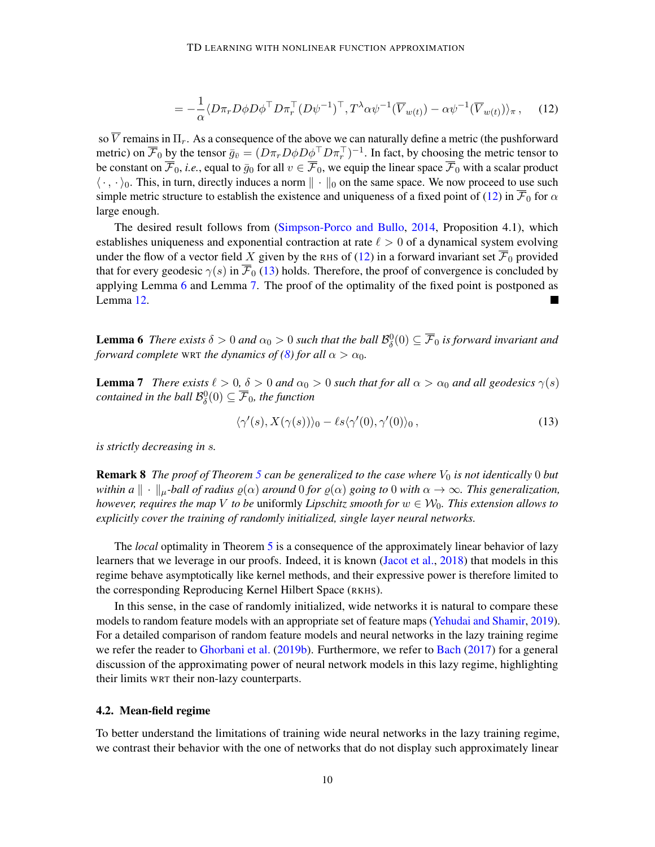<span id="page-9-0"></span>
$$
= -\frac{1}{\alpha} \langle D\pi_r D\phi D\phi^\top D\pi_r^\top (D\psi^{-1})^\top, T^\lambda \alpha \psi^{-1} (\overline{V}_{w(t)}) - \alpha \psi^{-1} (\overline{V}_{w(t)}) \rangle_\pi , \quad (12)
$$

so  $\overline{V}$  remains in  $\Pi_r$ . As a consequence of the above we can naturally define a metric (the pushforward metric) on  $\overline{F}_0$  by the tensor  $\bar{g}_{\bar{v}} = (D\pi_r D\phi D\phi^\top D\pi_r^\top)^{-1}$ . In fact, by choosing the metric tensor to be constant on  $\overline{\mathcal{F}}_0$ , *i.e.*, equal to  $\overline{g}_0$  for all  $v \in \overline{\mathcal{F}}_0$ , we equip the linear space  $\overline{\mathcal{F}}_0$  with a scalar product  $\langle \cdot, \cdot \rangle_0$ . This, in turn, directly induces a norm  $\| \cdot \|_0$  on the same space. We now proceed to use such simple metric structure to establish the existence and uniqueness of a fixed point of [\(12\)](#page-9-0) in  $\mathcal{F}_0$  for  $\alpha$ large enough.

The desired result follows from [\(Simpson-Porco and Bullo,](#page-18-11) [2014,](#page-18-11) Proposition 4.1), which establishes uniqueness and exponential contraction at rate  $\ell > 0$  of a dynamical system evolving under the flow of a vector field X given by the RHS of [\(12\)](#page-9-0) in a forward invariant set  $\overline{\mathcal{F}}_0$  provided that for every geodesic  $\gamma(s)$  in  $\overline{\mathcal{F}}_0$  [\(13\)](#page-9-2) holds. Therefore, the proof of convergence is concluded by applying Lemma [6](#page-9-3) and Lemma [7.](#page-9-4) The proof of the optimality of the fixed point is postponed as Lemma [12.](#page-27-0)

<span id="page-9-3"></span>**Lemma 6** There exists  $\delta > 0$  and  $\alpha_0 > 0$  such that the ball  $\mathcal{B}_\delta^0(0) \subseteq \overline{\mathcal{F}}_0$  is forward invariant and *forward complete* WRT *the dynamics of [\(8\)](#page-5-0) for all*  $\alpha > \alpha_0$ *.* 

<span id="page-9-4"></span>**Lemma 7** *There exists*  $\ell > 0$ ,  $\delta > 0$  *and*  $\alpha_0 > 0$  *such that for all*  $\alpha > \alpha_0$  *and all geodesics*  $\gamma(s)$ contained in the ball  $\mathcal{B}^0_\delta(0) \subseteq \overline{\mathcal{F}}_0$ , the function

<span id="page-9-2"></span>
$$
\langle \gamma'(s), X(\gamma(s)) \rangle_0 - \ell s \langle \gamma'(0), \gamma'(0) \rangle_0, \qquad (13)
$$

*is strictly decreasing in* s*.*

**Remark 8** *The proof of Theorem [5](#page-8-0) can be generalized to the case where*  $V_0$  *is not identically* 0 *but within a*  $\|\cdot\|_{\mu}$ -ball of radius  $\varrho(\alpha)$  around 0 for  $\varrho(\alpha)$  going to 0 with  $\alpha \to \infty$ . This generalization, *however, requires the map* V *to be* uniformly *Lipschitz smooth for*  $w \in W_0$ *. This extension allows to explicitly cover the training of randomly initialized, single layer neural networks.*

The *local* optimality in Theorem [5](#page-8-0) is a consequence of the approximately linear behavior of lazy learners that we leverage in our proofs. Indeed, it is known [\(Jacot et al.,](#page-16-4) [2018\)](#page-16-4) that models in this regime behave asymptotically like kernel methods, and their expressive power is therefore limited to the corresponding Reproducing Kernel Hilbert Space (RKHS).

In this sense, in the case of randomly initialized, wide networks it is natural to compare these models to random feature models with an appropriate set of feature maps [\(Yehudai and Shamir,](#page-19-11) [2019\)](#page-19-11). For a detailed comparison of random feature models and neural networks in the lazy training regime we refer the reader to [Ghorbani et al.](#page-16-14) [\(2019b\)](#page-16-14). Furthermore, we refer to [Bach](#page-15-7) [\(2017\)](#page-15-7) for a general discussion of the approximating power of neural network models in this lazy regime, highlighting their limits WRT their non-lazy counterparts.

#### <span id="page-9-1"></span>4.2. Mean-field regime

To better understand the limitations of training wide neural networks in the lazy training regime, we contrast their behavior with the one of networks that do not display such approximately linear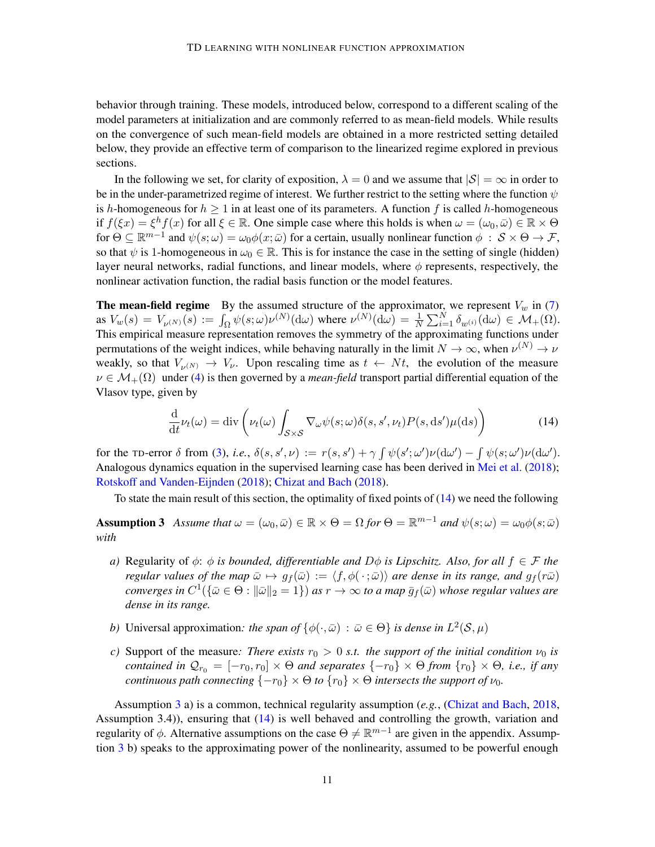behavior through training. These models, introduced below, correspond to a different scaling of the model parameters at initialization and are commonly referred to as mean-field models. While results on the convergence of such mean-field models are obtained in a more restricted setting detailed below, they provide an effective term of comparison to the linearized regime explored in previous sections.

In the following we set, for clarity of exposition,  $\lambda = 0$  and we assume that  $|\mathcal{S}| = \infty$  in order to be in the under-parametrized regime of interest. We further restrict to the setting where the function  $\psi$ is h-homogeneous for  $h > 1$  in at least one of its parameters. A function f is called h-homogeneous if  $f(\xi x) = \xi^h f(x)$  for all  $\xi \in \mathbb{R}$ . One simple case where this holds is when  $\omega = (\omega_0, \bar{\omega}) \in \mathbb{R} \times \Theta$ for  $\Theta \subseteq \mathbb{R}^{m-1}$  and  $\psi(s; \omega) = \omega_0 \phi(x; \bar{\omega})$  for a certain, usually nonlinear function  $\phi \; : \; \mathcal{S} \times \Theta \to \mathcal{F}$ , so that  $\psi$  is 1-homogeneous in  $\omega_0 \in \mathbb{R}$ . This is for instance the case in the setting of single (hidden) layer neural networks, radial functions, and linear models, where  $\phi$  represents, respectively, the nonlinear activation function, the radial basis function or the model features.

**The mean-field regime** By the assumed structure of the approximator, we represent  $V_w$  in [\(7\)](#page-4-3) as  $V_w(s) = V_{\nu^{(N)}}(s) := \int_{\Omega} \psi(s;\omega) \nu^{(N)}(\mathrm{d}\omega)$  where  $\nu^{(N)}(\mathrm{d}\omega) = \frac{1}{N} \sum_{i=1}^N \delta_{w^{(i)}}(\mathrm{d}\omega) \in \mathcal{M}_+(\Omega)$ . This empirical measure representation removes the symmetry of the approximating functions under permutations of the weight indices, while behaving naturally in the limit  $N \to \infty$ , when  $\nu^{(N)} \to \nu$ weakly, so that  $V_{\nu^{(N)}} \to V_{\nu}$ . Upon rescaling time as  $t \leftarrow Nt$ , the evolution of the measure  $\nu \in \mathcal{M}_+(\Omega)$  under [\(4\)](#page-4-1) is then governed by a *mean-field* transport partial differential equation of the Vlasov type, given by

<span id="page-10-1"></span><span id="page-10-0"></span>
$$
\frac{\mathrm{d}}{\mathrm{d}t}\nu_t(\omega) = \mathrm{div}\left(\nu_t(\omega)\int_{\mathcal{S}\times\mathcal{S}}\nabla_\omega\psi(s;\omega)\delta(s,s',\nu_t)P(s,\mathrm{d}s')\mu(\mathrm{d}s)\right) \tag{14}
$$

for the TD-error  $\delta$  from [\(3\)](#page-3-1), *i.e.*,  $\delta(s, s', \nu) := r(s, s') + \gamma \int \psi(s'; \omega') \nu(\mathrm{d}\omega') - \int \psi(s; \omega') \nu(\mathrm{d}\omega').$ Analogous dynamics equation in the supervised learning case has been derived in [Mei et al.](#page-17-3) [\(2018\)](#page-17-3); [Rotskoff and Vanden-Eijnden](#page-18-6) [\(2018\)](#page-18-6); [Chizat and Bach](#page-16-3) [\(2018\)](#page-16-3).

To state the main result of this section, the optimality of fixed points of [\(14\)](#page-10-0) we need the following

**Assumption 3** Assume that  $\omega = (\omega_0, \bar{\omega}) \in \mathbb{R} \times \Theta = \Omega$  for  $\Theta = \mathbb{R}^{m-1}$  and  $\psi(s; \omega) = \omega_0 \phi(s; \bar{\omega})$ *with*

- *a)* Regularity of  $\phi$ :  $\phi$  *is bounded, differentiable and*  $D\phi$  *is Lipschitz. Also, for all*  $f \in \mathcal{F}$  *the regular values of the map*  $\bar{\omega} \mapsto g_f(\bar{\omega}) := \langle f, \phi(\cdot; \bar{\omega})\rangle$  *are dense in its range, and*  $g_f(r\bar{\omega})$  $converges$  in  $C^1(\{\bar\omega\in\Theta:\|\bar\omega\|_2=1\})$  as  $r\to\infty$  to a map  $\bar g_f(\bar\omega)$  whose regular values are *dense in its range.*
- *b*) Universal approximation: the span of  $\{\phi(\cdot,\bar{\omega}) : \bar{\omega} \in \Theta\}$  is dense in  $L^2(\mathcal{S},\mu)$
- *c*) Support of the measure: There exists  $r_0 > 0$  *s.t. the support of the initial condition*  $\nu_0$  *is contained in*  $\mathcal{Q}_{r_0} = [-r_0, r_0] \times \Theta$  *and separates*  $\{-r_0\} \times \Theta$  *from*  $\{r_0\} \times \Theta$ *, i.e., if any continuous path connecting*  $\{-r_0\} \times \Theta$  *to*  $\{r_0\} \times \Theta$  *intersects the support of*  $\nu_0$ *.*

Assumption [3](#page-10-1) a) is a common, technical regularity assumption (*e.g.*, [\(Chizat and Bach,](#page-16-3) [2018,](#page-16-3) Assumption 3.4)), ensuring that [\(14\)](#page-10-0) is well behaved and controlling the growth, variation and regularity of  $\phi$ . Alternative assumptions on the case  $\Theta \neq \mathbb{R}^{m-1}$  are given in the appendix. Assumption [3](#page-10-1) b) speaks to the approximating power of the nonlinearity, assumed to be powerful enough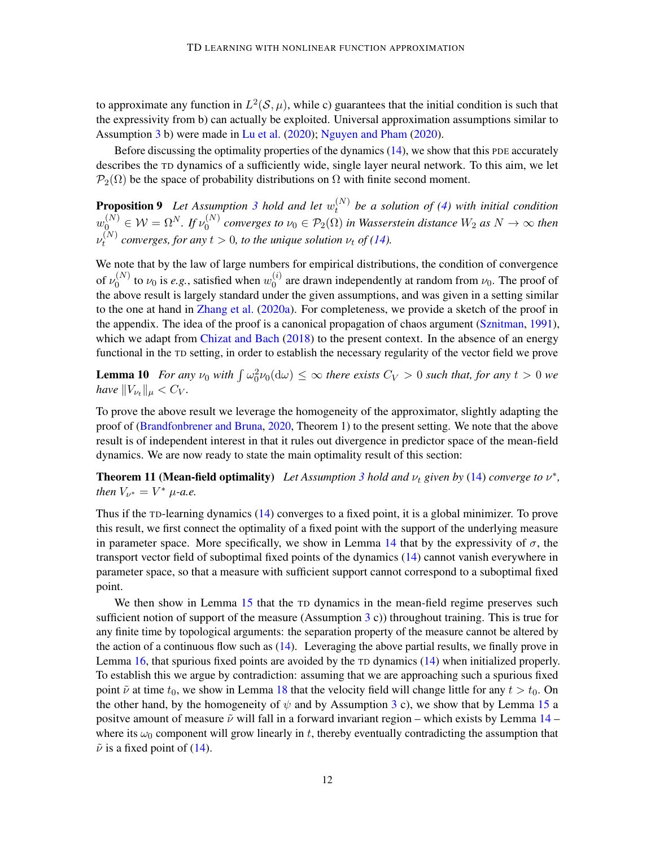to approximate any function in  $L^2(\mathcal{S}, \mu)$ , while c) guarantees that the initial condition is such that the expressivity from b) can actually be exploited. Universal approximation assumptions similar to Assumption [3](#page-10-1) b) were made in [Lu et al.](#page-17-9) [\(2020\)](#page-17-10); [Nguyen and Pham](#page-17-10) (2020).

Before discussing the optimality properties of the dynamics  $(14)$ , we show that this PDE accurately describes the TD dynamics of a sufficiently wide, single layer neural network. To this aim, we let  $\mathcal{P}_2(\Omega)$  be the space of probability distributions on  $\Omega$  with finite second moment.

<span id="page-11-1"></span>**Proposition 9** Let Assumption [3](#page-10-1) hold and let  $w_t^{(N)}$ t *be a solution of [\(4\)](#page-4-1) with initial condition*  $w_0^{(N)} \in \mathcal{W} = \Omega^N$ . If  $\nu_0^{(N)}$  $O_0^{(N)}$  converges to  $\nu_0 \in \mathcal{P}_2(\Omega)$  in Wasserstein distance  $W_2$  as  $N \to \infty$  then  $\nu_t^{(N)}$ *c*<sup>(*xv*</sup>) converges, for any  $t > 0$ , to the unique solution  $\nu_t$  of [\(14\)](#page-10-0).

We note that by the law of large numbers for empirical distributions, the condition of convergence of  $\nu_0^{(N)}$  $\binom{N}{0}$  to  $\nu_0$  is *e.g.*, satisfied when  $w_0^{(i)}$  $\binom{0}{0}$  are drawn independently at random from  $\nu_0$ . The proof of the above result is largely standard under the given assumptions, and was given in a setting similar to the one at hand in [Zhang et al.](#page-19-7) [\(2020a\)](#page-19-7). For completeness, we provide a sketch of the proof in the appendix. The idea of the proof is a canonical propagation of chaos argument [\(Sznitman,](#page-19-12) [1991\)](#page-19-12), which we adapt from [Chizat and Bach](#page-16-3) [\(2018\)](#page-16-3) to the present context. In the absence of an energy functional in the TD setting, in order to establish the necessary regularity of the vector field we prove

<span id="page-11-2"></span>**Lemma 10** For any  $\nu_0$  with  $\int \omega_0^2 \nu_0(d\omega) \leq \infty$  there exists  $C_V > 0$  such that, for any  $t > 0$  we *have*  $||V_{\nu_{t}}||_{\mu} < C_{V}$ *.* 

To prove the above result we leverage the homogeneity of the approximator, slightly adapting the proof of [\(Brandfonbrener and Bruna,](#page-16-9) [2020,](#page-16-9) Theorem 1) to the present setting. We note that the above result is of independent interest in that it rules out divergence in predictor space of the mean-field dynamics. We are now ready to state the main optimality result of this section:

<span id="page-11-0"></span>**Theorem 11 (Mean-field optimality)** Let Assumption [3](#page-10-1) hold and  $\nu_t$  given by [\(14\)](#page-10-0) converge to  $\nu^*$ , *then*  $V_{\nu^*} = V^* \mu$ -*a.e.* 

Thus if the TD-learning dynamics [\(14\)](#page-10-0) converges to a fixed point, it is a global minimizer. To prove this result, we first connect the optimality of a fixed point with the support of the underlying measure in parameter space. More specifically, we show in Lemma [14](#page-34-0) that by the expressivity of  $\sigma$ , the transport vector field of suboptimal fixed points of the dynamics [\(14\)](#page-10-0) cannot vanish everywhere in parameter space, so that a measure with sufficient support cannot correspond to a suboptimal fixed point.

We then show in Lemma [15](#page-34-1) that the TD dynamics in the mean-field regime preserves such sufficient notion of support of the measure (Assumption [3](#page-10-1) c)) throughout training. This is true for any finite time by topological arguments: the separation property of the measure cannot be altered by the action of a continuous flow such as [\(14\)](#page-10-0). Leveraging the above partial results, we finally prove in Lemma [16,](#page-35-0) that spurious fixed points are avoided by the TD dynamics [\(14\)](#page-10-0) when initialized properly. To establish this we argue by contradiction: assuming that we are approaching such a spurious fixed point  $\tilde{\nu}$  at time  $t_0$ , we show in Lemma [18](#page-37-1) that the velocity field will change little for any  $t > t_0$ . On the other hand, by the homogeneity of  $\psi$  and by Assumption [3](#page-10-1) c), we show that by Lemma [15](#page-34-1) a positve amount of measure  $\tilde{\nu}$  will fall in a forward invariant region – which exists by Lemma [14](#page-34-0) – where its  $\omega_0$  component will grow linearly in t, thereby eventually contradicting the assumption that  $\tilde{\nu}$  is a fixed point of [\(14\)](#page-10-0).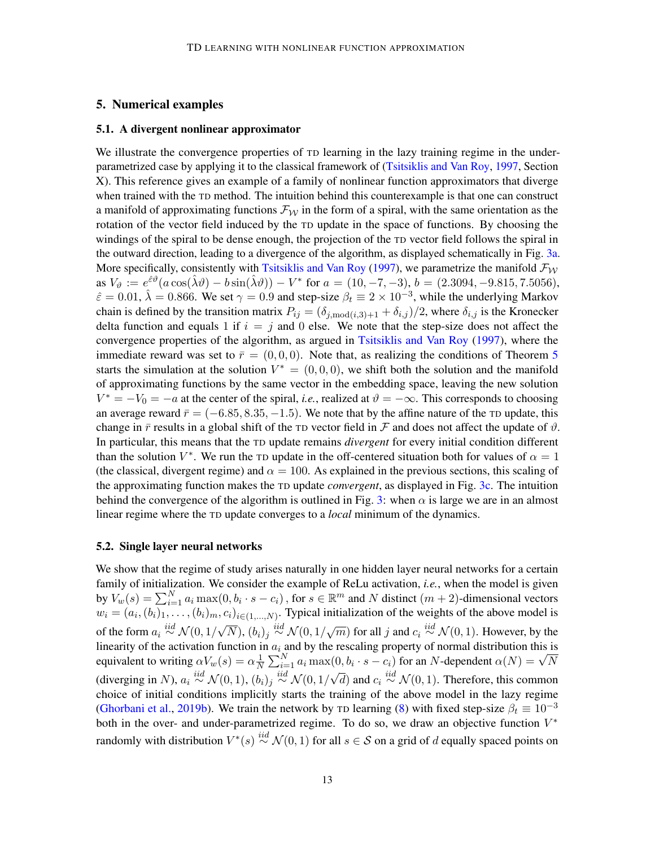# <span id="page-12-0"></span>5. Numerical examples

#### <span id="page-12-2"></span>5.1. A divergent nonlinear approximator

We illustrate the convergence properties of TD learning in the lazy training regime in the underparametrized case by applying it to the classical framework of [\(Tsitsiklis and Van Roy,](#page-19-0) [1997,](#page-19-0) Section X). This reference gives an example of a family of nonlinear function approximators that diverge when trained with the TD method. The intuition behind this counterexample is that one can construct a manifold of approximating functions  $\mathcal{F}_{W}$  in the form of a spiral, with the same orientation as the rotation of the vector field induced by the TD update in the space of functions. By choosing the windings of the spiral to be dense enough, the projection of the TD vector field follows the spiral in the outward direction, leading to a divergence of the algorithm, as displayed schematically in Fig. [3a.](#page-13-1) More specifically, consistently with [Tsitsiklis and Van Roy](#page-19-0) [\(1997\)](#page-19-0), we parametrize the manifold  $\mathcal{F}_{W}$ as  $V_{\vartheta} := e^{\hat{\varepsilon}\vartheta}(a\cos(\hat{\lambda}\vartheta) - b\sin(\hat{\lambda}\vartheta)) - V^*$  for  $a = (10, -7, -3), b = (2.3094, -9.815, 7.5056),$  $\hat{\epsilon} = 0.01$ ,  $\hat{\lambda} = 0.866$ . We set  $\gamma = 0.9$  and step-size  $\beta_t \equiv 2 \times 10^{-3}$ , while the underlying Markov chain is defined by the transition matrix  $P_{ij} = (\delta_{j, \text{mod}(i,3)+1} + \delta_{i,j})/2$ , where  $\delta_{i,j}$  is the Kronecker delta function and equals 1 if  $i = j$  and 0 else. We note that the step-size does not affect the convergence properties of the algorithm, as argued in [Tsitsiklis and Van Roy](#page-19-0) [\(1997\)](#page-19-0), where the immediate reward was set to  $\bar{r} = (0, 0, 0)$ . Note that, as realizing the conditions of Theorem [5](#page-8-0) starts the simulation at the solution  $V^* = (0,0,0)$ , we shift both the solution and the manifold of approximating functions by the same vector in the embedding space, leaving the new solution  $V^* = -V_0 = -a$  at the center of the spiral, *i.e.*, realized at  $\vartheta = -\infty$ . This corresponds to choosing an average reward  $\bar{r} = (-6.85, 8.35, -1.5)$ . We note that by the affine nature of the TD update, this change in  $\bar{r}$  results in a global shift of the TD vector field in  $\bar{F}$  and does not affect the update of  $\vartheta$ . In particular, this means that the TD update remains *divergent* for every initial condition different than the solution  $V^*$ . We run the TD update in the off-centered situation both for values of  $\alpha = 1$ (the classical, divergent regime) and  $\alpha = 100$ . As explained in the previous sections, this scaling of the approximating function makes the TD update *convergent*, as displayed in Fig. [3c.](#page-13-2) The intuition behind the convergence of the algorithm is outlined in Fig. [3:](#page-13-3) when  $\alpha$  is large we are in an almost linear regime where the TD update converges to a *local* minimum of the dynamics.

#### <span id="page-12-1"></span>5.2. Single layer neural networks

We show that the regime of study arises naturally in one hidden layer neural networks for a certain family of initialization. We consider the example of ReLu activation, *i.e.*, when the model is given by  $V_w(s) = \sum_{i=1}^N a_i \max(0, b_i \cdot s - c_i)$ , for  $s \in \mathbb{R}^m$  and N distinct  $(m+2)$ -dimensional vectors  $w_i = (a_i, (b_i)_1, \ldots, (b_i)_m, c_i)_{i \in (1,\ldots,N)}$ . Typical initialization of the weights of the above model is of the form  $a_i \stackrel{iid}{\sim} \mathcal{N}(0, 1/\sqrt{1})$  $\overline{N}$ ,  $(b_i)_j \stackrel{iid}{\sim} \mathcal{N}(0, 1/\sqrt{m})$  for all j and  $c_i \stackrel{iid}{\sim} \mathcal{N}(0, 1)$ . However, by the linearity of the activation function in  $a_i$  and by the rescaling property of normal distribution this is equivalent to writing  $\alpha V_w(s) = \alpha \frac{1}{N}$ in  $a_i$  and by the rescaling property of normal distribution this is<br> $\frac{1}{N} \sum_{i=1}^{N} a_i \max(0, b_i \cdot s - c_i)$  for an N-dependent  $\alpha(N) = \sqrt{N}$ (diverging in N),  $a_i \stackrel{iid}{\sim} \mathcal{N}(0, 1)$ ,  $(b_i)_j \stackrel{iid}{\sim} \mathcal{N}(0, 1/\sqrt{2})$  $\overline{d}$ ) and  $c_i \stackrel{iid}{\sim} \mathcal{N}(0, 1)$ . Therefore, this common choice of initial conditions implicitly starts the training of the above model in the lazy regime [\(Ghorbani et al.,](#page-16-14) [2019b\)](#page-16-14). We train the network by TD learning [\(8\)](#page-5-0) with fixed step-size  $\beta_t \equiv 10^{-3}$ both in the over- and under-parametrized regime. To do so, we draw an objective function  $V^*$ randomly with distribution  $V^*(s) \stackrel{iid}{\sim} \mathcal{N}(0, 1)$  for all  $s \in \mathcal{S}$  on a grid of  $d$  equally spaced points on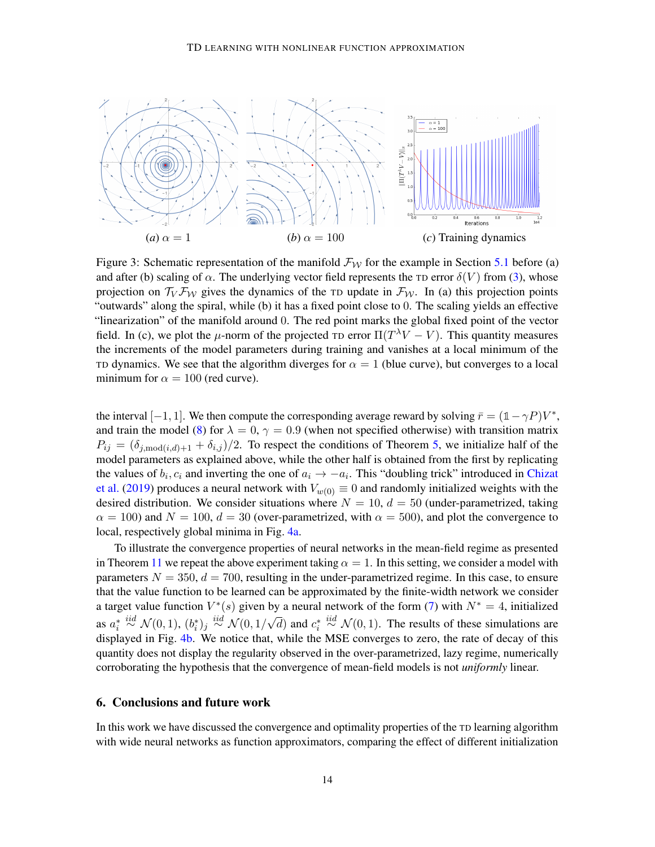<span id="page-13-3"></span><span id="page-13-1"></span>

<span id="page-13-2"></span>Figure 3: Schematic representation of the manifold  $\mathcal{F}_{\mathcal{W}}$  for the example in Section [5.1](#page-12-2) before (a) and after (b) scaling of  $\alpha$ . The underlying vector field represents the TD error  $\delta(V)$  from [\(3\)](#page-3-1), whose projection on  $\mathcal{T}_V \mathcal{F}_W$  gives the dynamics of the TD update in  $\mathcal{F}_W$ . In (a) this projection points "outwards" along the spiral, while (b) it has a fixed point close to 0. The scaling yields an effective "linearization" of the manifold around 0. The red point marks the global fixed point of the vector field. In (c), we plot the  $\mu$ -norm of the projected TD error  $\Pi(T^{\lambda}V - V)$ . This quantity measures the increments of the model parameters during training and vanishes at a local minimum of the TD dynamics. We see that the algorithm diverges for  $\alpha = 1$  (blue curve), but converges to a local minimum for  $\alpha = 100$  (red curve).

the interval  $[-1, 1]$ . We then compute the corresponding average reward by solving  $\bar{r} = (1 - \gamma P)V^*$ , and train the model [\(8\)](#page-5-0) for  $\lambda = 0$ ,  $\gamma = 0.9$  (when not specified otherwise) with transition matrix  $P_{ij} = (\delta_{j, \text{mod}(i,d)+1} + \delta_{i,j})/2$ . To respect the conditions of Theorem [5,](#page-8-0) we initialize half of the model parameters as explained above, while the other half is obtained from the first by replicating the values of  $b_i, c_i$  and inverting the one of  $a_i \rightarrow -a_i$ . This "doubling trick" introduced in [Chizat](#page-16-7) [et al.](#page-16-7) [\(2019\)](#page-16-7) produces a neural network with  $V_{w(0)} \equiv 0$  and randomly initialized weights with the desired distribution. We consider situations where  $N = 10$ ,  $d = 50$  (under-parametrized, taking  $\alpha = 100$ ) and  $N = 100$ ,  $d = 30$  (over-parametrized, with  $\alpha = 500$ ), and plot the convergence to local, respectively global minima in Fig. [4a.](#page-14-0)

To illustrate the convergence properties of neural networks in the mean-field regime as presented in Theorem [11](#page-11-0) we repeat the above experiment taking  $\alpha = 1$ . In this setting, we consider a model with parameters  $N = 350, d = 700$ , resulting in the under-parametrized regime. In this case, to ensure that the value function to be learned can be approximated by the finite-width network we consider a target value function  $V^*(s)$  given by a neural network of the form [\(7\)](#page-4-3) with  $N^* = 4$ , initialized as  $a_i^* \stackrel{iid}{\sim} \mathcal{N}(0, 1)$ ,  $(b_i^*)_j \stackrel{iid}{\sim} \mathcal{N}(0, 1/\sqrt{1})$  $\overline{d}$ ) and  $c_i^* \stackrel{iid}{\sim} \mathcal{N}(0, 1)$ . The results of these simulations are displayed in Fig. [4b.](#page-14-1) We notice that, while the MSE converges to zero, the rate of decay of this quantity does not display the regularity observed in the over-parametrized, lazy regime, numerically corroborating the hypothesis that the convergence of mean-field models is not *uniformly* linear.

#### <span id="page-13-0"></span>6. Conclusions and future work

In this work we have discussed the convergence and optimality properties of the TD learning algorithm with wide neural networks as function approximators, comparing the effect of different initialization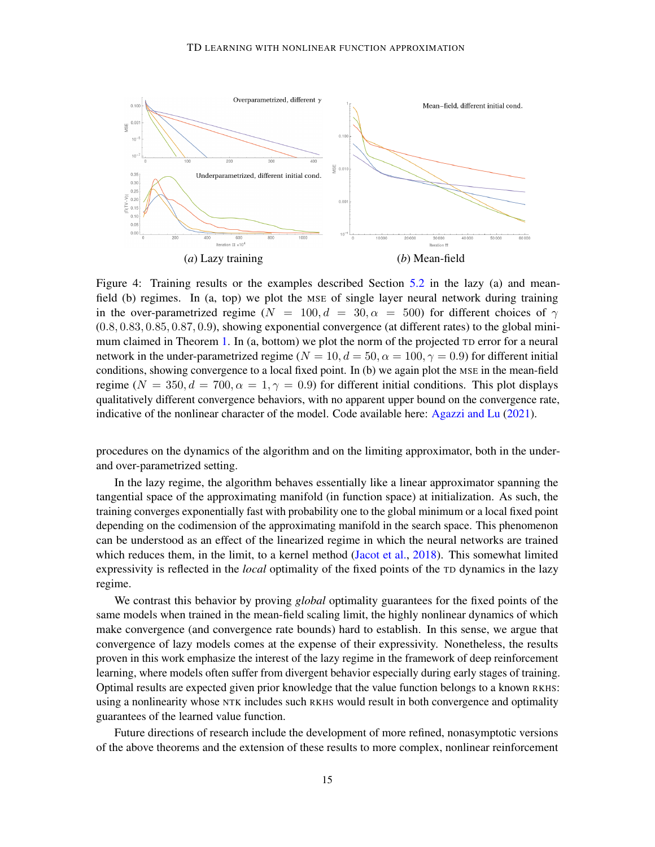<span id="page-14-0"></span>

<span id="page-14-1"></span>Figure 4: Training results or the examples described Section [5.2](#page-12-1) in the lazy (a) and meanfield (b) regimes. In (a, top) we plot the MSE of single layer neural network during training in the over-parametrized regime ( $N = 100, d = 30, \alpha = 500$ ) for different choices of  $\gamma$ (0.8, 0.83, 0.85, 0.87, 0.9), showing exponential convergence (at different rates) to the global mini-mum claimed in Theorem [1.](#page-6-2) In (a, bottom) we plot the norm of the projected TD error for a neural network in the under-parametrized regime ( $N = 10, d = 50, \alpha = 100, \gamma = 0.9$ ) for different initial conditions, showing convergence to a local fixed point. In (b) we again plot the MSE in the mean-field regime ( $N = 350, d = 700, \alpha = 1, \gamma = 0.9$ ) for different initial conditions. This plot displays qualitatively different convergence behaviors, with no apparent upper bound on the convergence rate, indicative of the nonlinear character of the model. Code available here: [Agazzi and Lu](#page-15-8) [\(2021\)](#page-15-8).

procedures on the dynamics of the algorithm and on the limiting approximator, both in the underand over-parametrized setting.

In the lazy regime, the algorithm behaves essentially like a linear approximator spanning the tangential space of the approximating manifold (in function space) at initialization. As such, the training converges exponentially fast with probability one to the global minimum or a local fixed point depending on the codimension of the approximating manifold in the search space. This phenomenon can be understood as an effect of the linearized regime in which the neural networks are trained which reduces them, in the limit, to a kernel method [\(Jacot et al.,](#page-16-4) [2018\)](#page-16-4). This somewhat limited expressivity is reflected in the *local* optimality of the fixed points of the TD dynamics in the lazy regime.

We contrast this behavior by proving *global* optimality guarantees for the fixed points of the same models when trained in the mean-field scaling limit, the highly nonlinear dynamics of which make convergence (and convergence rate bounds) hard to establish. In this sense, we argue that convergence of lazy models comes at the expense of their expressivity. Nonetheless, the results proven in this work emphasize the interest of the lazy regime in the framework of deep reinforcement learning, where models often suffer from divergent behavior especially during early stages of training. Optimal results are expected given prior knowledge that the value function belongs to a known RKHS: using a nonlinearity whose NTK includes such RKHS would result in both convergence and optimality guarantees of the learned value function.

Future directions of research include the development of more refined, nonasymptotic versions of the above theorems and the extension of these results to more complex, nonlinear reinforcement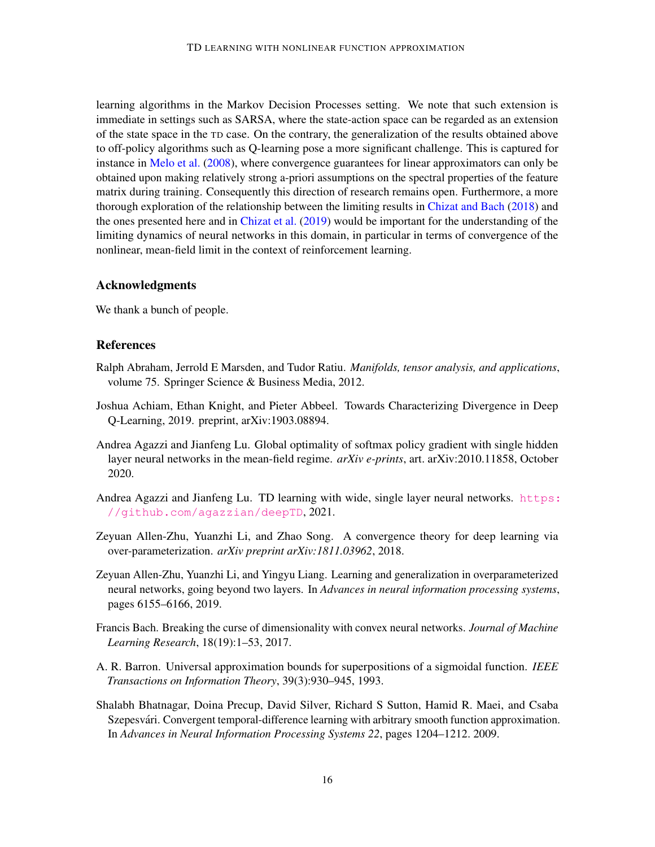learning algorithms in the Markov Decision Processes setting. We note that such extension is immediate in settings such as SARSA, where the state-action space can be regarded as an extension of the state space in the TD case. On the contrary, the generalization of the results obtained above to off-policy algorithms such as Q-learning pose a more significant challenge. This is captured for instance in [Melo et al.](#page-17-11) [\(2008\)](#page-17-11), where convergence guarantees for linear approximators can only be obtained upon making relatively strong a-priori assumptions on the spectral properties of the feature matrix during training. Consequently this direction of research remains open. Furthermore, a more thorough exploration of the relationship between the limiting results in [Chizat and Bach](#page-16-3) [\(2018\)](#page-16-3) and the ones presented here and in [Chizat et al.](#page-16-7) [\(2019\)](#page-16-7) would be important for the understanding of the limiting dynamics of neural networks in this domain, in particular in terms of convergence of the nonlinear, mean-field limit in the context of reinforcement learning.

# Acknowledgments

We thank a bunch of people.

# **References**

- <span id="page-15-6"></span>Ralph Abraham, Jerrold E Marsden, and Tudor Ratiu. *Manifolds, tensor analysis, and applications*, volume 75. Springer Science & Business Media, 2012.
- <span id="page-15-4"></span>Joshua Achiam, Ethan Knight, and Pieter Abbeel. Towards Characterizing Divergence in Deep Q-Learning, 2019. preprint, arXiv:1903.08894.
- <span id="page-15-5"></span>Andrea Agazzi and Jianfeng Lu. Global optimality of softmax policy gradient with single hidden layer neural networks in the mean-field regime. *arXiv e-prints*, art. arXiv:2010.11858, October 2020.
- <span id="page-15-8"></span>Andrea Agazzi and Jianfeng Lu. TD learning with wide, single layer neural networks. [https:](https://github.com/agazzian/deepTD) [//github.com/agazzian/deepTD](https://github.com/agazzian/deepTD), 2021.
- <span id="page-15-2"></span>Zeyuan Allen-Zhu, Yuanzhi Li, and Zhao Song. A convergence theory for deep learning via over-parameterization. *arXiv preprint arXiv:1811.03962*, 2018.
- <span id="page-15-3"></span>Zeyuan Allen-Zhu, Yuanzhi Li, and Yingyu Liang. Learning and generalization in overparameterized neural networks, going beyond two layers. In *Advances in neural information processing systems*, pages 6155–6166, 2019.
- <span id="page-15-7"></span>Francis Bach. Breaking the curse of dimensionality with convex neural networks. *Journal of Machine Learning Research*, 18(19):1–53, 2017.
- <span id="page-15-0"></span>A. R. Barron. Universal approximation bounds for superpositions of a sigmoidal function. *IEEE Transactions on Information Theory*, 39(3):930–945, 1993.
- <span id="page-15-1"></span>Shalabh Bhatnagar, Doina Precup, David Silver, Richard S Sutton, Hamid R. Maei, and Csaba Szepesvári. Convergent temporal-difference learning with arbitrary smooth function approximation. In *Advances in Neural Information Processing Systems 22*, pages 1204–1212. 2009.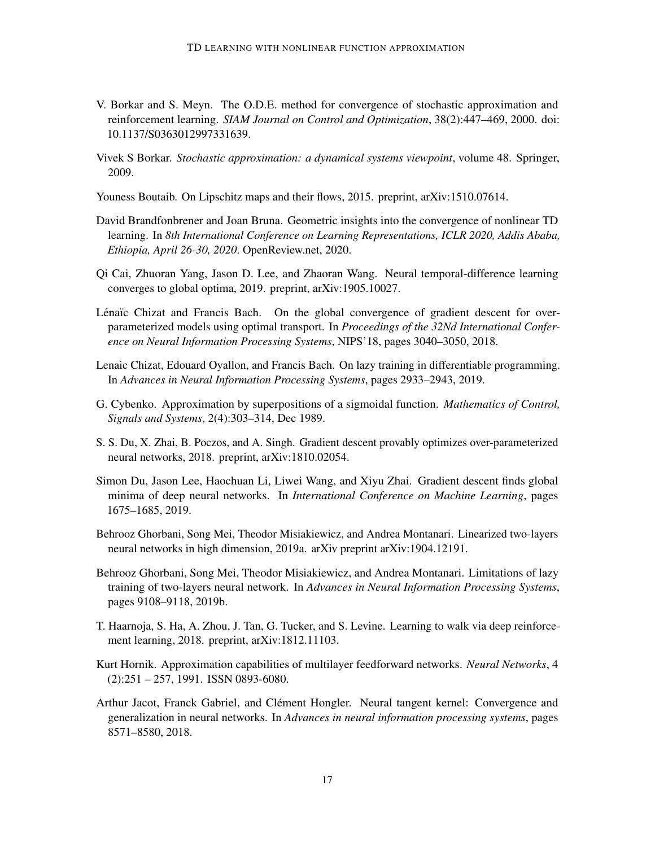- <span id="page-16-11"></span>V. Borkar and S. Meyn. The O.D.E. method for convergence of stochastic approximation and reinforcement learning. *SIAM Journal on Control and Optimization*, 38(2):447–469, 2000. doi: 10.1137/S0363012997331639.
- <span id="page-16-12"></span>Vivek S Borkar. *Stochastic approximation: a dynamical systems viewpoint*, volume 48. Springer, 2009.
- <span id="page-16-13"></span>Youness Boutaib. On Lipschitz maps and their flows, 2015. preprint, arXiv:1510.07614.
- <span id="page-16-9"></span>David Brandfonbrener and Joan Bruna. Geometric insights into the convergence of nonlinear TD learning. In *8th International Conference on Learning Representations, ICLR 2020, Addis Ababa, Ethiopia, April 26-30, 2020*. OpenReview.net, 2020.
- <span id="page-16-10"></span>Qi Cai, Zhuoran Yang, Jason D. Lee, and Zhaoran Wang. Neural temporal-difference learning converges to global optima, 2019. preprint, arXiv:1905.10027.
- <span id="page-16-3"></span>Lénaïc Chizat and Francis Bach. On the global convergence of gradient descent for overparameterized models using optimal transport. In *Proceedings of the 32Nd International Conference on Neural Information Processing Systems*, NIPS'18, pages 3040–3050, 2018.
- <span id="page-16-7"></span>Lenaic Chizat, Edouard Oyallon, and Francis Bach. On lazy training in differentiable programming. In *Advances in Neural Information Processing Systems*, pages 2933–2943, 2019.
- <span id="page-16-1"></span>G. Cybenko. Approximation by superpositions of a sigmoidal function. *Mathematics of Control, Signals and Systems*, 2(4):303–314, Dec 1989.
- <span id="page-16-5"></span>S. S. Du, X. Zhai, B. Poczos, and A. Singh. Gradient descent provably optimizes over-parameterized neural networks, 2018. preprint, arXiv:1810.02054.
- <span id="page-16-6"></span>Simon Du, Jason Lee, Haochuan Li, Liwei Wang, and Xiyu Zhai. Gradient descent finds global minima of deep neural networks. In *International Conference on Machine Learning*, pages 1675–1685, 2019.
- <span id="page-16-8"></span>Behrooz Ghorbani, Song Mei, Theodor Misiakiewicz, and Andrea Montanari. Linearized two-layers neural networks in high dimension, 2019a. arXiv preprint arXiv:1904.12191.
- <span id="page-16-14"></span>Behrooz Ghorbani, Song Mei, Theodor Misiakiewicz, and Andrea Montanari. Limitations of lazy training of two-layers neural network. In *Advances in Neural Information Processing Systems*, pages 9108–9118, 2019b.
- <span id="page-16-0"></span>T. Haarnoja, S. Ha, A. Zhou, J. Tan, G. Tucker, and S. Levine. Learning to walk via deep reinforcement learning, 2018. preprint, arXiv:1812.11103.
- <span id="page-16-2"></span>Kurt Hornik. Approximation capabilities of multilayer feedforward networks. *Neural Networks*, 4 (2):251 – 257, 1991. ISSN 0893-6080.
- <span id="page-16-4"></span>Arthur Jacot, Franck Gabriel, and Clément Hongler. Neural tangent kernel: Convergence and generalization in neural networks. In *Advances in neural information processing systems*, pages 8571–8580, 2018.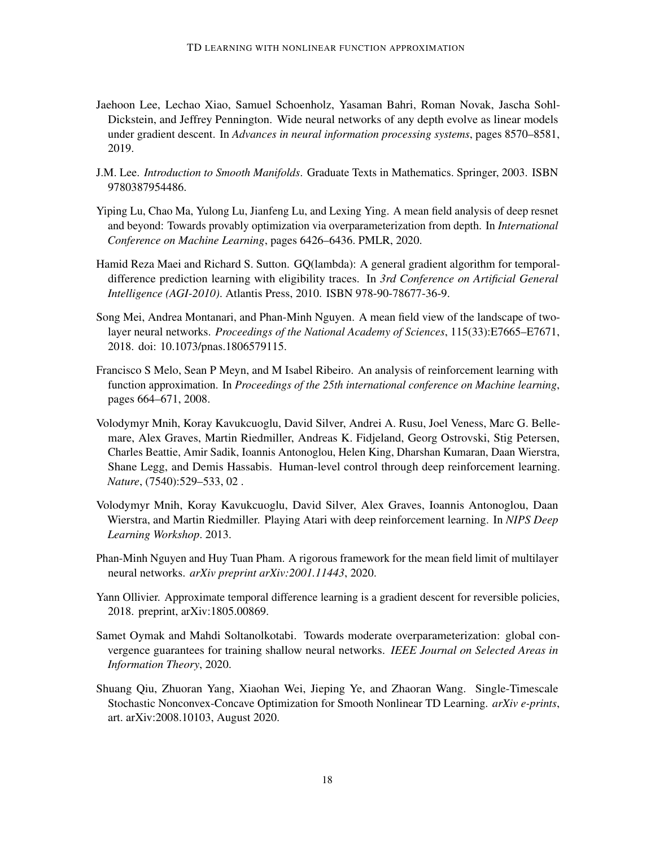- <span id="page-17-5"></span>Jaehoon Lee, Lechao Xiao, Samuel Schoenholz, Yasaman Bahri, Roman Novak, Jascha Sohl-Dickstein, and Jeffrey Pennington. Wide neural networks of any depth evolve as linear models under gradient descent. In *Advances in neural information processing systems*, pages 8570–8581, 2019.
- <span id="page-17-8"></span>J.M. Lee. *Introduction to Smooth Manifolds*. Graduate Texts in Mathematics. Springer, 2003. ISBN 9780387954486.
- <span id="page-17-9"></span>Yiping Lu, Chao Ma, Yulong Lu, Jianfeng Lu, and Lexing Ying. A mean field analysis of deep resnet and beyond: Towards provably optimization via overparameterization from depth. In *International Conference on Machine Learning*, pages 6426–6436. PMLR, 2020.
- <span id="page-17-2"></span>Hamid Reza Maei and Richard S. Sutton. GQ(lambda): A general gradient algorithm for temporaldifference prediction learning with eligibility traces. In *3rd Conference on Artificial General Intelligence (AGI-2010)*. Atlantis Press, 2010. ISBN 978-90-78677-36-9.
- <span id="page-17-3"></span>Song Mei, Andrea Montanari, and Phan-Minh Nguyen. A mean field view of the landscape of twolayer neural networks. *Proceedings of the National Academy of Sciences*, 115(33):E7665–E7671, 2018. doi: 10.1073/pnas.1806579115.
- <span id="page-17-11"></span>Francisco S Melo, Sean P Meyn, and M Isabel Ribeiro. An analysis of reinforcement learning with function approximation. In *Proceedings of the 25th international conference on Machine learning*, pages 664–671, 2008.
- <span id="page-17-1"></span>Volodymyr Mnih, Koray Kavukcuoglu, David Silver, Andrei A. Rusu, Joel Veness, Marc G. Bellemare, Alex Graves, Martin Riedmiller, Andreas K. Fidjeland, Georg Ostrovski, Stig Petersen, Charles Beattie, Amir Sadik, Ioannis Antonoglou, Helen King, Dharshan Kumaran, Daan Wierstra, Shane Legg, and Demis Hassabis. Human-level control through deep reinforcement learning. *Nature*, (7540):529–533, 02 .
- <span id="page-17-0"></span>Volodymyr Mnih, Koray Kavukcuoglu, David Silver, Alex Graves, Ioannis Antonoglou, Daan Wierstra, and Martin Riedmiller. Playing Atari with deep reinforcement learning. In *NIPS Deep Learning Workshop*. 2013.
- <span id="page-17-10"></span>Phan-Minh Nguyen and Huy Tuan Pham. A rigorous framework for the mean field limit of multilayer neural networks. *arXiv preprint arXiv:2001.11443*, 2020.
- <span id="page-17-6"></span>Yann Ollivier. Approximate temporal difference learning is a gradient descent for reversible policies, 2018. preprint, arXiv:1805.00869.
- <span id="page-17-4"></span>Samet Oymak and Mahdi Soltanolkotabi. Towards moderate overparameterization: global convergence guarantees for training shallow neural networks. *IEEE Journal on Selected Areas in Information Theory*, 2020.
- <span id="page-17-7"></span>Shuang Qiu, Zhuoran Yang, Xiaohan Wei, Jieping Ye, and Zhaoran Wang. Single-Timescale Stochastic Nonconvex-Concave Optimization for Smooth Nonlinear TD Learning. *arXiv e-prints*, art. arXiv:2008.10103, August 2020.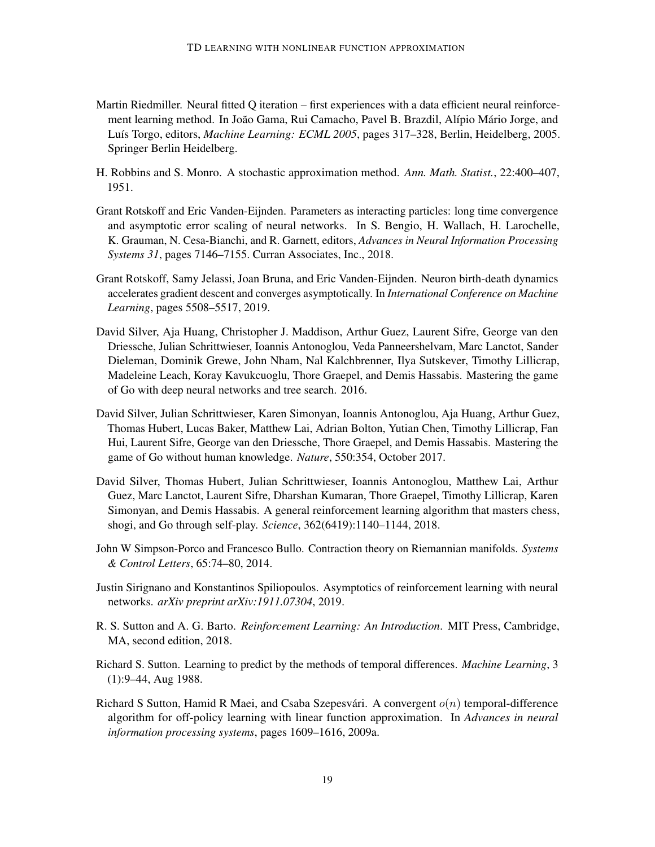- <span id="page-18-4"></span>Martin Riedmiller. Neural fitted Q iteration – first experiences with a data efficient neural reinforcement learning method. In João Gama, Rui Camacho, Pavel B. Brazdil, Alípio Mário Jorge, and Luís Torgo, editors, *Machine Learning: ECML 2005*, pages 317–328, Berlin, Heidelberg, 2005. Springer Berlin Heidelberg.
- <span id="page-18-10"></span>H. Robbins and S. Monro. A stochastic approximation method. *Ann. Math. Statist.*, 22:400–407, 1951.
- <span id="page-18-6"></span>Grant Rotskoff and Eric Vanden-Eijnden. Parameters as interacting particles: long time convergence and asymptotic error scaling of neural networks. In S. Bengio, H. Wallach, H. Larochelle, K. Grauman, N. Cesa-Bianchi, and R. Garnett, editors, *Advances in Neural Information Processing Systems 31*, pages 7146–7155. Curran Associates, Inc., 2018.
- <span id="page-18-7"></span>Grant Rotskoff, Samy Jelassi, Joan Bruna, and Eric Vanden-Eijnden. Neuron birth-death dynamics accelerates gradient descent and converges asymptotically. In *International Conference on Machine Learning*, pages 5508–5517, 2019.
- <span id="page-18-0"></span>David Silver, Aja Huang, Christopher J. Maddison, Arthur Guez, Laurent Sifre, George van den Driessche, Julian Schrittwieser, Ioannis Antonoglou, Veda Panneershelvam, Marc Lanctot, Sander Dieleman, Dominik Grewe, John Nham, Nal Kalchbrenner, Ilya Sutskever, Timothy Lillicrap, Madeleine Leach, Koray Kavukcuoglu, Thore Graepel, and Demis Hassabis. Mastering the game of Go with deep neural networks and tree search. 2016.
- <span id="page-18-1"></span>David Silver, Julian Schrittwieser, Karen Simonyan, Ioannis Antonoglou, Aja Huang, Arthur Guez, Thomas Hubert, Lucas Baker, Matthew Lai, Adrian Bolton, Yutian Chen, Timothy Lillicrap, Fan Hui, Laurent Sifre, George van den Driessche, Thore Graepel, and Demis Hassabis. Mastering the game of Go without human knowledge. *Nature*, 550:354, October 2017.
- <span id="page-18-2"></span>David Silver, Thomas Hubert, Julian Schrittwieser, Ioannis Antonoglou, Matthew Lai, Arthur Guez, Marc Lanctot, Laurent Sifre, Dharshan Kumaran, Thore Graepel, Timothy Lillicrap, Karen Simonyan, and Demis Hassabis. A general reinforcement learning algorithm that masters chess, shogi, and Go through self-play. *Science*, 362(6419):1140–1144, 2018.
- <span id="page-18-11"></span>John W Simpson-Porco and Francesco Bullo. Contraction theory on Riemannian manifolds. *Systems & Control Letters*, 65:74–80, 2014.
- <span id="page-18-8"></span>Justin Sirignano and Konstantinos Spiliopoulos. Asymptotics of reinforcement learning with neural networks. *arXiv preprint arXiv:1911.07304*, 2019.
- <span id="page-18-9"></span>R. S. Sutton and A. G. Barto. *Reinforcement Learning: An Introduction*. MIT Press, Cambridge, MA, second edition, 2018.
- <span id="page-18-5"></span>Richard S. Sutton. Learning to predict by the methods of temporal differences. *Machine Learning*, 3 (1):9–44, Aug 1988.
- <span id="page-18-3"></span>Richard S Sutton, Hamid R Maei, and Csaba Szepesvári. A convergent  $o(n)$  temporal-difference algorithm for off-policy learning with linear function approximation. In *Advances in neural information processing systems*, pages 1609–1616, 2009a.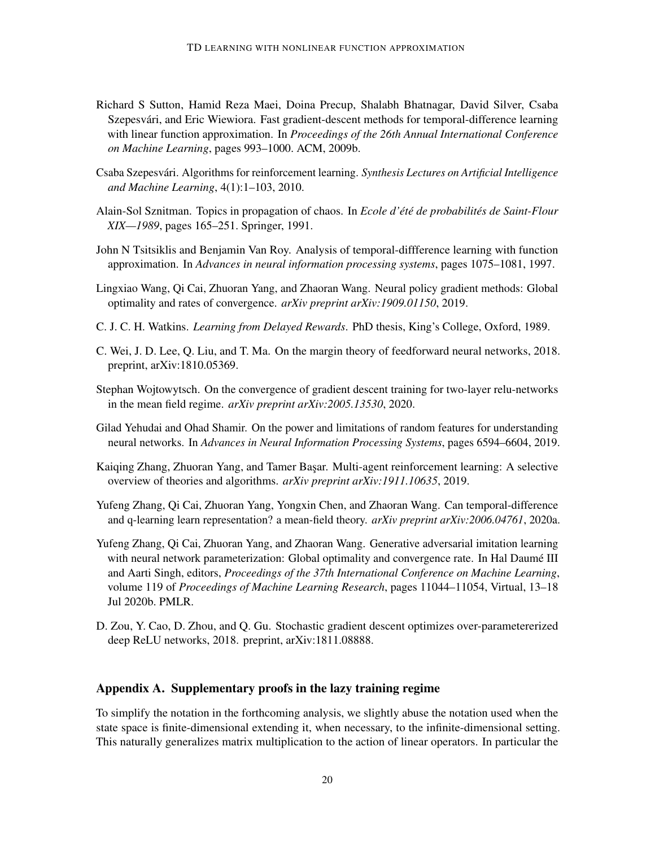- <span id="page-19-1"></span>Richard S Sutton, Hamid Reza Maei, Doina Precup, Shalabh Bhatnagar, David Silver, Csaba Szepesvári, and Eric Wiewiora. Fast gradient-descent methods for temporal-difference learning with linear function approximation. In *Proceedings of the 26th Annual International Conference on Machine Learning*, pages 993–1000. ACM, 2009b.
- <span id="page-19-2"></span>Csaba Szepesvári. Algorithms for reinforcement learning. Synthesis Lectures on Artificial Intelligence *and Machine Learning*, 4(1):1–103, 2010.
- <span id="page-19-12"></span>Alain-Sol Sznitman. Topics in propagation of chaos. In *Ecole d'été de probabilités de Saint-Flour XIX—1989*, pages 165–251. Springer, 1991.
- <span id="page-19-0"></span>John N Tsitsiklis and Benjamin Van Roy. Analysis of temporal-diffference learning with function approximation. In *Advances in neural information processing systems*, pages 1075–1081, 1997.
- <span id="page-19-10"></span>Lingxiao Wang, Qi Cai, Zhuoran Yang, and Zhaoran Wang. Neural policy gradient methods: Global optimality and rates of convergence. *arXiv preprint arXiv:1909.01150*, 2019.
- <span id="page-19-3"></span>C. J. C. H. Watkins. *Learning from Delayed Rewards*. PhD thesis, King's College, Oxford, 1989.
- <span id="page-19-4"></span>C. Wei, J. D. Lee, Q. Liu, and T. Ma. On the margin theory of feedforward neural networks, 2018. preprint, arXiv:1810.05369.
- <span id="page-19-5"></span>Stephan Wojtowytsch. On the convergence of gradient descent training for two-layer relu-networks in the mean field regime. *arXiv preprint arXiv:2005.13530*, 2020.
- <span id="page-19-11"></span>Gilad Yehudai and Ohad Shamir. On the power and limitations of random features for understanding neural networks. In *Advances in Neural Information Processing Systems*, pages 6594–6604, 2019.
- <span id="page-19-8"></span>Kaiqing Zhang, Zhuoran Yang, and Tamer Başar. Multi-agent reinforcement learning: A selective overview of theories and algorithms. *arXiv preprint arXiv:1911.10635*, 2019.
- <span id="page-19-7"></span>Yufeng Zhang, Qi Cai, Zhuoran Yang, Yongxin Chen, and Zhaoran Wang. Can temporal-difference and q-learning learn representation? a mean-field theory. *arXiv preprint arXiv:2006.04761*, 2020a.
- <span id="page-19-9"></span>Yufeng Zhang, Qi Cai, Zhuoran Yang, and Zhaoran Wang. Generative adversarial imitation learning with neural network parameterization: Global optimality and convergence rate. In Hal Daumé III and Aarti Singh, editors, *Proceedings of the 37th International Conference on Machine Learning*, volume 119 of *Proceedings of Machine Learning Research*, pages 11044–11054, Virtual, 13–18 Jul 2020b. PMLR.
- <span id="page-19-6"></span>D. Zou, Y. Cao, D. Zhou, and Q. Gu. Stochastic gradient descent optimizes over-parametererized deep ReLU networks, 2018. preprint, arXiv:1811.08888.

# Appendix A. Supplementary proofs in the lazy training regime

To simplify the notation in the forthcoming analysis, we slightly abuse the notation used when the state space is finite-dimensional extending it, when necessary, to the infinite-dimensional setting. This naturally generalizes matrix multiplication to the action of linear operators. In particular the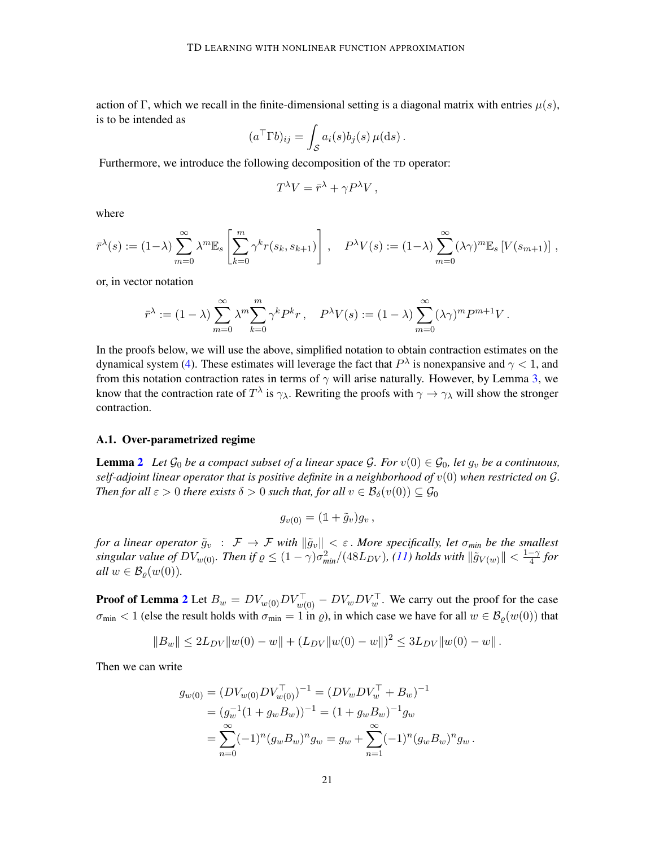action of Γ, which we recall in the finite-dimensional setting is a diagonal matrix with entries  $\mu(s)$ , is to be intended as

$$
(a^{\top} \Gamma b)_{ij} = \int_{\mathcal{S}} a_i(s) b_j(s) \,\mu(ds).
$$

Furthermore, we introduce the following decomposition of the TD operator:

$$
T^{\lambda}V = \bar{r}^{\lambda} + \gamma P^{\lambda}V,
$$

where

$$
\bar{r}^{\lambda}(s) := (1-\lambda) \sum_{m=0}^{\infty} \lambda^m \mathbb{E}_s \left[ \sum_{k=0}^m \gamma^k r(s_k, s_{k+1}) \right], \quad P^{\lambda} V(s) := (1-\lambda) \sum_{m=0}^{\infty} (\lambda \gamma)^m \mathbb{E}_s \left[ V(s_{m+1}) \right],
$$

or, in vector notation

$$
\bar{r}^{\lambda} := (1 - \lambda) \sum_{m=0}^{\infty} \lambda^m \sum_{k=0}^m \gamma^k P^k r, \quad P^{\lambda} V(s) := (1 - \lambda) \sum_{m=0}^{\infty} (\lambda \gamma)^m P^{m+1} V.
$$

In the proofs below, we will use the above, simplified notation to obtain contraction estimates on the dynamical system [\(4\)](#page-4-1). These estimates will leverage the fact that  $P^{\lambda}$  is nonexpansive and  $\gamma < 1$ , and from this notation contraction rates in terms of  $\gamma$  will arise naturally. However, by Lemma [3,](#page-7-4) we know that the contraction rate of  $T^{\lambda}$  is  $\gamma_{\lambda}$ . Rewriting the proofs with  $\gamma \to \gamma_{\lambda}$  will show the stronger contraction.

#### A.1. Over-parametrized regime

**Lemma [2](#page-6-3)** Let  $\mathcal{G}_0$  be a compact subset of a linear space  $\mathcal{G}$ . For  $v(0) \in \mathcal{G}_0$ , let  $g_v$  be a continuous, *self-adjoint linear operator that is positive definite in a neighborhood of*  $v(0)$  *when restricted on*  $\mathcal{G}$ *. Then for all*  $\varepsilon > 0$  *there exists*  $\delta > 0$  *such that, for all*  $v \in \mathcal{B}_{\delta}(v(0)) \subseteq \mathcal{G}_{0}$ 

$$
g_{v(0)}=(1+\tilde{g}_v)g_v,
$$

*for a linear operator*  $\tilde{g}_v$  :  $\mathcal{F} \to \mathcal{F}$  *with*  $\|\tilde{g}_v\| < \varepsilon$ . *More specifically, let*  $\sigma_{min}$  *be the smallest*  $\alpha$  *singular value of*  $DV_{w(0)}$ *. Then if*  $\varrho \le (1 - \gamma) \sigma_{min}^2/(48L_{DV})$ , [\(11\)](#page-7-3) holds with  $\|\tilde{g}_{V(w)}\| < \frac{1 - \gamma}{4}$  $\frac{-\gamma}{4}$  for *all*  $w \in \mathcal{B}_{\rho}(w(0))$ .

**Proof of Lemma [2](#page-6-3)** Let  $B_w = DV_{w(0)}DV_{w(0)}^\top - DV_wDV_w^\top$ . We carry out the proof for the case  $\sigma_{\min}$  < 1 (else the result holds with  $\sigma_{\min} = 1$  in  $\rho$ ), in which case we have for all  $w \in \mathcal{B}_{\rho}(w(0))$  that

$$
||B_w|| \le 2L_{DV}||w(0) - w|| + (L_{DV}||w(0) - w||)^2 \le 3L_{DV}||w(0) - w||.
$$

Then we can write

$$
g_{w(0)} = (DV_{w(0)}DV_{w(0)}^{-})^{-1} = (DV_wDV_w^{T} + B_w)^{-1}
$$
  
=  $(g_w^{-1}(1 + g_wB_w))^{-1} = (1 + g_wB_w)^{-1}g_w$   
=  $\sum_{n=0}^{\infty} (-1)^n (g_wB_w)^n g_w = g_w + \sum_{n=1}^{\infty} (-1)^n (g_wB_w)^n g_w.$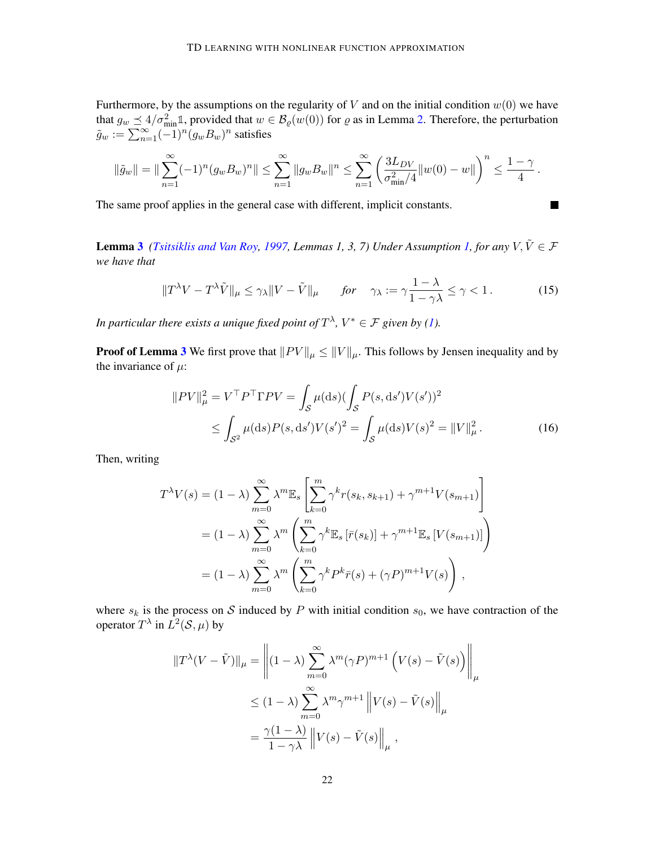Furthermore, by the assumptions on the regularity of  $V$  and on the initial condition  $w(0)$  we have that  $g_w \le 4/\sigma_{\min}^2 \mathbb{1}$ , provided that  $w \in \mathcal{B}_{\varrho}(w(0))$  for  $\varrho$  as in Lemma [2.](#page-6-3) Therefore, the perturbation  $\tilde{g}_w := \sum_{n=1}^{\infty} (-1)^n (g_w B_w)^n$  satisfies

$$
\|\tilde{g}_w\| = \|\sum_{n=1}^{\infty} (-1)^n (g_w B_w)^n\| \le \sum_{n=1}^{\infty} \|g_w B_w\|^n \le \sum_{n=1}^{\infty} \left(\frac{3L_{DV}}{\sigma_{\min}^2/4} \|w(0) - w\|\right)^n \le \frac{1-\gamma}{4}.
$$

The same proof applies in the general case with different, implicit constants.

**Lemma [3](#page-7-4)** *[\(Tsitsiklis and Van Roy,](#page-19-0) [1997,](#page-19-0) Lemmas [1,](#page-3-3) 3, 7) Under Assumption 1, for any*  $V, \tilde{V} \in \mathcal{F}$ *we have that*

$$
||T^{\lambda}V - T^{\lambda}\tilde{V}||_{\mu} \le \gamma_{\lambda}||V - \tilde{V}||_{\mu} \quad \text{for} \quad \gamma_{\lambda} := \gamma \frac{1 - \lambda}{1 - \gamma \lambda} \le \gamma < 1. \tag{15}
$$

<span id="page-21-1"></span><span id="page-21-0"></span> $\blacksquare$ 

*In particular there exists a unique fixed point of*  $T^{\lambda}$ ,  $V^* \in \mathcal{F}$  given by [\(1\)](#page-3-2).

**Proof of Lemma [3](#page-7-4)** We first prove that  $||PV||_{\mu} \le ||V||_{\mu}$ . This follows by Jensen inequality and by the invariance of  $\mu$ :

$$
||PV||_{\mu}^{2} = V^{\top}P^{\top}\Gamma PV = \int_{\mathcal{S}} \mu(ds) (\int_{\mathcal{S}} P(s, ds')V(s'))^{2}
$$
  
 
$$
\leq \int_{\mathcal{S}^{2}} \mu(ds)P(s, ds')V(s')^{2} = \int_{\mathcal{S}} \mu(ds)V(s)^{2} = ||V||_{\mu}^{2}. \tag{16}
$$

Then, writing

$$
T^{\lambda}V(s) = (1 - \lambda) \sum_{m=0}^{\infty} \lambda^m \mathbb{E}_s \left[ \sum_{k=0}^m \gamma^k r(s_k, s_{k+1}) + \gamma^{m+1} V(s_{m+1}) \right]
$$
  

$$
= (1 - \lambda) \sum_{m=0}^{\infty} \lambda^m \left( \sum_{k=0}^m \gamma^k \mathbb{E}_s \left[ \bar{r}(s_k) \right] + \gamma^{m+1} \mathbb{E}_s \left[ V(s_{m+1}) \right] \right)
$$
  

$$
= (1 - \lambda) \sum_{m=0}^{\infty} \lambda^m \left( \sum_{k=0}^m \gamma^k P^k \bar{r}(s) + (\gamma P)^{m+1} V(s) \right),
$$

where  $s_k$  is the process on S induced by P with initial condition  $s_0$ , we have contraction of the operator  $T^{\lambda}$  in  $L^2(\mathcal{S}, \mu)$  by

$$
||T^{\lambda}(V - \tilde{V})||_{\mu} = \left\| (1 - \lambda) \sum_{m=0}^{\infty} \lambda^m (\gamma P)^{m+1} \left( V(s) - \tilde{V}(s) \right) \right\|_{\mu}
$$
  

$$
\leq (1 - \lambda) \sum_{m=0}^{\infty} \lambda^m \gamma^{m+1} \left\| V(s) - \tilde{V}(s) \right\|_{\mu}
$$
  

$$
= \frac{\gamma(1 - \lambda)}{1 - \gamma \lambda} \left\| V(s) - \tilde{V}(s) \right\|_{\mu},
$$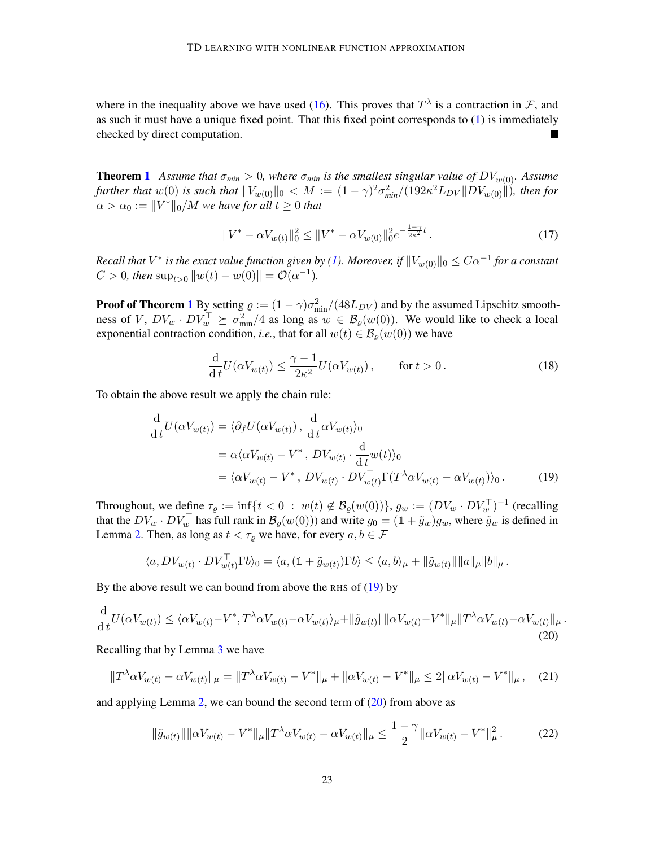where in the inequality above we have used [\(16\)](#page-21-0). This proves that  $T^{\lambda}$  is a contraction in F, and as such it must have a unique fixed point. That this fixed point corresponds to [\(1\)](#page-3-2) is immediately checked by direct computation. L.

**Theorem [1](#page-6-2)** Assume that  $\sigma_{min} > 0$ , where  $\sigma_{min}$  is the smallest singular value of  $DV_{w(0)}$ . Assume further that  $w(0)$  is such that  $\|V_{w(0)}\|_0 < M := (1-\gamma)^2\sigma_{min}^2/(192\kappa^2L_{DV}\|DV_{w(0)}\|)$ , then for  $\alpha > \alpha_0 := \| V^* \|_0 / M$  we have for all  $t \geq 0$  that

<span id="page-22-3"></span>
$$
||V^* - \alpha V_{w(t)}||_0^2 \le ||V^* - \alpha V_{w(0)}||_0^2 e^{-\frac{1-\gamma}{2\kappa^2}t}.
$$
\n(17)

 $Recall$  that  $V^*$  is the exact value function given by [\(1\)](#page-3-2). Moreover, if  $\|V_{w(0)}\|_0 \leq C\alpha^{-1}$  for a constant  $C > 0$ , then  $\sup_{t>0} ||w(t) - w(0)|| = \mathcal{O}(\alpha^{-1}).$ 

**Proof of Theorem [1](#page-6-2)** By setting  $\rho := (1 - \gamma)\sigma_{min}^2/(48L_{DV})$  and by the assumed Lipschitz smoothness of V,  $DV_w \cdot DV_w^{\top} \succeq \sigma_{\min}^2/4$  as long as  $w \in \mathcal{B}_{\varrho}(w(0))$ . We would like to check a local exponential contraction condition, *i.e.*, that for all  $w(t) \in \mathcal{B}_{\rho}(w(0))$  we have

<span id="page-22-0"></span>
$$
\frac{\mathrm{d}}{\mathrm{d}t}U(\alpha V_{w(t)}) \le \frac{\gamma - 1}{2\kappa^2}U(\alpha V_{w(t)}), \qquad \text{for } t > 0.
$$
\n(18)

To obtain the above result we apply the chain rule:

$$
\frac{\mathrm{d}}{\mathrm{d}t}U(\alpha V_{w(t)}) = \langle \partial_f U(\alpha V_{w(t)}), \frac{\mathrm{d}}{\mathrm{d}t} \alpha V_{w(t)} \rangle_0
$$
\n
$$
= \alpha \langle \alpha V_{w(t)} - V^*, DV_{w(t)} \cdot \frac{\mathrm{d}}{\mathrm{d}t} w(t) \rangle_0
$$
\n
$$
= \langle \alpha V_{w(t)} - V^*, DV_{w(t)} \cdot DV_{w(t)}^{\top} \Gamma(T^{\lambda} \alpha V_{w(t)} - \alpha V_{w(t)}) \rangle_0. \tag{19}
$$

Throughout, we define  $\tau_{\varrho} := \inf\{t < 0 : w(t) \notin \mathcal{B}_{\varrho}(w(0))\}$ ,  $g_w := (DV_w \cdot DV_w^{\top})^{-1}$  (recalling that the  $DV_w \cdot DV_w^{\top}$  has full rank in  $\mathcal{B}_{\varrho}(w(0))$  and write  $g_0 = (\mathbb{1} + \tilde{g}_w)g_w$ , where  $\tilde{g}_w$  is defined in Lemma [2.](#page-6-3) Then, as long as  $t < \tau_o$  we have, for every  $a, b \in \mathcal{F}$ 

<span id="page-22-1"></span>
$$
\langle a, DV_{w(t)} \cdot DV_{w(t)}^{\top} \Gamma b \rangle_0 = \langle a, (\mathbb{1} + \tilde{g}_{w(t)}) \Gamma b \rangle \le \langle a, b \rangle_{\mu} + ||\tilde{g}_{w(t)}|| ||a||_{\mu} ||b||_{\mu}.
$$

By the above result we can bound from above the RHS of  $(19)$  by

$$
\frac{\mathrm{d}}{\mathrm{d}t}U(\alpha V_{w(t)}) \leq \langle \alpha V_{w(t)} - V^*, T^{\lambda} \alpha V_{w(t)} - \alpha V_{w(t)} \rangle_{\mu} + ||\tilde{g}_{w(t)}|| ||\alpha V_{w(t)} - V^*||_{\mu} ||T^{\lambda} \alpha V_{w(t)} - \alpha V_{w(t)}||_{\mu}.
$$
\n(20)

Recalling that by Lemma [3](#page-7-4) we have

$$
||T^{\lambda}\alpha V_{w(t)} - \alpha V_{w(t)}||_{\mu} = ||T^{\lambda}\alpha V_{w(t)} - V^*||_{\mu} + ||\alpha V_{w(t)} - V^*||_{\mu} \le 2||\alpha V_{w(t)} - V^*||_{\mu}, \quad (21)
$$

and applying Lemma [2,](#page-6-3) we can bound the second term of  $(20)$  from above as

<span id="page-22-2"></span>
$$
\|\tilde{g}_{w(t)}\| \|\alpha V_{w(t)} - V^*\|_{\mu} \|T^{\lambda}\alpha V_{w(t)} - \alpha V_{w(t)}\|_{\mu} \le \frac{1-\gamma}{2} \|\alpha V_{w(t)} - V^*\|_{\mu}^2. \tag{22}
$$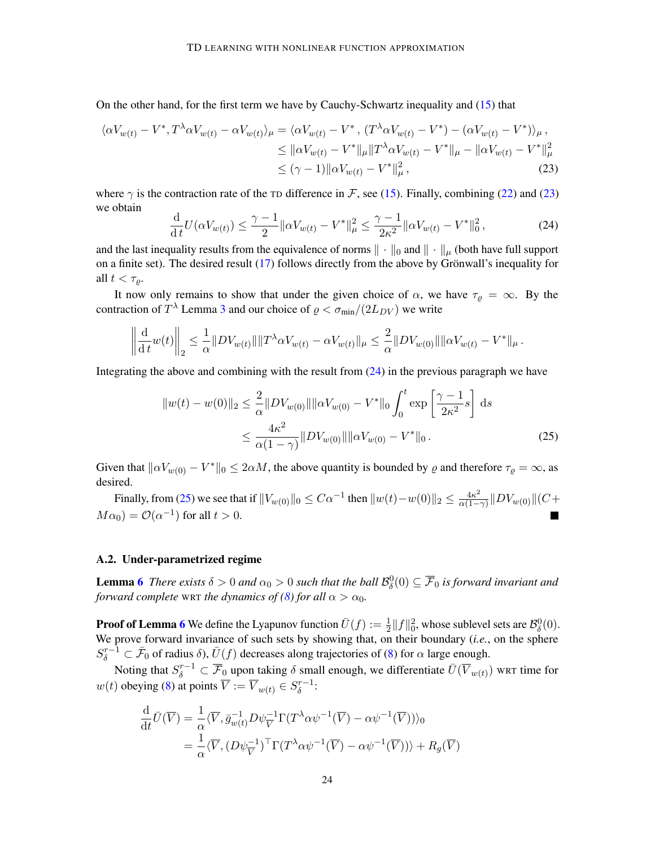On the other hand, for the first term we have by Cauchy-Schwartz inequality and [\(15\)](#page-21-1) that

$$
\langle \alpha V_{w(t)} - V^*, T^{\lambda} \alpha V_{w(t)} - \alpha V_{w(t)} \rangle_{\mu} = \langle \alpha V_{w(t)} - V^*, (T^{\lambda} \alpha V_{w(t)} - V^*) - (\alpha V_{w(t)} - V^*) \rangle_{\mu},
$$
  
\n
$$
\leq ||\alpha V_{w(t)} - V^*||_{\mu} ||T^{\lambda} \alpha V_{w(t)} - V^*||_{\mu} - ||\alpha V_{w(t)} - V^*||_{\mu}^2
$$
  
\n
$$
\leq (\gamma - 1) ||\alpha V_{w(t)} - V^*||_{\mu}^2,
$$
\n(23)

where  $\gamma$  is the contraction rate of the TD difference in F, see [\(15\)](#page-21-1). Finally, combining [\(22\)](#page-22-2) and [\(23\)](#page-23-0) we obtain

<span id="page-23-1"></span><span id="page-23-0"></span>
$$
\frac{\mathrm{d}}{\mathrm{d}t}U(\alpha V_{w(t)}) \le \frac{\gamma - 1}{2} \|\alpha V_{w(t)} - V^*\|_{\mu}^2 \le \frac{\gamma - 1}{2\kappa^2} \|\alpha V_{w(t)} - V^*\|_0^2, \tag{24}
$$

and the last inequality results from the equivalence of norms  $\|\cdot\|_0$  and  $\|\cdot\|_{\mu}$  (both have full support on a finite set). The desired result  $(17)$  follows directly from the above by Grönwall's inequality for all  $t < \tau_o$ .

It now only remains to show that under the given choice of  $\alpha$ , we have  $\tau_{\varrho} = \infty$ . By the contraction of  $T^{\lambda}$  Lemma [3](#page-7-4) and our choice of  $\varrho < \sigma_{min}/(2L_{DV})$  we write

$$
\left\|\frac{\mathrm{d}}{\mathrm{d}t}w(t)\right\|_2 \leq \frac{1}{\alpha}\|DV_{w(t)}\|\|T^{\lambda}\alpha V_{w(t)} - \alpha V_{w(t)}\|_{\mu} \leq \frac{2}{\alpha}\|DV_{w(0)}\|\|\alpha V_{w(t)} - V^*\|_{\mu}.
$$

Integrating the above and combining with the result from [\(24\)](#page-23-1) in the previous paragraph we have

<span id="page-23-2"></span>
$$
||w(t) - w(0)||_2 \le \frac{2}{\alpha} ||DV_{w(0)}|| ||\alpha V_{w(0)} - V^*||_0 \int_0^t \exp\left[\frac{\gamma - 1}{2\kappa^2} s\right] ds
$$
  

$$
\le \frac{4\kappa^2}{\alpha(1 - \gamma)} ||DV_{w(0)}|| ||\alpha V_{w(0)} - V^*||_0.
$$
 (25)

Given that  $\|\alpha V_{w(0)} - V^*\|_0 \leq 2\alpha M$ , the above quantity is bounded by  $\varrho$  and therefore  $\tau_{\varrho} = \infty$ , as desired.

Finally, from [\(25\)](#page-23-2) we see that if  $||V_{w(0)}||_0 \leq C\alpha^{-1}$  then  $||w(t)-w(0)||_2 \leq \frac{4\kappa^2}{\alpha(1-\alpha)}$  $\frac{4\kappa^2}{\alpha(1-\gamma)}\|DV_{w(0)}\|(C+$  $M\alpha_0$ ) =  $\mathcal{O}(\alpha^{-1})$  for all  $t > 0$ .

#### A.2. Under-parametrized regime

**Lemma [6](#page-9-3)** There exists  $\delta > 0$  and  $\alpha_0 > 0$  such that the ball  $\mathcal{B}^0_\delta(0) \subseteq \overline{\mathcal{F}}_0$  is forward invariant and *forward complete* WRT *the dynamics of [\(8\)](#page-5-0) for all*  $\alpha > \alpha_0$ *.* 

**Proof of Lemma [6](#page-9-3)** We define the Lyapunov function  $\bar{U}(f) := \frac{1}{2} ||f||_0^2$ , whose sublevel sets are  $\mathcal{B}_\delta^0(0)$ . We prove forward invariance of such sets by showing that, on their boundary (*i.e.*, on the sphere  $S_{\delta}^{r-1} \subset \bar{\mathcal{F}}_0$  of radius  $\delta$ ),  $\bar{U}(f)$  decreases along trajectories of [\(8\)](#page-5-0) for  $\alpha$  large enough.

Noting that  $S_\delta^{r-1}\subset \overline{\mathcal{F}}_0$  upon taking  $\delta$  small enough, we differentiate  $\bar{U}(\overline{V}_{w(t)})$  wrt time for  $w(t)$  obeying [\(8\)](#page-5-0) at points  $\overline{V} := \overline{V}_{w(t)} \in S_{\delta}^{r-1}$  $\frac{r-1}{\delta}$ :

$$
\frac{\mathrm{d}}{\mathrm{d}t}\bar{U}(\overline{V}) = \frac{1}{\alpha}\langle \overline{V}, \bar{g}_{w(t)}^{-1}D\psi_{\overline{V}}^{-1}\Gamma(T^{\lambda}\alpha\psi^{-1}(\overline{V}) - \alpha\psi^{-1}(\overline{V})))\rangle_0
$$
\n
$$
= \frac{1}{\alpha}\langle \overline{V}, (D\psi_{\overline{V}}^{-1})^{\top}\Gamma(T^{\lambda}\alpha\psi^{-1}(\overline{V}) - \alpha\psi^{-1}(\overline{V}))) + R_g(\overline{V})
$$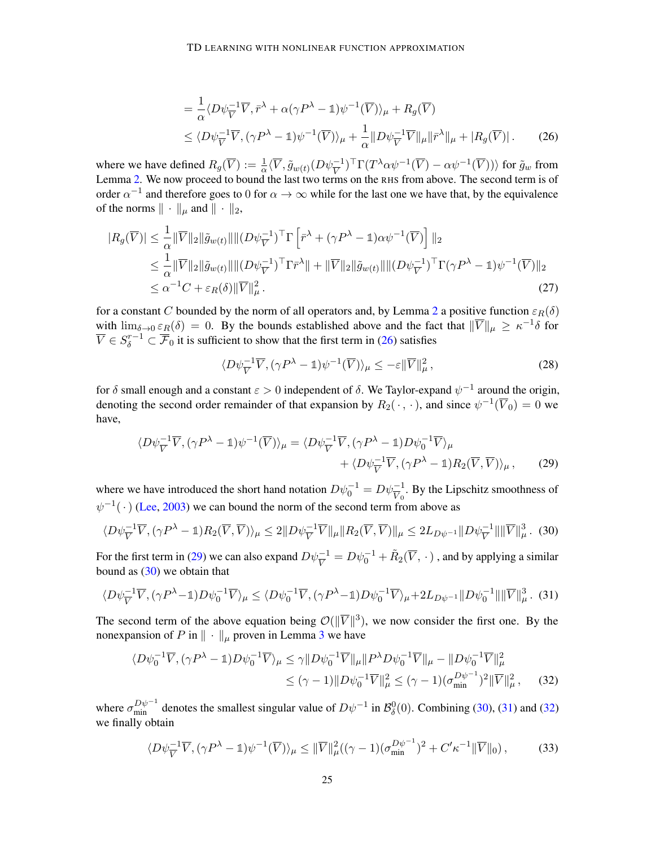<span id="page-24-0"></span>
$$
= \frac{1}{\alpha} \langle D\psi_V^{-1} \overline{V}, \overline{r}^\lambda + \alpha (\gamma P^\lambda - \mathbb{1}) \psi^{-1} (\overline{V}) \rangle_\mu + R_g(\overline{V})
$$
  
\$\leq \langle D\psi\_V^{-1} \overline{V}, (\gamma P^\lambda - \mathbb{1}) \psi^{-1} (\overline{V}) \rangle\_\mu + \frac{1}{\alpha} ||D\psi\_V^{-1} \overline{V}||\_\mu ||\overline{r}^\lambda||\_\mu + |R\_g(\overline{V})|\$. (26)

where we have defined  $R_g(\overline{V}) := \frac{1}{\alpha} \langle \overline{V}, \tilde{g}_{w(t)}(D\psi^{-1}_{\overline{V}})^{\top} \Gamma(T^{\lambda} \alpha \psi^{-1}(\overline{V}) - \alpha \psi^{-1}(\overline{V})) \rangle$  for  $\tilde{g}_w$  from Lemma [2.](#page-6-3) We now proceed to bound the last two terms on the RHS from above. The second term is of order  $\alpha^{-1}$  and therefore goes to 0 for  $\alpha \to \infty$  while for the last one we have that, by the equivalence of the norms  $\|\cdot\|_{\mu}$  and  $\|\cdot\|_{2}$ ,

$$
|R_g(\overline{V})| \leq \frac{1}{\alpha} \|\overline{V}\|_2 \|\tilde{g}_{w(t)}\| \|(D\psi_V^{-1})^\top \Gamma \left[\bar{r}^\lambda + (\gamma P^\lambda - \mathbb{1})\alpha \psi^{-1}(\overline{V})\right] \|_2
$$
  
\n
$$
\leq \frac{1}{\alpha} \|\overline{V}\|_2 \|\tilde{g}_{w(t)}\| \|(D\psi_V^{-1})^\top \Gamma \bar{r}^\lambda \| + \|\overline{V}\|_2 \|\tilde{g}_{w(t)}\| \|(D\psi_V^{-1})^\top \Gamma (\gamma P^\lambda - \mathbb{1})\psi^{-1}(\overline{V})\|_2
$$
  
\n
$$
\leq \alpha^{-1}C + \varepsilon_R(\delta) \|\overline{V}\|_\mu^2.
$$
\n(27)

for a constant C bounded by the norm of all operators and, by Lemma [2](#page-6-3) a positive function  $\varepsilon_R(\delta)$ with  $\lim_{\delta \to 0} \varepsilon_R(\delta) = 0$ . By the bounds established above and the fact that  $\|\overline{V}\|_{\mu} \geq \kappa^{-1}\delta$  for  $\overline{V} \in S_\delta^{r-1} \subset \overline{\mathcal{F}}_0$  it is sufficient to show that the first term in [\(26\)](#page-24-0) satisfies

<span id="page-24-6"></span><span id="page-24-5"></span><span id="page-24-3"></span><span id="page-24-2"></span><span id="page-24-1"></span>
$$
\langle D\psi_{\overline{V}}^{-1}\overline{V}, (\gamma P^{\lambda} - 1)\psi^{-1}(\overline{V})\rangle_{\mu} \le -\varepsilon \|\overline{V}\|_{\mu}^{2},\tag{28}
$$

for  $\delta$  small enough and a constant  $\varepsilon > 0$  independent of  $\delta$ . We Taylor-expand  $\psi^{-1}$  around the origin, denoting the second order remainder of that expansion by  $R_2(\cdot, \cdot)$ , and since  $\psi^{-1}(\overline{V}_0) = 0$  we have,

$$
\langle D\psi_{\overline{V}}^{-1}\overline{V}, (\gamma P^{\lambda} - \mathbb{1})\psi^{-1}(\overline{V})\rangle_{\mu} = \langle D\psi_{\overline{V}}^{-1}\overline{V}, (\gamma P^{\lambda} - \mathbb{1})D\psi_{0}^{-1}\overline{V}\rangle_{\mu} + \langle D\psi_{\overline{V}}^{-1}\overline{V}, (\gamma P^{\lambda} - \mathbb{1})R_{2}(\overline{V}, \overline{V})\rangle_{\mu}, \qquad (29)
$$

where we have introduced the short hand notation  $D\psi_0^{-1} = D\psi_{\overline{V}_0}^{-1}$ . By the Lipschitz smoothness of  $\psi^{-1}(\cdot)$  [\(Lee,](#page-17-8) [2003\)](#page-17-8) we can bound the norm of the second term from above as

$$
\langle D\psi_{\overline{V}}^{-1}\overline{V}, (\gamma P^{\lambda} - \mathbb{1})R_2(\overline{V}, \overline{V})\rangle_{\mu} \leq 2||D\psi_{\overline{V}}^{-1}\overline{V}||_{\mu}||R_2(\overline{V}, \overline{V})||_{\mu} \leq 2L_{D\psi^{-1}}||D\psi_{\overline{V}}^{-1}||||\overline{V}||_{\mu}^3. (30)
$$

For the first term in [\(29\)](#page-24-1) we can also expand  $D\psi^{-1}_{\overline{V}} = D\psi^{-1}_0 + \tilde{R}_2(\overline{V}, \cdot)$ , and by applying a similar bound as  $(30)$  we obtain that

$$
\langle D\psi_{\overline{V}}^{-1}\overline{V}, (\gamma P^{\lambda}-1)D\psi_0^{-1}\overline{V} \rangle_{\mu} \le \langle D\psi_0^{-1}\overline{V}, (\gamma P^{\lambda}-1)D\psi_0^{-1}\overline{V} \rangle_{\mu} + 2L_{D\psi^{-1}} ||D\psi_0^{-1}|| ||\overline{V}||_{\mu}^3. (31)
$$

The second term of the above equation being  $\mathcal{O}(\Vert \overline{V} \Vert^3)$ , we now consider the first one. By the nonexpansion of P in  $\|\cdot\|_{\mu}$  proven in Lemma [3](#page-7-4) we have

$$
\langle D\psi_0^{-1}\overline{V}, (\gamma P^{\lambda} - 1)D\psi_0^{-1}\overline{V} \rangle_{\mu} \le \gamma \| D\psi_0^{-1}\overline{V} \|_{\mu} \| P^{\lambda}D\psi_0^{-1}\overline{V} \|_{\mu} - \| D\psi_0^{-1}\overline{V} \|_{\mu}^2
$$
  

$$
\le (\gamma - 1) \| D\psi_0^{-1}\overline{V} \|_{\mu}^2 \le (\gamma - 1) (\sigma_{\min}^{D\psi^{-1}})^2 \| \overline{V} \|_{\mu}^2, \qquad (32)
$$

where  $\sigma_{\min}^{D\psi^{-1}}$  denotes the smallest singular value of  $D\psi^{-1}$  in  $\mathcal{B}_{\delta}^0(0)$ . Combining [\(30\)](#page-24-2), [\(31\)](#page-24-3) and [\(32\)](#page-24-4) we finally obtain

<span id="page-24-7"></span><span id="page-24-4"></span>
$$
\langle D\psi_{\overline{V}}^{-1}\overline{V}, (\gamma P^{\lambda} - \mathbb{1})\psi^{-1}(\overline{V})\rangle_{\mu} \leq \|\overline{V}\|_{\mu}^{2}((\gamma - 1)(\sigma_{\min}^{D\psi^{-1}})^{2} + C'\kappa^{-1}\|\overline{V}\|_{0}),\tag{33}
$$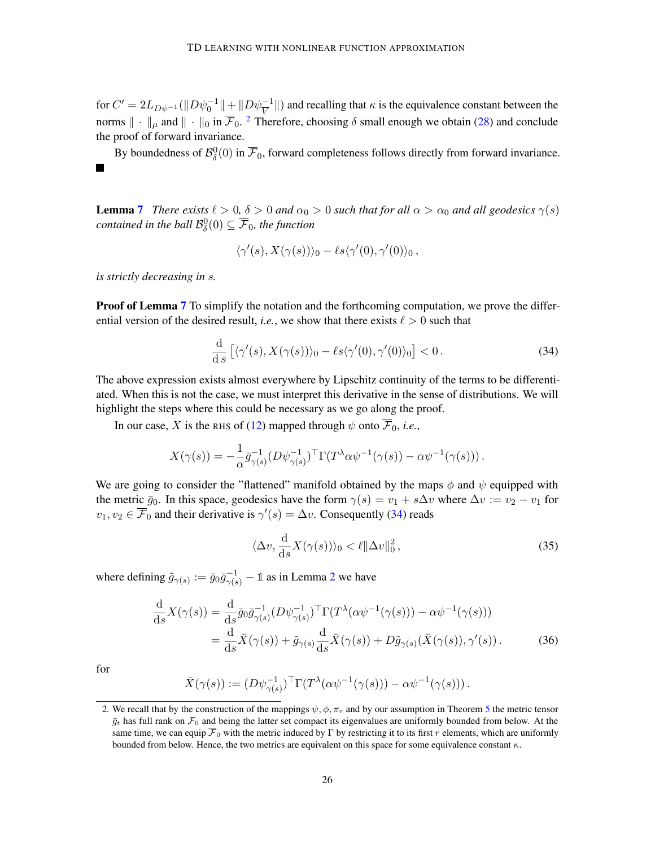for  $C' = 2L_{D\psi^{-1}}(\|D\psi_0^{-1}\| + \|D\psi_V^{-1}\|)$  and recalling that  $\kappa$  is the equivalence constant between the norms  $\|\cdot\|_{\mu}$  and  $\|\cdot\|_{0}$  in  $\overline{\mathcal{F}}_0$ . <sup>[2](#page-25-0)</sup> Therefore, choosing  $\delta$  small enough we obtain [\(28\)](#page-24-5) and conclude the proof of forward invariance.

By boundedness of  $\mathcal{B}_{\delta}^0(0)$  in  $\overline{\mathcal{F}}_0$ , forward completeness follows directly from forward invariance. L.

**Lemma [7](#page-9-4)** *There exists*  $\ell > 0$ ,  $\delta > 0$  *and*  $\alpha_0 > 0$  *such that for all*  $\alpha > \alpha_0$  *and all geodesics*  $\gamma(s)$ contained in the ball  $\mathcal{B}^0_\delta(0) \subseteq \overline{\mathcal{F}}_0$ , the function

<span id="page-25-1"></span>
$$
\langle \gamma'(s), X(\gamma(s)) \rangle_0 - \ell s \langle \gamma'(0), \gamma'(0) \rangle_0,
$$

*is strictly decreasing in* s*.*

**Proof of Lemma [7](#page-9-4)** To simplify the notation and the forthcoming computation, we prove the differential version of the desired result, *i.e.*, we show that there exists  $\ell > 0$  such that

$$
\frac{\mathrm{d}}{\mathrm{d}\,s}\left[\langle\gamma'(s), X(\gamma(s))\rangle_0 - \ell s \langle\gamma'(0), \gamma'(0)\rangle_0\right] < 0. \tag{34}
$$

The above expression exists almost everywhere by Lipschitz continuity of the terms to be differentiated. When this is not the case, we must interpret this derivative in the sense of distributions. We will highlight the steps where this could be necessary as we go along the proof.

In our case, X is the RHS of [\(12\)](#page-9-0) mapped through  $\psi$  onto  $\overline{\mathcal{F}}_0$ , *i.e.*,

$$
X(\gamma(s)) = -\frac{1}{\alpha} \bar{g}_{\gamma(s)}^{-1} (D\psi_{\gamma(s)}^{-1})^{\top} \Gamma(T^{\lambda} \alpha \psi^{-1}(\gamma(s)) - \alpha \psi^{-1}(\gamma(s))).
$$

We are going to consider the "flattened" manifold obtained by the maps  $\phi$  and  $\psi$  equipped with the metric  $\bar{g}_0$ . In this space, geodesics have the form  $\gamma(s) = v_1 + s\Delta v$  where  $\Delta v := v_2 - v_1$  for  $v_1, v_2 \in \overline{\mathcal{F}}_0$  and their derivative is  $\gamma'(s) = \Delta v$ . Consequently [\(34\)](#page-25-1) reads

<span id="page-25-3"></span><span id="page-25-2"></span>
$$
\langle \Delta v, \frac{\mathrm{d}}{\mathrm{d}s} X(\gamma(s)) \rangle_0 < \ell \| \Delta v \|_0^2 \,, \tag{35}
$$

where defining  $\tilde{g}_{\gamma(s)} := \bar{g}_0 \bar{g}_{\gamma(s)}^{-1} - \mathbb{1}$  as in Lemma [2](#page-6-3) we have

$$
\frac{\mathrm{d}}{\mathrm{d}s}X(\gamma(s)) = \frac{\mathrm{d}}{\mathrm{d}s}\bar{g}_0\bar{g}_{\gamma(s)}^{-1}(D\psi_{\gamma(s)}^{-1})^\top \Gamma(T^\lambda(\alpha\psi^{-1}(\gamma(s))) - \alpha\psi^{-1}(\gamma(s))) \n= \frac{\mathrm{d}}{\mathrm{d}s}\bar{X}(\gamma(s)) + \tilde{g}_{\gamma(s)}\frac{\mathrm{d}}{\mathrm{d}s}\bar{X}(\gamma(s)) + D\tilde{g}_{\gamma(s)}(\bar{X}(\gamma(s)), \gamma'(s)).
$$
\n(36)

for

$$
\bar{X}(\gamma(s)) := (D\psi_{\gamma(s)}^{-1})^{\top} \Gamma(T^{\lambda}(\alpha \psi^{-1}(\gamma(s))) - \alpha \psi^{-1}(\gamma(s))).
$$

<span id="page-25-0"></span><sup>2.</sup> We recall that by the construction of the mappings  $\psi$ ,  $\phi$ ,  $\pi_r$  and by our assumption in Theorem [5](#page-8-0) the metric tensor  $\bar{g}_t$  has full rank on  $\mathcal{F}_0$  and being the latter set compact its eigenvalues are uniformly bounded from below. At the same time, we can equip  $\overline{\mathcal{F}}_0$  with the metric induced by Γ by restricting it to its first r elements, which are uniformly bounded from below. Hence, the two metrics are equivalent on this space for some equivalence constant  $\kappa$ .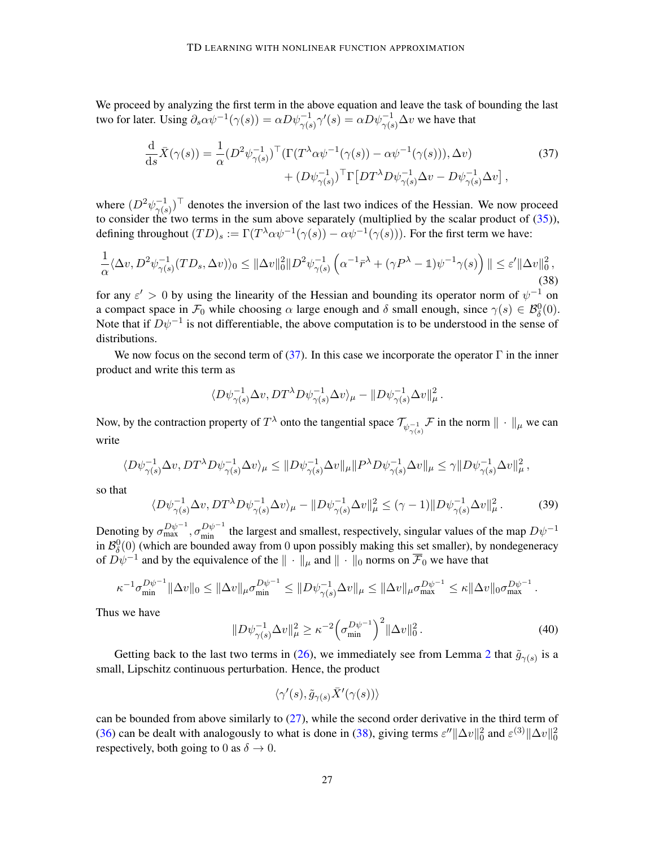We proceed by analyzing the first term in the above equation and leave the task of bounding the last two for later. Using  $\partial_s \alpha \psi^{-1}(\gamma(s)) = \alpha D \psi_{\gamma(s)}^{-1} \gamma'(s) = \alpha D \psi_{\gamma(s)}^{-1} \Delta v$  we have that

<span id="page-26-0"></span>
$$
\frac{\mathrm{d}}{\mathrm{d}s}\bar{X}(\gamma(s)) = \frac{1}{\alpha} (D^2 \psi_{\gamma(s)}^{-1})^\top (\Gamma(T^\lambda \alpha \psi^{-1}(\gamma(s)) - \alpha \psi^{-1}(\gamma(s))), \Delta v) \n+ (D \psi_{\gamma(s)}^{-1})^\top \Gamma [DT^\lambda D \psi_{\gamma(s)}^{-1} \Delta v - D \psi_{\gamma(s)}^{-1} \Delta v],
$$
\n(37)

where  $(D^2 \psi_{\gamma/s}^{-1})$  $\frac{-1}{\gamma(s)}$  denotes the inversion of the last two indices of the Hessian. We now proceed to consider the two terms in the sum above separately (multiplied by the scalar product of  $(35)$ ), defining throughout  $(TD)_s := \Gamma(T^{\lambda} \alpha \psi^{-1}(\gamma(s)) - \alpha \psi^{-1}(\gamma(s))$ ). For the first term we have:

$$
\frac{1}{\alpha} \langle \Delta v, D^2 \psi_{\gamma(s)}^{-1} (TD_s, \Delta v) \rangle_0 \le ||\Delta v||_0^2 ||D^2 \psi_{\gamma(s)}^{-1} \left( \alpha^{-1} \bar{r}^\lambda + (\gamma P^\lambda - \mathbb{1}) \psi^{-1} \gamma(s) \right) || \le \varepsilon' ||\Delta v||_0^2,
$$
\n(38)

for any  $\varepsilon' > 0$  by using the linearity of the Hessian and bounding its operator norm of  $\psi^{-1}$  on a compact space in  $\mathcal{F}_0$  while choosing  $\alpha$  large enough and  $\delta$  small enough, since  $\gamma(s) \in \mathcal{B}_{\delta}^0(0)$ . Note that if  $D\psi^{-1}$  is not differentiable, the above computation is to be understood in the sense of distributions.

We now focus on the second term of [\(37\)](#page-26-0). In this case we incorporate the operator  $\Gamma$  in the inner product and write this term as

<span id="page-26-1"></span>
$$
\langle D\psi_{\gamma(s)}^{-1} \Delta v, D T^{\lambda} D\psi_{\gamma(s)}^{-1} \Delta v \rangle_{\mu} - ||D\psi_{\gamma(s)}^{-1} \Delta v||_{\mu}^{2}.
$$

Now, by the contraction property of  $T^{\lambda}$  onto the tangential space  $\mathcal{T}_{\psi_{\gamma(s)}}^{\perp}$   $\mathcal{F}$  in the norm  $\|\cdot\|_{\mu}$  we can write

$$
\langle D\psi_{\gamma(s)}^{-1} \Delta v, D T^{\lambda} D\psi_{\gamma(s)}^{-1} \Delta v \rangle_{\mu} \leq \| D\psi_{\gamma(s)}^{-1} \Delta v \|_{\mu} \| P^{\lambda} D\psi_{\gamma(s)}^{-1} \Delta v \|_{\mu} \leq \gamma \| D\psi_{\gamma(s)}^{-1} \Delta v \|_{\mu}^{2},
$$

so that

$$
\langle D\psi_{\gamma(s)}^{-1} \Delta v, D T^{\lambda} D\psi_{\gamma(s)}^{-1} \Delta v \rangle_{\mu} - \| D\psi_{\gamma(s)}^{-1} \Delta v \|_{\mu}^{2} \le (\gamma - 1) \| D\psi_{\gamma(s)}^{-1} \Delta v \|_{\mu}^{2}.
$$
 (39)

Denoting by  $\sigma_{\max}^{D\psi^{-1}}$ ,  $\sigma_{\min}^{D\psi^{-1}}$  the largest and smallest, respectively, singular values of the map  $D\psi^{-1}$ in  $\mathcal{B}_{\delta}^{0}(0)$  (which are bounded away from 0 upon possibly making this set smaller), by nondegeneracy of  $D\psi^{-1}$  and by the equivalence of the  $\|\cdot\|_{\mu}$  and  $\|\cdot\|_0$  norms on  $\overline{\mathcal{F}}_0$  we have that

$$
\kappa^{-1}\sigma_{\min}^{D\psi^{-1}}\|\Delta v\|_0 \le \|\Delta v\|_{\mu}\sigma_{\min}^{D\psi^{-1}} \le \|D\psi_{\gamma(s)}^{-1}\Delta v\|_{\mu} \le \|\Delta v\|_{\mu}\sigma_{\max}^{D\psi^{-1}} \le \kappa\|\Delta v\|_0\sigma_{\max}^{D\psi^{-1}}.
$$

Thus we have

$$
||D\psi_{\gamma(s)}^{-1}\Delta v||_{\mu}^{2} \geq \kappa^{-2} \left(\sigma_{\min}^{D\psi^{-1}}\right)^{2} ||\Delta v||_{0}^{2}.
$$
 (40)

Getting back to the last two terms in [\(26\)](#page-24-0), we immediately see from Lemma [2](#page-6-3) that  $\tilde{g}_{\gamma(s)}$  is a small, Lipschitz continuous perturbation. Hence, the product

<span id="page-26-3"></span><span id="page-26-2"></span>
$$
\langle \gamma'(s), \tilde{g}_{\gamma(s)} \bar{X}'(\gamma(s)) \rangle
$$

can be bounded from above similarly to [\(27\)](#page-24-6), while the second order derivative in the third term of [\(36\)](#page-25-3) can be dealt with analogously to what is done in [\(38\)](#page-26-1), giving terms  $\varepsilon'' ||\Delta v||_0^2$  and  $\varepsilon^{(3)} ||\Delta v||_0^2$ respectively, both going to 0 as  $\delta \rightarrow 0$ .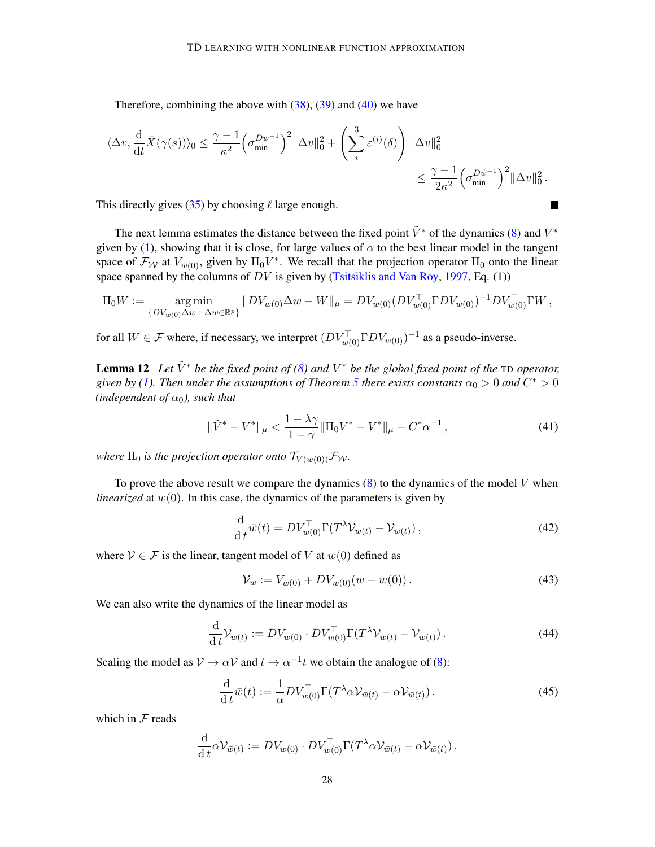Therefore, combining the above with  $(38)$ ,  $(39)$  and  $(40)$  we have

$$
\langle \Delta v, \frac{\mathrm{d}}{\mathrm{d}t} \bar{X}(\gamma(s)) \rangle_0 \leq \frac{\gamma - 1}{\kappa^2} \left( \sigma_{\min}^{D\psi^{-1}} \right)^2 \|\Delta v\|_0^2 + \left( \sum_i^3 \varepsilon^{(i)}(\delta) \right) \|\Delta v\|_0^2
$$
  

$$
\leq \frac{\gamma - 1}{2\kappa^2} \left( \sigma_{\min}^{D\psi^{-1}} \right)^2 \|\Delta v\|_0^2.
$$

This directly gives [\(35\)](#page-25-2) by choosing  $\ell$  large enough.

The next lemma estimates the distance between the fixed point  $\tilde{V}^*$  of the dynamics [\(8\)](#page-5-0) and  $V^*$ given by [\(1\)](#page-3-2), showing that it is close, for large values of  $\alpha$  to the best linear model in the tangent space of  $\mathcal{F}_{W}$  at  $V_{w(0)}$ , given by  $\Pi_0 V^*$ . We recall that the projection operator  $\Pi_0$  onto the linear space spanned by the columns of  $DV$  is given by [\(Tsitsiklis and Van Roy,](#page-19-0) [1997,](#page-19-0) Eq. (1))

$$
\Pi_0 W := \underset{\{DV_{w(0)}\Delta w : \Delta w \in \mathbb{R}^p\}}{\arg \min} \|DV_{w(0)}\Delta w - W\|_{\mu} = DV_{w(0)} (DV_{w(0)}^\top \Gamma DV_{w(0)})^{-1} DV_{w(0)}^\top \Gamma W,
$$

for all  $W \in \mathcal{F}$  where, if necessary, we interpret  $(DV_{w(0)}^{\top} \Gamma D V_{w(0)})^{-1}$  as a pseudo-inverse.

<span id="page-27-0"></span>**Lemma 12** Let  $\tilde{V}^*$  be the fixed point of [\(8\)](#page-5-0) and  $V^*$  be the global fixed point of the TD operator, given by [\(1\)](#page-3-2). Then under the assumptions of Theorem [5](#page-8-0) there exists constants  $\alpha_0 > 0$  and  $C^* > 0$ *(independent of*  $\alpha_0$ *), such that* 

$$
\|\tilde{V}^* - V^*\|_{\mu} < \frac{1 - \lambda\gamma}{1 - \gamma} \|\Pi_0 V^* - V^*\|_{\mu} + C^*\alpha^{-1} \,,\tag{41}
$$

 $\blacksquare$ 

*where*  $\Pi_0$  *is the projection operator onto*  $\mathcal{T}_{V(w(0))} \mathcal{F}_{\mathcal{W}}$ .

To prove the above result we compare the dynamics  $(8)$  to the dynamics of the model V when *linearized* at  $w(0)$ . In this case, the dynamics of the parameters is given by

$$
\frac{\mathrm{d}}{\mathrm{d}t}\bar{w}(t) = DV_{w(0)}^{\top}\Gamma(T^{\lambda}\mathcal{V}_{\bar{w}(t)} - \mathcal{V}_{\bar{w}(t)}),\tag{42}
$$

where  $V \in \mathcal{F}$  is the linear, tangent model of V at  $w(0)$  defined as

<span id="page-27-2"></span><span id="page-27-1"></span>
$$
\mathcal{V}_w := V_{w(0)} + DV_{w(0)}(w - w(0)).\tag{43}
$$

We can also write the dynamics of the linear model as

$$
\frac{\mathrm{d}}{\mathrm{d}t} \mathcal{V}_{\bar{w}(t)} := DV_{w(0)} \cdot DV_{w(0)}^{\top} \Gamma(T^{\lambda} \mathcal{V}_{\bar{w}(t)} - \mathcal{V}_{\bar{w}(t)}).
$$
\n(44)

Scaling the model as  $V \to \alpha V$  and  $t \to \alpha^{-1}t$  we obtain the analogue of [\(8\)](#page-5-0):

$$
\frac{\mathrm{d}}{\mathrm{d}t}\bar{w}(t) := \frac{1}{\alpha}DV_{w(0)}^{\top}\Gamma(T^{\lambda}\alpha V_{\bar{w}(t)} - \alpha V_{\bar{w}(t)}).
$$
\n(45)

which in  $F$  reads

$$
\frac{\mathrm{d}}{\mathrm{d} t} \alpha \mathcal{V}_{\bar{w}(t)} := DV_{w(0)} \cdot DV_{w(0)}^{\top} \Gamma(T^{\lambda} \alpha \mathcal{V}_{\bar{w}(t)} - \alpha \mathcal{V}_{\bar{w}(t)}).
$$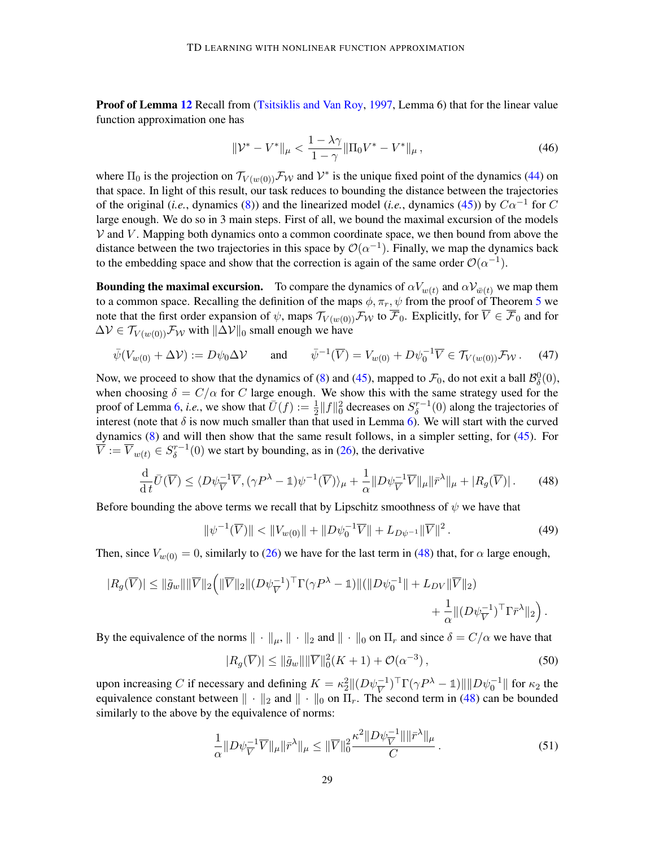Proof of Lemma [12](#page-27-0) Recall from [\(Tsitsiklis and Van Roy,](#page-19-0) [1997,](#page-19-0) Lemma 6) that for the linear value function approximation one has

<span id="page-28-4"></span>
$$
\|\mathcal{V}^* - \mathcal{V}^*\|_{\mu} < \frac{1 - \lambda\gamma}{1 - \gamma} \|\Pi_0 \mathcal{V}^* - \mathcal{V}^*\|_{\mu} \,,\tag{46}
$$

where  $\Pi_0$  is the projection on  $\mathcal{T}_{V(w(0))}$   $\mathcal{F}_{W}$  and  $V^*$  is the unique fixed point of the dynamics [\(44\)](#page-27-1) on that space. In light of this result, our task reduces to bounding the distance between the trajectories of the original (*i.e.*, dynamics [\(8\)](#page-5-0)) and the linearized model (*i.e.*, dynamics [\(45\)](#page-27-2)) by  $C\alpha^{-1}$  for C large enough. We do so in 3 main steps. First of all, we bound the maximal excursion of the models  $V$  and  $V$ . Mapping both dynamics onto a common coordinate space, we then bound from above the distance between the two trajectories in this space by  $\mathcal{O}(\alpha^{-1})$ . Finally, we map the dynamics back to the embedding space and show that the correction is again of the same order  $\mathcal{O}(\alpha^{-1})$ .

**Bounding the maximal excursion.** To compare the dynamics of  $\alpha V_{w(t)}$  and  $\alpha V_{\bar{w}(t)}$  we map them to a common space. Recalling the definition of the maps  $\phi, \pi_r, \psi$  from the proof of Theorem [5](#page-8-0) we note that the first order expansion of  $\psi$ , maps  $\mathcal{T}_{V(w(0))} \mathcal{F}_{W}$  to  $\overline{\mathcal{F}}_0$ . Explicitly, for  $\overline{V} \in \overline{\mathcal{F}}_0$  and for  $\Delta V \in \mathcal{T}_{V(w(0))} \mathcal{F}_{\mathcal{W}}$  with  $\|\Delta V\|_0$  small enough we have

$$
\bar{\psi}(V_{w(0)} + \Delta \mathcal{V}) := D\psi_0 \Delta \mathcal{V} \quad \text{and} \quad \bar{\psi}^{-1}(\overline{V}) = V_{w(0)} + D\psi_0^{-1} \overline{V} \in \mathcal{T}_{V(w(0))} \mathcal{F}_{\mathcal{W}}.
$$
 (47)

Now, we proceed to show that the dynamics of [\(8\)](#page-5-0) and [\(45\)](#page-27-2), mapped to  $\mathcal{F}_0$ , do not exit a ball  $\mathcal{B}^0_\delta(0)$ , when choosing  $\delta = C/\alpha$  for C large enough. We show this with the same strategy used for the proof of Lemma [6,](#page-9-3) *i.e.*, we show that  $\bar{U}(f) := \frac{1}{2} ||f||_0^2$  decreases on  $S_\delta^{r-1}$  $\delta^{r-1}(0)$  along the trajectories of interest (note that  $\delta$  is now much smaller than that used in Lemma [6\)](#page-9-3). We will start with the curved dynamics [\(8\)](#page-5-0) and will then show that the same result follows, in a simpler setting, for [\(45\)](#page-27-2). For  $\overline{V} := \overline{V}_{w(t)} \in S^{r-1}_{\delta}$  $\delta^{r-1}(0)$  we start by bounding, as in [\(26\)](#page-24-0), the derivative

$$
\frac{\mathrm{d}}{\mathrm{d}t}\bar{U}(\overline{V}) \le \langle D\psi_{\overline{V}}^{-1}\overline{V}, (\gamma P^{\lambda} - \mathbb{1})\psi^{-1}(\overline{V})\rangle_{\mu} + \frac{1}{\alpha} \|D\psi_{\overline{V}}^{-1}\overline{V}\|_{\mu} \|\overline{r}^{\lambda}\|_{\mu} + |R_g(\overline{V})|.
$$
 (48)

Before bounding the above terms we recall that by Lipschitz smoothness of  $\psi$  we have that

<span id="page-28-3"></span><span id="page-28-0"></span>
$$
\|\psi^{-1}(\overline{V})\| < \|V_{w(0)}\| + \|D\psi_0^{-1}\overline{V}\| + L_{D\psi^{-1}}\|\overline{V}\|^2. \tag{49}
$$

Then, since  $V_{w(0)} = 0$ , similarly to [\(26\)](#page-24-0) we have for the last term in [\(48\)](#page-28-0) that, for  $\alpha$  large enough,

$$
|R_g(\overline{V})| \le ||\tilde{g}_w|| \|\overline{V}\|_2 \Big( \|\overline{V}\|_2 \|(D\psi_V^{-1})^\top \Gamma (\gamma P^\lambda - \mathbb{1}) \| (\|D\psi_0^{-1}\| + L_{DV} \|\overline{V}\|_2) + \frac{1}{\alpha} \| (D\psi_V^{-1})^\top \Gamma \overline{r}^\lambda \|_2 \Big).
$$

By the equivalence of the norms  $\|\cdot\|_{\mu}$ ,  $\|\cdot\|_{2}$  and  $\|\cdot\|_{0}$  on  $\Pi_{r}$  and since  $\delta = C/\alpha$  we have that

<span id="page-28-2"></span><span id="page-28-1"></span>
$$
|R_g(\overline{V})| \le ||\tilde{g}_w|| \|\overline{V}\|_0^2(K+1) + \mathcal{O}(\alpha^{-3}), \qquad (50)
$$

upon increasing C if necessary and defining  $K = \kappa_2^2 ||(D\psi_V^{-1})^\top \Gamma(\gamma P^\lambda - \mathbb{1})|| ||D\psi_0^{-1}||$  for  $\kappa_2$  the equivalence constant between  $\|\cdot\|_2$  and  $\|\cdot\|_0$  on  $\Pi_r$ . The second term in [\(48\)](#page-28-0) can be bounded similarly to the above by the equivalence of norms:

$$
\frac{1}{\alpha} \|D\psi_{\overline{V}}^{-1} \overline{V}\|_{\mu} \|\bar{r}^{\lambda}\|_{\mu} \le \|\overline{V}\|_{0}^{2} \frac{\kappa^{2} \|D\psi_{\overline{V}}^{-1}\| \|\bar{r}^{\lambda}\|_{\mu}}{C}.
$$
\n(51)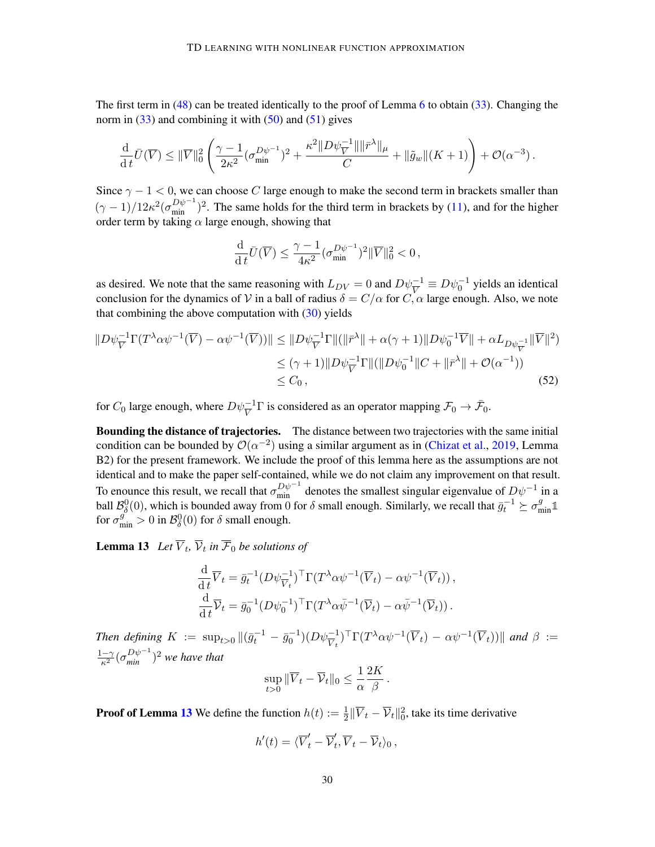The first term in [\(48\)](#page-28-0) can be treated identically to the proof of Lemma [6](#page-9-3) to obtain [\(33\)](#page-24-7). Changing the norm in  $(33)$  and combining it with  $(50)$  and  $(51)$  gives

$$
\frac{\mathrm{d}}{\mathrm{d} t} \bar{U}(\overline{V}) \leq \|\overline{V}\|_0^2 \left( \frac{\gamma - 1}{2\kappa^2} (\sigma_{\min}^{D\psi^{-1}})^2 + \frac{\kappa^2 \|D\psi_V^{-1}\| \|\bar{r}^\lambda\|_\mu}{C} + \|\tilde{g}_w\|(K+1) \right) + \mathcal{O}(\alpha^{-3}).
$$

Since  $\gamma - 1 < 0$ , we can choose C large enough to make the second term in brackets smaller than  $(\gamma - 1)/12\kappa^2(\sigma_{\min}^{D\psi^{-1}})^2$ . The same holds for the third term in brackets by [\(11\)](#page-7-3), and for the higher order term by taking  $\alpha$  large enough, showing that

<span id="page-29-1"></span>
$$
\frac{\mathrm{d}}{\mathrm{d}t}\bar{U}(\overline{V}) \le \frac{\gamma - 1}{4\kappa^2} (\sigma_{\min}^{D\psi^{-1}})^2 \|\overline{V}\|_0^2 < 0,
$$

as desired. We note that the same reasoning with  $L_{DV} = 0$  and  $D\psi_V^{-1} \equiv D\psi_0^{-1}$  yields an identical conclusion for the dynamics of V in a ball of radius  $\delta = C/\alpha$  for  $C, \alpha$  large enough. Also, we note that combining the above computation with  $(30)$  yields

$$
||D\psi_{\overline{V}}^{-1}\Gamma(T^{\lambda}\alpha\psi^{-1}(\overline{V}) - \alpha\psi^{-1}(\overline{V}))|| \le ||D\psi_{\overline{V}}^{-1}\Gamma\|(||\bar{r}^{\lambda}|| + \alpha(\gamma + 1)||D\psi_{0}^{-1}\overline{V}|| + \alpha L_{D\psi_{\overline{V}}^{-1}}||\overline{V}||^{2})
$$
  
\n
$$
\le (\gamma + 1)||D\psi_{\overline{V}}^{-1}\Gamma\|(||D\psi_{0}^{-1}||C + ||\bar{r}^{\lambda}|| + \mathcal{O}(\alpha^{-1}))
$$
  
\n
$$
\le C_{0}, \qquad (52)
$$

for  $C_0$  large enough, where  $D\psi_V^{-1}\Gamma$  is considered as an operator mapping  $\mathcal{F}_0 \to \bar{\mathcal{F}}_0$ .

**Bounding the distance of trajectories.** The distance between two trajectories with the same initial condition can be bounded by  $\mathcal{O}(\alpha^{-2})$  using a similar argument as in [\(Chizat et al.,](#page-16-7) [2019,](#page-16-7) Lemma B2) for the present framework. We include the proof of this lemma here as the assumptions are not identical and to make the paper self-contained, while we do not claim any improvement on that result. To enounce this result, we recall that  $\sigma_{\min}^{D\psi^{-1}}$  denotes the smallest singular eigenvalue of  $D\psi^{-1}$  in a ball  $\mathcal{B}_{\delta}^{0}(0)$ , which is bounded away from 0 for  $\delta$  small enough. Similarly, we recall that  $\bar{g}_{t}^{-1} \succeq \sigma_{\min}^{g} \mathbb{1}$ for  $\sigma_{\min}^g > 0$  in  $\mathcal{B}_\delta^0(0)$  for  $\delta$  small enough.

**Lemma 13** Let  $V_t$ ,  $\overline{V_t}$  in  $\overline{F_0}$  be solutions of

<span id="page-29-0"></span>
$$
\frac{\mathrm{d}}{\mathrm{d}t}\overline{V}_t = \overline{g}_t^{-1} (D\psi_{\overline{V}_t}^{-1})^\top \Gamma(T^\lambda \alpha \psi^{-1} (\overline{V}_t) - \alpha \psi^{-1} (\overline{V}_t)),
$$
  

$$
\frac{\mathrm{d}}{\mathrm{d}t}\overline{V}_t = \overline{g}_0^{-1} (D\psi_0^{-1})^\top \Gamma(T^\lambda \alpha \overline{\psi}^{-1} (\overline{V}_t) - \alpha \overline{\psi}^{-1} (\overline{V}_t)).
$$

Then defining  $K := \sup_{t>0} ||(\bar{g}_t^{-1} - \bar{g}_0^{-1})(D\psi_{\overline{V}_t}^{-1})^{\top} \Gamma(T^{\lambda} \alpha \psi^{-1}(\overline{V}_t) - \alpha \psi^{-1}(\overline{V}_t))||$  and  $\beta :=$  $\frac{1-\gamma}{\kappa^2}(\sigma_{min}^{D\psi^{-1}})^2$  we have that

$$
\sup_{t>0} \|\overline{V}_t - \overline{\mathcal{V}}_t\|_0 \leq \frac{1}{\alpha} \frac{2K}{\beta}.
$$

**Proof of Lemma [13](#page-29-0)** We define the function  $h(t) := \frac{1}{2} \|\overline{V}_t - \overline{V}_t\|_0^2$ , take its time derivative

$$
h'(t) = \langle \overline{V}'_t - \overline{\mathcal{V}}'_t, \overline{V}_t - \overline{\mathcal{V}}_t \rangle_0,
$$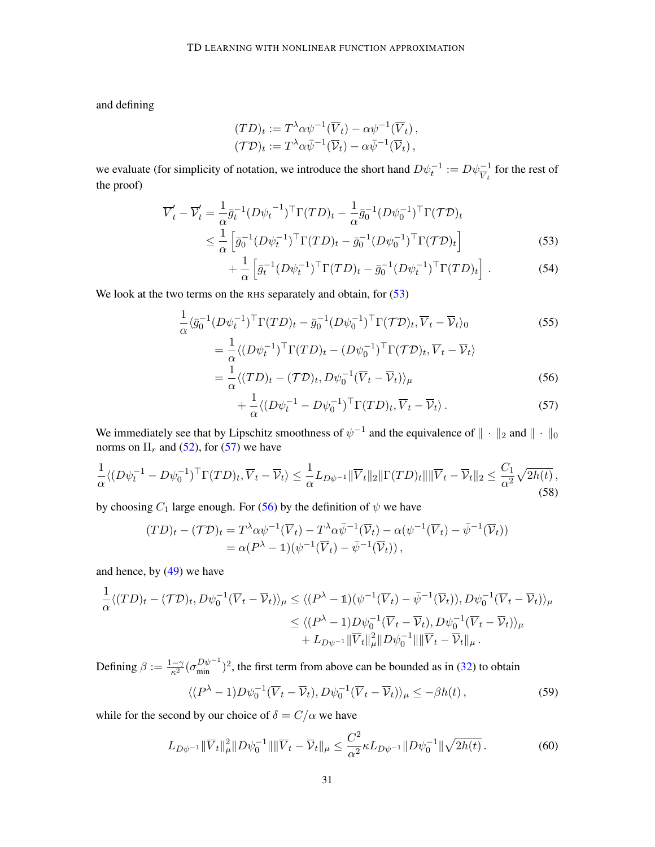and defining

$$
(TD)_t := T^{\lambda} \alpha \psi^{-1}(\overline{V}_t) - \alpha \psi^{-1}(\overline{V}_t),
$$
  

$$
(\mathcal{T}D)_t := T^{\lambda} \alpha \overline{\psi}^{-1}(\overline{\mathcal{V}}_t) - \alpha \overline{\psi}^{-1}(\overline{\mathcal{V}}_t),
$$

we evaluate (for simplicity of notation, we introduce the short hand  $D\psi_t^{-1} := D\psi_{\overline{V}_t}^{-1}$  for the rest of the proof)

$$
\overline{V}'_t - \overline{V}'_t = \frac{1}{\alpha} \bar{g}_t^{-1} (D\psi_t^{-1})^\top \Gamma(TD)_t - \frac{1}{\alpha} \bar{g}_0^{-1} (D\psi_0^{-1})^\top \Gamma(TD)_t \n\leq \frac{1}{\alpha} \left[ \bar{g}_0^{-1} (D\psi_t^{-1})^\top \Gamma(TD)_t - \bar{g}_0^{-1} (D\psi_0^{-1})^\top \Gamma(TD)_t \right]
$$
\n(53)

<span id="page-30-7"></span><span id="page-30-0"></span>
$$
+\frac{1}{\alpha} \left[ \bar{g}_t^{-1} (D\psi_t^{-1})^\top \Gamma(TD)_t - \bar{g}_0^{-1} (D\psi_t^{-1})^\top \Gamma(TD)_t \right]. \tag{54}
$$

We look at the two terms on the RHS separately and obtain, for  $(53)$ 

$$
\frac{1}{\alpha} \langle \bar{g}_0^{-1} (D\psi_t^{-1})^{\top} \Gamma(TD)_t - \bar{g}_0^{-1} (D\psi_0^{-1})^{\top} \Gamma(TD)_t, \overline{V}_t - \overline{V}_t \rangle_0
$$
\n
$$
= \frac{1}{\alpha} \langle (D\psi_t^{-1})^{\top} \Gamma(TD)_t - (D\psi_0^{-1})^{\top} \Gamma(TD)_t, \overline{V}_t - \overline{V}_t \rangle
$$
\n(55)

$$
=\frac{1}{\alpha}\langle (TD)_t - (\mathcal{TD})_t, D\psi_0^{-1}(\overline{V}_t - \overline{V}_t) \rangle_{\mu}
$$
\n(56)

<span id="page-30-6"></span><span id="page-30-3"></span><span id="page-30-2"></span><span id="page-30-1"></span>
$$
+\frac{1}{\alpha}\langle (D\psi_t^{-1} - D\psi_0^{-1})^{\top} \Gamma(TD)_t, \overline{V}_t - \overline{V}_t \rangle. \tag{57}
$$

We immediately see that by Lipschitz smoothness of  $\psi^{-1}$  and the equivalence of  $\|\cdot\|_2$  and  $\|\cdot\|_0$ norms on  $\Pi_r$  and [\(52\)](#page-29-1), for [\(57\)](#page-30-1) we have

$$
\frac{1}{\alpha} \langle (D\psi_t^{-1} - D\psi_0^{-1})^{\top} \Gamma(TD)_t, \overline{V}_t - \overline{V}_t \rangle \le \frac{1}{\alpha} L_{D\psi^{-1}} \|\overline{V}_t\|_2 \|\Gamma(TD)_t\| \|\overline{V}_t - \overline{V}_t\|_2 \le \frac{C_1}{\alpha^2} \sqrt{2h(t)},
$$
\n(58)

by choosing  $C_1$  large enough. For [\(56\)](#page-30-2) by the definition of  $\psi$  we have

$$
(TD)_t - (\mathcal{T}D)_t = T^{\lambda} \alpha \psi^{-1} (\overline{V}_t) - T^{\lambda} \alpha \overline{\psi}^{-1} (\overline{V}_t) - \alpha (\psi^{-1} (\overline{V}_t) - \overline{\psi}^{-1} (\overline{V}_t))
$$
  
=  $\alpha (P^{\lambda} - \mathbb{1}) (\psi^{-1} (\overline{V}_t) - \overline{\psi}^{-1} (\overline{V}_t)),$ 

and hence, by [\(49\)](#page-28-3) we have

$$
\frac{1}{\alpha} \langle (TD)_t - (\mathcal{TD})_t, D\psi_0^{-1} (\overline{V}_t - \overline{\mathcal{V}}_t) \rangle_{\mu} \le \langle (P^{\lambda} - \mathbb{1})(\psi^{-1} (\overline{V}_t) - \bar{\psi}^{-1} (\overline{\mathcal{V}}_t)), D\psi_0^{-1} (\overline{V}_t - \overline{\mathcal{V}}_t) \rangle_{\mu} \le \langle (P^{\lambda} - 1)D\psi_0^{-1} (\overline{V}_t - \overline{\mathcal{V}}_t), D\psi_0^{-1} (\overline{V}_t - \overline{\mathcal{V}}_t) \rangle_{\mu} + L_{D\psi^{-1}} ||\overline{V}_t||_{\mu}^2 ||D\psi_0^{-1}||||\overline{V}_t - \overline{\mathcal{V}}_t||_{\mu} .
$$

Defining  $\beta := \frac{1-\gamma}{\kappa^2} (\sigma_{\min}^{D\psi^{-1}})^2$ , the first term from above can be bounded as in [\(32\)](#page-24-4) to obtain  $\langle (P^{\lambda} - 1)D\psi_0^{-1}(\overline{V}_t - \overline{V}_t), D\psi_0^{-1}(\overline{V}_t - \overline{V}_t) \rangle_{\mu} \leq -\beta h(t),$  (59)

while for the second by our choice of  $\delta = C/\alpha$  we have

<span id="page-30-5"></span><span id="page-30-4"></span>
$$
L_{D\psi^{-1}} \|\overline{V}_t\|_{\mu}^2 \|D\psi_0^{-1}\| \|\overline{V}_t - \overline{\mathcal{V}}_t\|_{\mu} \le \frac{C^2}{\alpha^2} \kappa L_{D\psi^{-1}} \|D\psi_0^{-1}\| \sqrt{2h(t)} \,. \tag{60}
$$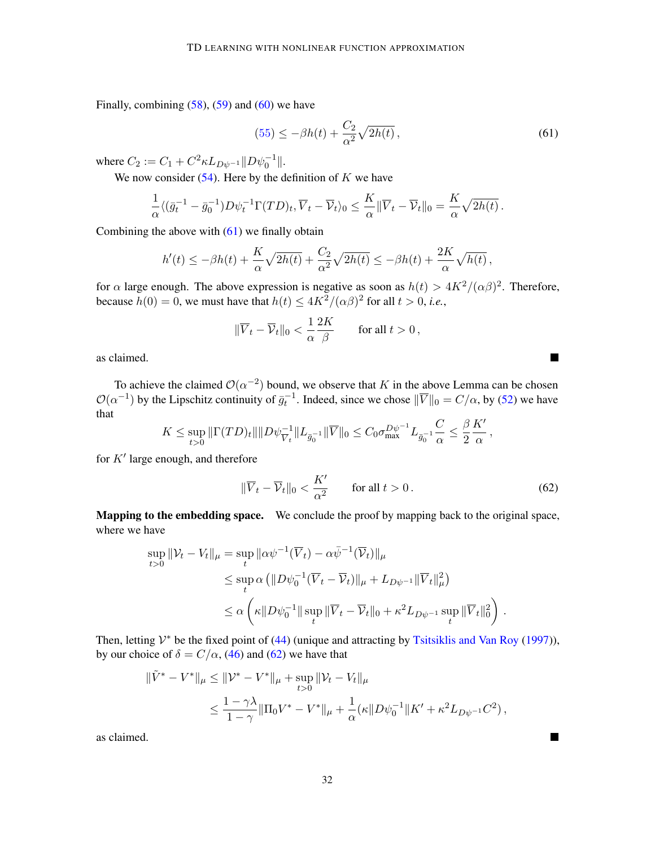Finally, combining  $(58)$ ,  $(59)$  and  $(60)$  we have

$$
(55) \le -\beta h(t) + \frac{C_2}{\alpha^2} \sqrt{2h(t)},
$$
\n(61)

where  $C_2 := C_1 + C^2 \kappa L_{D\psi^{-1}} ||D\psi_0^{-1}||.$ 

We now consider  $(54)$ . Here by the definition of K we have

$$
\frac{1}{\alpha} \langle (\bar{g}_t^{-1} - \bar{g}_0^{-1}) D \psi_t^{-1} \Gamma(TD)_t, \overline{V}_t - \overline{V}_t \rangle_0 \le \frac{K}{\alpha} ||\overline{V}_t - \overline{V}_t||_0 = \frac{K}{\alpha} \sqrt{2h(t)}.
$$

Combining the above with  $(61)$  we finally obtain

$$
h'(t) \leq -\beta h(t) + \frac{K}{\alpha} \sqrt{2h(t)} + \frac{C_2}{\alpha^2} \sqrt{2h(t)} \leq -\beta h(t) + \frac{2K}{\alpha} \sqrt{h(t)},
$$

for  $\alpha$  large enough. The above expression is negative as soon as  $h(t) > 4K^2/(\alpha\beta)^2$ . Therefore, because  $h(0) = 0$ , we must have that  $h(t) \le 4K^2/(\alpha \beta)^2$  for all  $t > 0$ , *i.e.*,

$$
\|\overline{V}_t - \overline{\mathcal{V}}_t\|_0 < \frac{1}{\alpha} \frac{2K}{\beta} \qquad \text{for all } t > 0 \,,
$$

as claimed.

To achieve the claimed  $\mathcal{O}(\alpha^{-2})$  bound, we observe that K in the above Lemma can be chosen  $\mathcal{O}(\alpha^{-1})$  by the Lipschitz continuity of  $\bar{g}_t^{-1}$ . Indeed, since we chose  $\|\overline{V}\|_0 = C/\alpha$ , by [\(52\)](#page-29-1) we have that

$$
K \leq \sup_{t>0} \|\Gamma(TD)_t\| \|D\psi_{\overline{V}_t}^{-1}\| L_{\overline{g}_0^{-1}}\|\overline{V}\|_0 \leq C_0 \sigma_{\max}^{D\psi^{-1}} L_{\overline{g}_0^{-1}} \frac{C}{\alpha} \leq \frac{\beta}{2} \frac{K'}{\alpha},
$$

for  $K'$  large enough, and therefore

$$
\|\overline{V}_t - \overline{\mathcal{V}}_t\|_0 < \frac{K'}{\alpha^2} \qquad \text{for all } t > 0. \tag{62}
$$

<span id="page-31-1"></span><span id="page-31-0"></span> $\blacksquare$ 

■

Mapping to the embedding space. We conclude the proof by mapping back to the original space, where we have

$$
\sup_{t>0} \|\mathcal{V}_t - V_t\|_{\mu} = \sup_t \|\alpha \psi^{-1}(\overline{V}_t) - \alpha \bar{\psi}^{-1}(\overline{V}_t)\|_{\mu}
$$
  
\n
$$
\leq \sup_t \alpha \left( \|D\psi_0^{-1}(\overline{V}_t - \overline{V}_t)\|_{\mu} + L_{D\psi^{-1}} \|\overline{V}_t\|_{\mu}^2 \right)
$$
  
\n
$$
\leq \alpha \left( \kappa \|D\psi_0^{-1}\| \sup_t \|\overline{V}_t - \overline{V}_t\|_0 + \kappa^2 L_{D\psi^{-1}} \sup_t \|\overline{V}_t\|_0^2 \right).
$$

Then, letting  $V^*$  be the fixed point of [\(44\)](#page-27-1) (unique and attracting by [Tsitsiklis and Van Roy](#page-19-0) [\(1997\)](#page-19-0)), by our choice of  $\delta = C/\alpha$ , [\(46\)](#page-28-4) and [\(62\)](#page-31-1) we have that

$$
\begin{aligned} \|\tilde{V}^* - V^*\|_{\mu} &\leq \|\mathcal{V}^* - V^*\|_{\mu} + \sup_{t>0} \|\mathcal{V}_t - V_t\|_{\mu} \\ &\leq \frac{1 - \gamma\lambda}{1 - \gamma} \|\Pi_0 V^* - V^*\|_{\mu} + \frac{1}{\alpha} (\kappa \|D\psi_0^{-1}\|K' + \kappa^2 L_{D\psi^{-1}} C^2) \,, \end{aligned}
$$

as claimed.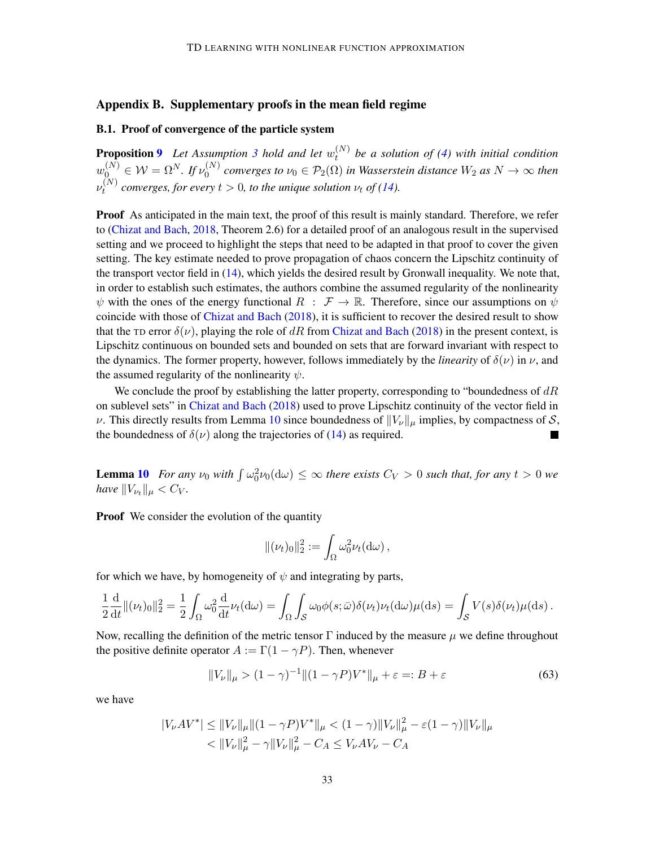# Appendix B. Supplementary proofs in the mean field regime

# B.1. Proof of convergence of the particle system

**Proposition [9](#page-11-1)** Let Assumption [3](#page-10-1) hold and let  $w_t^{(N)}$ t *be a solution of [\(4\)](#page-4-1) with initial condition*  $w_0^{(N)} \in \mathcal{W} = \Omega^N$ . If  $\nu_0^{(N)}$  $O_0^{(N)}$  converges to  $\nu_0 \in \mathcal{P}_2(\Omega)$  in Wasserstein distance  $W_2$  as  $N \to \infty$  then  $\nu_t^{(N)}$ *c*<sup>(*xv*</sup>) converges, for every  $t > 0$ , to the unique solution  $\nu_t$  of [\(14\)](#page-10-0).

**Proof** As anticipated in the main text, the proof of this result is mainly standard. Therefore, we refer to [\(Chizat and Bach,](#page-16-3) [2018,](#page-16-3) Theorem 2.6) for a detailed proof of an analogous result in the supervised setting and we proceed to highlight the steps that need to be adapted in that proof to cover the given setting. The key estimate needed to prove propagation of chaos concern the Lipschitz continuity of the transport vector field in [\(14\)](#page-10-0), which yields the desired result by Gronwall inequality. We note that, in order to establish such estimates, the authors combine the assumed regularity of the nonlinearity  $\psi$  with the ones of the energy functional  $R : \mathcal{F} \to \mathbb{R}$ . Therefore, since our assumptions on  $\psi$ coincide with those of [Chizat and Bach](#page-16-3) [\(2018\)](#page-16-3), it is sufficient to recover the desired result to show that the TD error  $\delta(\nu)$ , playing the role of dR from [Chizat and Bach](#page-16-3) [\(2018\)](#page-16-3) in the present context, is Lipschitz continuous on bounded sets and bounded on sets that are forward invariant with respect to the dynamics. The former property, however, follows immediately by the *linearity* of  $\delta(\nu)$  in  $\nu$ , and the assumed regularity of the nonlinearity  $\psi$ .

We conclude the proof by establishing the latter property, corresponding to "boundedness of  $dR$ on sublevel sets" in [Chizat and Bach](#page-16-3) [\(2018\)](#page-16-3) used to prove Lipschitz continuity of the vector field in v. This directly results from Lemma [10](#page-11-2) since boundedness of  $||V_{\nu}||_{\mu}$  implies, by compactness of S, the boundedness of  $\delta(\nu)$  along the trajectories of [\(14\)](#page-10-0) as required.

**Lemma [10](#page-11-2)** For any  $\nu_0$  with  $\int \omega_0^2 \nu_0(d\omega) \leq \infty$  there exists  $C_V > 0$  such that, for any  $t > 0$  we *have*  $||V_{\nu_{t}}||_{\mu} < C_{V}$ *.* 

**Proof** We consider the evolution of the quantity

<span id="page-32-0"></span>
$$
\|(\nu_t)_0\|_2^2 := \int_{\Omega} \omega_0^2 \nu_t(\mathrm{d}\omega),
$$

for which we have, by homogeneity of  $\psi$  and integrating by parts,

$$
\frac{1}{2}\frac{\mathrm{d}}{\mathrm{d}t} \|(\nu_t)_0\|_2^2 = \frac{1}{2} \int_{\Omega} \omega_0^2 \frac{\mathrm{d}}{\mathrm{d}t} \nu_t(\mathrm{d}\omega) = \int_{\Omega} \int_{\mathcal{S}} \omega_0 \phi(s; \bar{\omega}) \delta(\nu_t) \nu_t(\mathrm{d}\omega) \mu(\mathrm{d}s) = \int_{\mathcal{S}} V(s) \delta(\nu_t) \mu(\mathrm{d}s) .
$$

Now, recalling the definition of the metric tensor  $\Gamma$  induced by the measure  $\mu$  we define throughout the positive definite operator  $A := \Gamma(1 - \gamma P)$ . Then, whenever

$$
||V_{\nu}||_{\mu} > (1 - \gamma)^{-1} ||(1 - \gamma P)V^*||_{\mu} + \varepsilon =: B + \varepsilon
$$
 (63)

we have

$$
|V_{\nu}AV^*| \le ||V_{\nu}||_{\mu} ||(1 - \gamma P)V^*||_{\mu} < (1 - \gamma) ||V_{\nu}||_{\mu}^2 - \varepsilon (1 - \gamma) ||V_{\nu}||_{\mu} < ||V_{\nu}||_{\mu}^2 - \gamma ||V_{\nu}||_{\mu}^2 - C_A \le V_{\nu}AV_{\nu} - C_A
$$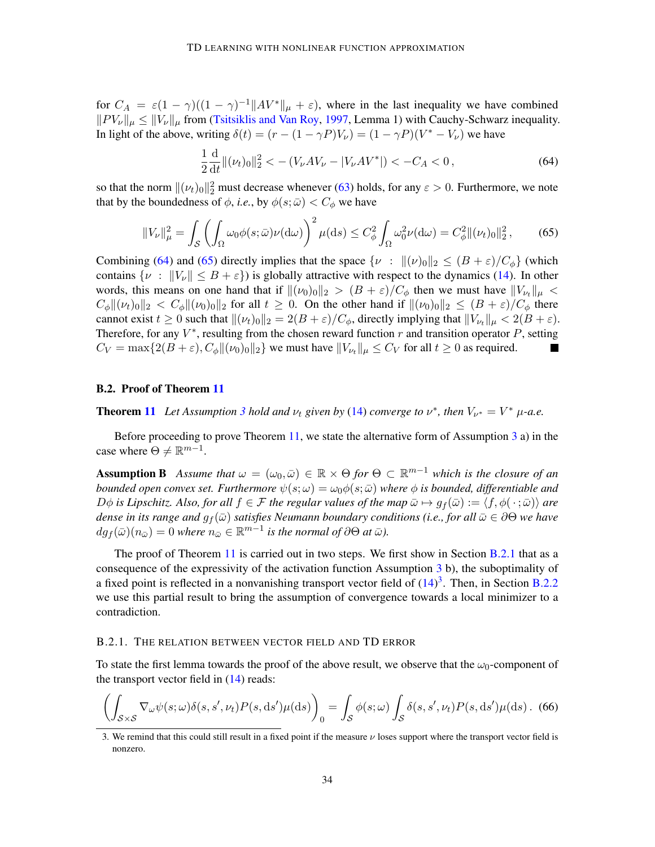for  $C_A = \varepsilon (1 - \gamma)((1 - \gamma)^{-1}||AV^*||_{\mu} + \varepsilon)$ , where in the last inequality we have combined  $||PV_v||_u \le ||V_v||_u$  from [\(Tsitsiklis and Van Roy,](#page-19-0) [1997,](#page-19-0) Lemma 1) with Cauchy-Schwarz inequality. In light of the above, writing  $\delta(t) = (r - (1 - \gamma P)V_{\nu}) = (1 - \gamma P)(V^* - V_{\nu})$  we have

<span id="page-33-1"></span><span id="page-33-0"></span>
$$
\frac{1}{2}\frac{\mathrm{d}}{\mathrm{d}t} \Vert (\nu_t)_0 \Vert_2^2 < -\left( V_\nu A V_\nu - |V_\nu A V^*| \right) < -C_A < 0 \,, \tag{64}
$$

so that the norm  $\|(\nu_t)_0\|_2^2$  must decrease whenever [\(63\)](#page-32-0) holds, for any  $\varepsilon > 0$ . Furthermore, we note that by the boundedness of  $\phi$ , *i.e.*, by  $\phi(s; \bar{\omega}) < C_{\phi}$  we have

$$
||V_{\nu}||_{\mu}^{2} = \int_{\mathcal{S}} \left( \int_{\Omega} \omega_{0} \phi(s; \bar{\omega}) \nu(\mathrm{d}\omega) \right)^{2} \mu(\mathrm{d}s) \le C_{\phi}^{2} \int_{\Omega} \omega_{0}^{2} \nu(\mathrm{d}\omega) = C_{\phi}^{2} ||(\nu_{t})_{0}||_{2}^{2}, \quad (65)
$$

Combining [\(64\)](#page-33-0) and [\(65\)](#page-33-1) directly implies that the space  $\{v : ||(v)_0||_2 \leq (B + \varepsilon)/C_{\phi}\}\$  (which contains  $\{v : ||V_v|| \leq B + \varepsilon\}$ ) is globally attractive with respect to the dynamics [\(14\)](#page-10-0). In other words, this means on one hand that if  $\|(\nu_0)_0\|_2 > (B + \varepsilon)/C_{\phi}$  then we must have  $\|V_{\nu_t}\|_{\mu} <$  $C_{\phi}$  $\|\mu(t_0)\|_2 < C_{\phi}$  $\|\mu(t_0)\|_2$  for all  $t \geq 0$ . On the other hand if  $\|\mu(t_0)\|_2 \leq (B+\varepsilon)/C_{\phi}$  there cannot exist  $t \ge 0$  such that  $\|(\nu_t)_0\|_2 = 2(B + \varepsilon)/C_\phi$ , directly implying that  $\|V_{\nu_t}\|_{\mu} < 2(B + \varepsilon)$ . Therefore, for any  $V^*$ , resulting from the chosen reward function  $r$  and transition operator  $P$ , setting  $C_V = \max\{2(B + \varepsilon), C_\phi || (\nu_0)_0||_2\}$  we must have  $||V_{\nu_t}||_\mu \leq C_V$  for all  $t \geq 0$  as required.  $\blacksquare$ 

## <span id="page-33-5"></span>B.2. Proof of Theorem [11](#page-11-0)

**Theorem [11](#page-11-0)** Let Assumption [3](#page-10-1) hold and  $\nu_t$  given by [\(14\)](#page-10-0) converge to  $\nu^*$ , then  $V_{\nu^*} = V^* \mu$ -a.e.

Before proceeding to prove Theorem [11,](#page-11-0) we state the alternative form of Assumption [3](#page-10-1) a) in the case where  $\Theta \neq \mathbb{R}^{m-1}$ .

**Assumption B** Assume that  $\omega = (\omega_0, \bar{\omega}) \in \mathbb{R} \times \Theta$  for  $\Theta \subset \mathbb{R}^{m-1}$  which is the closure of an *bounded open convex set. Furthermore*  $\psi(s; \omega) = \omega_0 \phi(s; \bar{\omega})$  *where*  $\phi$  *is bounded, differentiable and*  $D\phi$  *is Lipschitz. Also, for all*  $f \in \mathcal{F}$  *the regular values of the map*  $\bar{\omega} \mapsto q_f(\bar{\omega}) := \langle f, \phi(\cdot; \bar{\omega}) \rangle$  *are dense in its range and*  $g_f(\bar{\omega})$  *satisfies Neumann boundary conditions (i.e., for all*  $\bar{\omega} \in \partial \Theta$  *we have*  $dg_f(\bar{\omega})(n_{\bar{\omega}}) = 0$  where  $n_{\bar{\omega}} \in \mathbb{R}^{m-1}$  is the normal of  $\partial\Theta$  at  $\bar{\omega}$ ).

The proof of Theorem [11](#page-11-0) is carried out in two steps. We first show in Section [B.2.1](#page-33-2) that as a consequence of the expressivity of the activation function Assumption [3](#page-10-1) b), the suboptimality of a fixed point is reflected in a nonvanishing transport vector field of  $(14)^3$  $(14)^3$  $(14)^3$ . Then, in Section [B.2.2](#page-34-2) we use this partial result to bring the assumption of convergence towards a local minimizer to a contradiction.

#### <span id="page-33-2"></span>B.2.1. THE RELATION BETWEEN VECTOR FIELD AND TD ERROR

To state the first lemma towards the proof of the above result, we observe that the  $\omega_0$ -component of the transport vector field in  $(14)$  reads:

<span id="page-33-4"></span>
$$
\left(\int_{\mathcal{S}\times\mathcal{S}}\nabla_{\omega}\psi(s;\omega)\delta(s,s',\nu_t)P(s,\mathrm{d}s')\mu(\mathrm{d}s)\right)_0 = \int_{\mathcal{S}}\phi(s;\omega)\int_{\mathcal{S}}\delta(s,s',\nu_t)P(s,\mathrm{d}s')\mu(\mathrm{d}s). \tag{66}
$$

<span id="page-33-3"></span><sup>3.</sup> We remind that this could still result in a fixed point if the measure  $\nu$  loses support where the transport vector field is nonzero.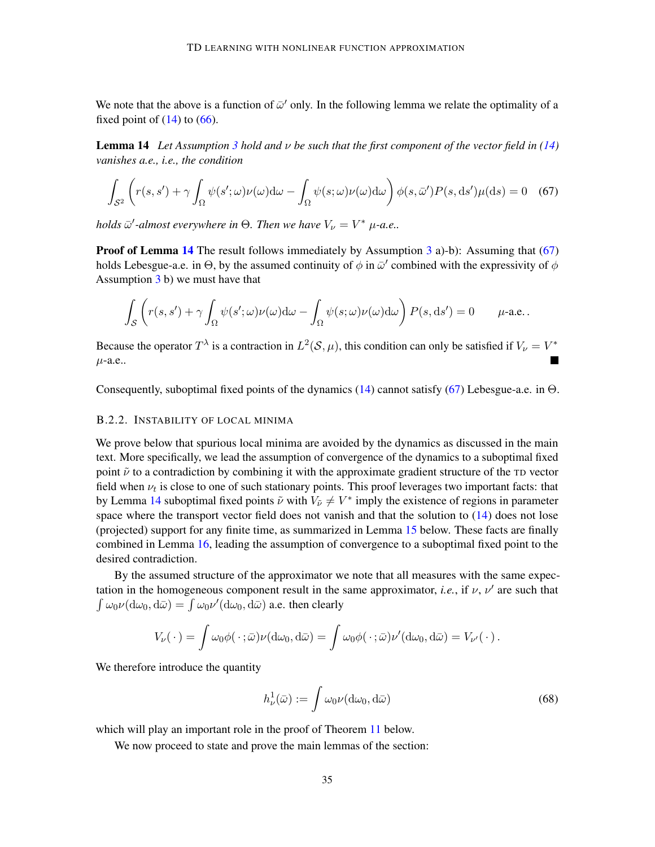<span id="page-34-0"></span>We note that the above is a function of  $\bar{\omega}'$  only. In the following lemma we relate the optimality of a fixed point of  $(14)$  to  $(66)$ .

**Lemma 14** Let Assumption [3](#page-10-1) hold and  $\nu$  be such that the first component of the vector field in [\(14\)](#page-10-0) *vanishes a.e., i.e., the condition*

$$
\int_{S^2} \left( r(s, s') + \gamma \int_{\Omega} \psi(s'; \omega) \nu(\omega) d\omega - \int_{\Omega} \psi(s; \omega) \nu(\omega) d\omega \right) \phi(s, \bar{\omega}') P(s, ds') \mu(ds) = 0 \quad (67)
$$

*holds*  $\bar{\omega}'$ -almost everywhere in  $\Theta$ . Then we have  $V_{\nu} = V^*$   $\mu$ -a.e..

**Proof of Lemma [14](#page-34-0)** The result follows immediately by Assumption  $3$  a)-b): Assuming that [\(67\)](#page-34-3) holds Lebesgue-a.e. in  $\Theta$ , by the assumed continuity of  $\phi$  in  $\bar{\omega}'$  combined with the expressivity of  $\phi$ Assumption [3](#page-10-1) b) we must have that

<span id="page-34-3"></span>
$$
\int_{\mathcal{S}} \left( r(s,s') + \gamma \int_{\Omega} \psi(s';\omega) \nu(\omega) d\omega - \int_{\Omega} \psi(s;\omega) \nu(\omega) d\omega \right) P(s,\mathrm{d}s') = 0 \qquad \mu\text{-a.e.}.
$$

Because the operator  $T^{\lambda}$  is a contraction in  $L^2(\mathcal{S}, \mu)$ , this condition can only be satisfied if  $V_{\nu} = V^*$  $\mu$ -a.e.. **In the Second** 

Consequently, suboptimal fixed points of the dynamics  $(14)$  cannot satisfy  $(67)$  Lebesgue-a.e. in  $\Theta$ .

#### <span id="page-34-2"></span>B.2.2. INSTABILITY OF LOCAL MINIMA

We prove below that spurious local minima are avoided by the dynamics as discussed in the main text. More specifically, we lead the assumption of convergence of the dynamics to a suboptimal fixed point  $\tilde{\nu}$  to a contradiction by combining it with the approximate gradient structure of the TD vector field when  $\nu_t$  is close to one of such stationary points. This proof leverages two important facts: that by Lemma [14](#page-34-0) suboptimal fixed points  $\tilde{\nu}$  with  $V_{\tilde{\nu}} \neq V^*$  imply the existence of regions in parameter space where the transport vector field does not vanish and that the solution to  $(14)$  does not lose (projected) support for any finite time, as summarized in Lemma [15](#page-34-1) below. These facts are finally combined in Lemma [16,](#page-35-0) leading the assumption of convergence to a suboptimal fixed point to the desired contradiction.

By the assumed structure of the approximator we note that all measures with the same expectation in the homogeneous component result in the same approximator, *i.e.*, if  $\nu$ ,  $\nu'$  are such that  $\int \omega_0 \nu(\mathrm{d}\omega_0, \mathrm{d}\bar{\omega}) = \int \omega_0 \nu'(\mathrm{d}\omega_0, \mathrm{d}\bar{\omega})$  a.e. then clearly

$$
V_{\nu}(\cdot) = \int \omega_0 \phi(\cdot;\bar{\omega}) \nu(\mathrm{d}\omega_0,\mathrm{d}\bar{\omega}) = \int \omega_0 \phi(\cdot;\bar{\omega}) \nu'(\mathrm{d}\omega_0,\mathrm{d}\bar{\omega}) = V_{\nu'}(\cdot).
$$

We therefore introduce the quantity

<span id="page-34-4"></span><span id="page-34-1"></span>
$$
h^1_{\nu}(\bar{\omega}) := \int \omega_0 \nu(\mathrm{d}\omega_0, \mathrm{d}\bar{\omega}) \tag{68}
$$

which will play an important role in the proof of Theorem [11](#page-11-0) below.

We now proceed to state and prove the main lemmas of the section: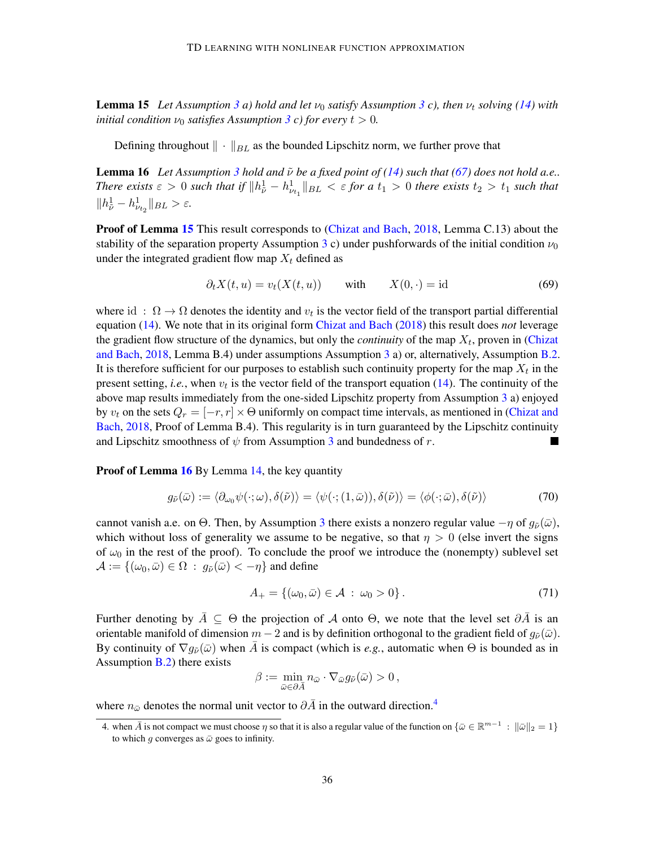**Lemma 15** Let Assumption [3](#page-10-1) *a*) hold and let  $\nu_0$  *satisfy Assumption* 3 *c*), then  $\nu_t$  *solving* [\(14\)](#page-10-0) *with initial condition*  $\nu_0$  *satisfies* Assumption [3](#page-10-1) *c*) for every  $t > 0$ .

Defining throughout  $\|\cdot\|_{BL}$  as the bounded Lipschitz norm, we further prove that

**Lemma 16** Let Assumption [3](#page-10-1) hold and  $\tilde{\nu}$  be a fixed point of [\(14\)](#page-10-0) such that [\(67\)](#page-34-3) does not hold a.e.. *There exists*  $\varepsilon > 0$  such that if  $||h_{\tilde{\nu}}^1 - h_{\nu_{t_1}}^1||_{BL} < \varepsilon$  for a  $t_1 > 0$  there exists  $t_2 > t_1$  such that  $||h_{\tilde{\nu}}^1 - h_{\nu_{t_2}}^1||_{BL} > \varepsilon.$ 

Proof of Lemma [15](#page-34-1) This result corresponds to [\(Chizat and Bach,](#page-16-3) [2018,](#page-16-3) Lemma C.13) about the stability of the separation property Assumption [3](#page-10-1) c) under pushforwards of the initial condition  $\nu_0$ under the integrated gradient flow map  $X_t$  defined as

<span id="page-35-0"></span>
$$
\partial_t X(t, u) = v_t(X(t, u)) \qquad \text{with} \qquad X(0, \cdot) = \text{id} \tag{69}
$$

where id:  $\Omega \to \Omega$  denotes the identity and  $v_t$  is the vector field of the transport partial differential equation [\(14\)](#page-10-0). We note that in its original form [Chizat and Bach](#page-16-3) [\(2018\)](#page-16-3) this result does *not* leverage the gradient flow structure of the dynamics, but only the *continuity* of the map  $X_t$ , proven in [\(Chizat](#page-16-3) [and Bach,](#page-16-3) [2018,](#page-16-3) Lemma B.4) under assumptions Assumption [3](#page-10-1) a) or, alternatively, Assumption [B.2.](#page-33-5) It is therefore sufficient for our purposes to establish such continuity property for the map  $X_t$  in the present setting, *i.e.*, when  $v_t$  is the vector field of the transport equation  $(14)$ . The continuity of the above map results immediately from the one-sided Lipschitz property from Assumption [3](#page-10-1) a) enjoyed by  $v_t$  on the sets  $Q_r = [-r, r] \times \Theta$  uniformly on compact time intervals, as mentioned in [\(Chizat and](#page-16-3) [Bach,](#page-16-3) [2018,](#page-16-3) Proof of Lemma B.4). This regularity is in turn guaranteed by the Lipschitz continuity and Lipschitz smoothness of  $\psi$  from Assumption [3](#page-10-1) and bundedness of r.

Proof of Lemma [16](#page-35-0) By Lemma [14,](#page-34-0) the key quantity

$$
g_{\tilde{\nu}}(\bar{\omega}) := \langle \partial_{\omega_0} \psi(\cdot; \omega), \delta(\tilde{\nu}) \rangle = \langle \psi(\cdot; (1, \bar{\omega})), \delta(\tilde{\nu}) \rangle = \langle \phi(\cdot; \bar{\omega}), \delta(\tilde{\nu}) \rangle \tag{70}
$$

cannot vanish a.e. on Θ. Then, by Assumption [3](#page-10-1) there exists a nonzero regular value  $-\eta$  of  $g_{\tilde{\nu}}(\bar{\omega})$ , which without loss of generality we assume to be negative, so that  $\eta > 0$  (else invert the signs of  $\omega_0$  in the rest of the proof). To conclude the proof we introduce the (nonempty) sublevel set  $\mathcal{A} := \{(\omega_0, \bar{\omega}) \in \Omega : g_{\tilde{\nu}}(\bar{\omega}) < -\eta \}$  and define

<span id="page-35-2"></span>
$$
A_{+} = \{(\omega_0, \bar{\omega}) \in \mathcal{A} : \omega_0 > 0\}.
$$
 (71)

Further denoting by  $\overline{A} \subseteq \Theta$  the projection of  $\overline{A}$  onto  $\Theta$ , we note that the level set  $\partial \overline{A}$  is an orientable manifold of dimension  $m - 2$  and is by definition orthogonal to the gradient field of  $g_{\tilde{\nu}}(\bar{\omega})$ . By continuity of  $\nabla q_{\tilde{\nu}}(\bar{\omega})$  when  $\bar{A}$  is compact (which is *e.g.*, automatic when  $\Theta$  is bounded as in Assumption  $B(2)$  there exists

$$
\beta := \min_{\bar{\omega} \in \partial \bar{A}} n_{\bar{\omega}} \cdot \nabla_{\bar{\omega}} g_{\tilde{\nu}}(\bar{\omega}) > 0,
$$

where  $n_{\bar{\omega}}$  denotes the normal unit vector to  $\partial \bar{A}$  in the outward direction.<sup>[4](#page-35-1)</sup>

<span id="page-35-1"></span><sup>4.</sup> when  $\bar{A}$  is not compact we must choose  $\eta$  so that it is also a regular value of the function on  $\{\bar{\omega} \in \mathbb{R}^{m-1} : \|\bar{\omega}\|_2 = 1\}$ to which g converges as  $\bar{\omega}$  goes to infinity.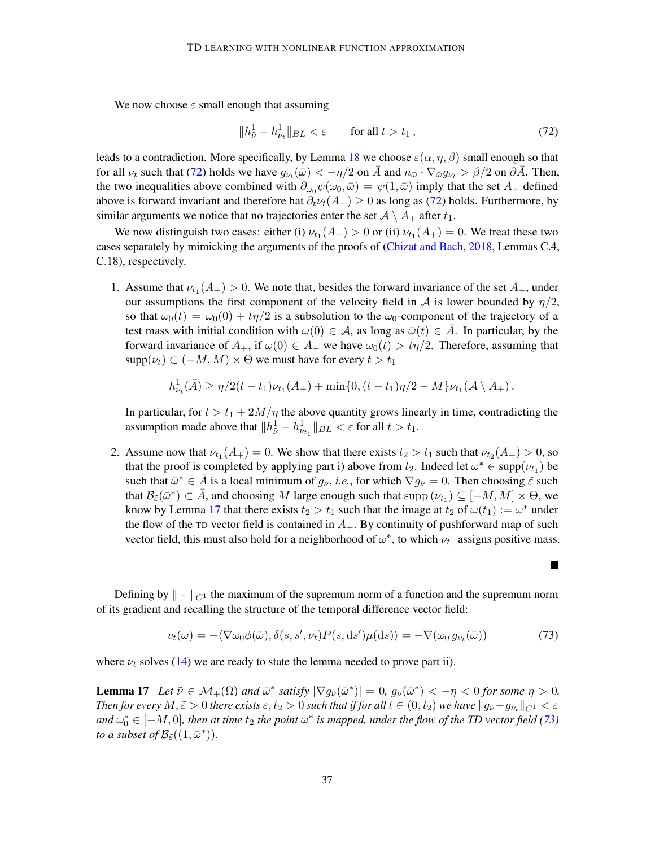We now choose  $\varepsilon$  small enough that assuming

<span id="page-36-0"></span>
$$
||h_{\tilde{\nu}}^1 - h_{\nu_t}^1||_{BL} < \varepsilon \qquad \text{for all } t > t_1 ,
$$
\n<sup>(72)</sup>

leads to a contradiction. More specifically, by Lemma [18](#page-37-1) we choose  $\varepsilon(\alpha, \eta, \beta)$  small enough so that for all  $\nu_t$  such that [\(72\)](#page-36-0) holds we have  $g_{\nu_t}(\bar{\omega}) < -\eta/2$  on  $\bar{A}$  and  $n_{\bar{\omega}} \cdot \nabla_{\bar{\omega}} g_{\nu_t} > \beta/2$  on  $\partial \bar{A}$ . Then, the two inequalities above combined with  $\partial_{\omega_0}\psi(\omega_0,\bar{\omega}) = \psi(1,\bar{\omega})$  imply that the set  $A_+$  defined above is forward invariant and therefore hat  $\partial_t \nu_t(A_+) \geq 0$  as long as [\(72\)](#page-36-0) holds. Furthermore, by similar arguments we notice that no trajectories enter the set  $A \setminus A_+$  after  $t_1$ .

We now distinguish two cases: either (i)  $\nu_{t_1}(A_+) > 0$  or (ii)  $\nu_{t_1}(A_+) = 0$ . We treat these two cases separately by mimicking the arguments of the proofs of [\(Chizat and Bach,](#page-16-3) [2018,](#page-16-3) Lemmas C.4, C.18), respectively.

1. Assume that  $\nu_{t_1}(A_+) > 0$ . We note that, besides the forward invariance of the set  $A_+$ , under our assumptions the first component of the velocity field in A is lower bounded by  $\eta/2$ , so that  $\omega_0(t) = \omega_0(0) + t\eta/2$  is a subsolution to the  $\omega_0$ -component of the trajectory of a test mass with initial condition with  $\omega(0) \in \mathcal{A}$ , as long as  $\bar{\omega}(t) \in \bar{A}$ . In particular, by the forward invariance of  $A_+$ , if  $\omega(0) \in A_+$  we have  $\omega_0(t) > t\eta/2$ . Therefore, assuming that  $\text{supp}(\nu_t) \subset (-M, M) \times \Theta$  we must have for every  $t > t_1$ 

$$
h^1_{\nu_t}(\bar{A}) \ge \eta/2(t-t_1)\nu_{t_1}(A_+) + \min\{0,(t-t_1)\eta/2 - M\}\nu_{t_1}(A \setminus A_+).
$$

In particular, for  $t > t_1 + 2M/\eta$  the above quantity grows linearly in time, contradicting the assumption made above that  $||h_{\tilde{\nu}}^1 - h_{\nu_{t_1}}^1||_{BL} < \varepsilon$  for all  $t > t_1$ .

2. Assume now that  $\nu_{t_1}(A_+) = 0$ . We show that there exists  $t_2 > t_1$  such that  $\nu_{t_2}(A_+) > 0$ , so that the proof is completed by applying part i) above from  $t_2$ . Indeed let  $\omega^* \in \text{supp}(\nu_{t_1})$  be such that  $\bar{\omega}^* \in \bar{A}$  is a local minimum of  $g_{\tilde{\nu}}$ , *i.e.*, for which  $\nabla g_{\tilde{\nu}} = 0$ . Then choosing  $\tilde{\varepsilon}$  such that  $\mathcal{B}_{\tilde{\varepsilon}}(\bar{\omega}^*) \subset \bar{A}$ , and choosing M large enough such that supp  $(\nu_{t_1}) \subseteq [-M, M] \times \Theta$ , we know by Lemma [17](#page-36-1) that there exists  $t_2 > t_1$  such that the image at  $t_2$  of  $\omega(t_1) := \omega^*$  under the flow of the TD vector field is contained in  $A_{+}$ . By continuity of pushforward map of such vector field, this must also hold for a neighborhood of  $\omega^*$ , to which  $\nu_{t_1}$  assigns positive mass.

Defining by  $\|\cdot\|_{C^1}$  the maximum of the supremum norm of a function and the supremum norm of its gradient and recalling the structure of the temporal difference vector field:

$$
v_t(\omega) = -\langle \nabla \omega_0 \phi(\bar{\omega}), \delta(s, s', \nu_t) P(s, \mathrm{d}s' \rangle \mu(\mathrm{d}s) \rangle = -\nabla(\omega_0 g_{\nu_t}(\bar{\omega})) \tag{73}
$$

<span id="page-36-1"></span>where  $\nu_t$  solves [\(14\)](#page-10-0) we are ready to state the lemma needed to prove part ii).

**Lemma 17** Let  $\tilde{\nu} \in \mathcal{M}_+(\Omega)$  and  $\bar{\omega}^*$  satisfy  $|\nabla g_{\tilde{\nu}}(\bar{\omega}^*)| = 0$ ,  $g_{\tilde{\nu}}(\bar{\omega}^*) < -\eta < 0$  for some  $\eta > 0$ . *Then for every*  $M, \tilde{\varepsilon} > 0$  *there exists*  $\varepsilon, t_2 > 0$  *such that if for all*  $t \in (0, t_2)$  *we have*  $||g_{\tilde{\nu}} - g_{\nu_t}||_{C^1} < \varepsilon$ and  $\omega_0^* \in [-M, 0]$ , then at time  $t_2$  the point  $\omega^*$  is mapped, under the flow of the TD vector field [\(73\)](#page-36-2) *to a subset of*  $\mathcal{B}_{\tilde{\varepsilon}}((1,\bar{\omega}^*)).$ 

<span id="page-36-2"></span> $\blacksquare$